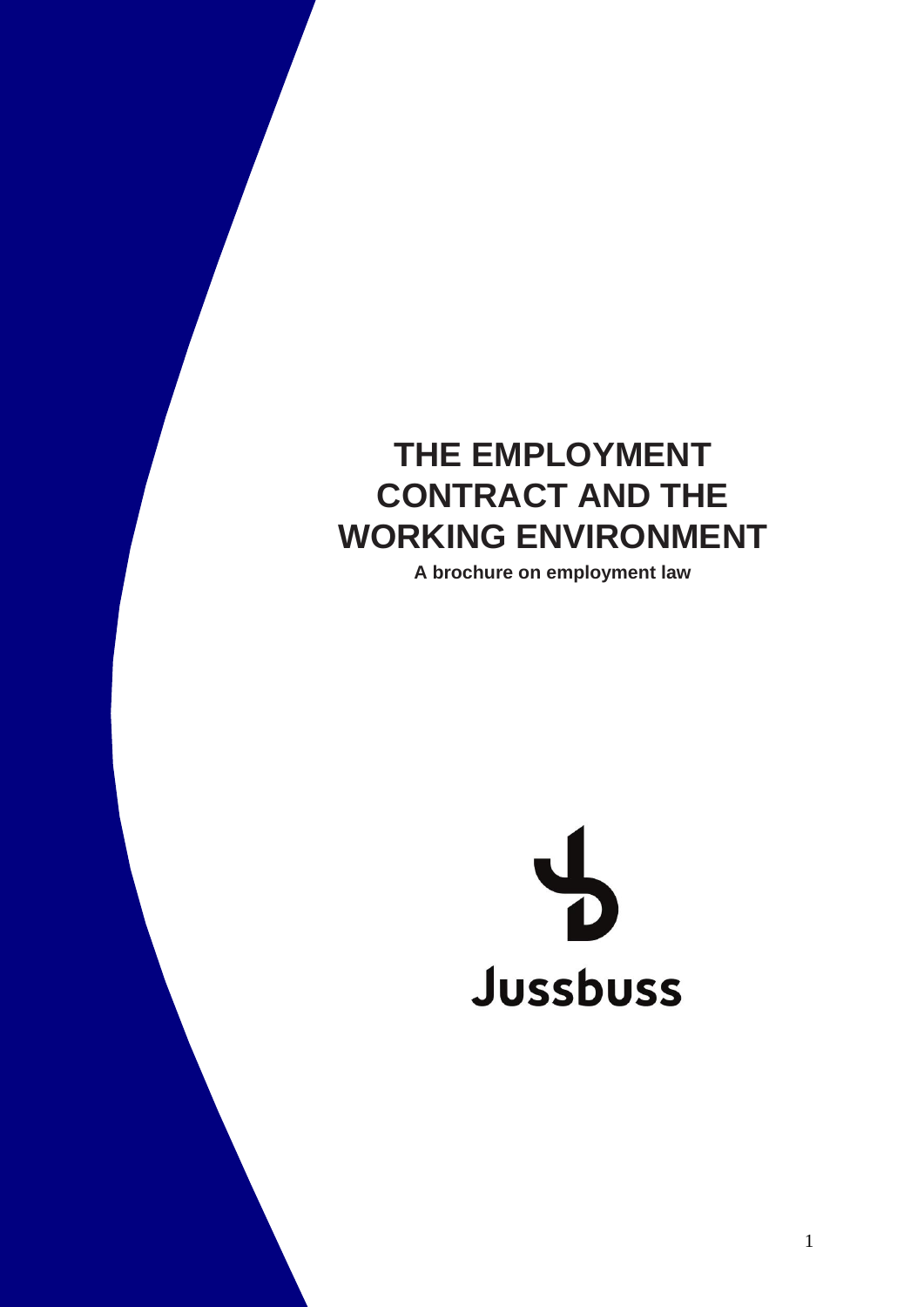# **THE EMPLOYMENT CONTRACT AND THE WORKING ENVIRONMENT**

**A brochure on employment law**

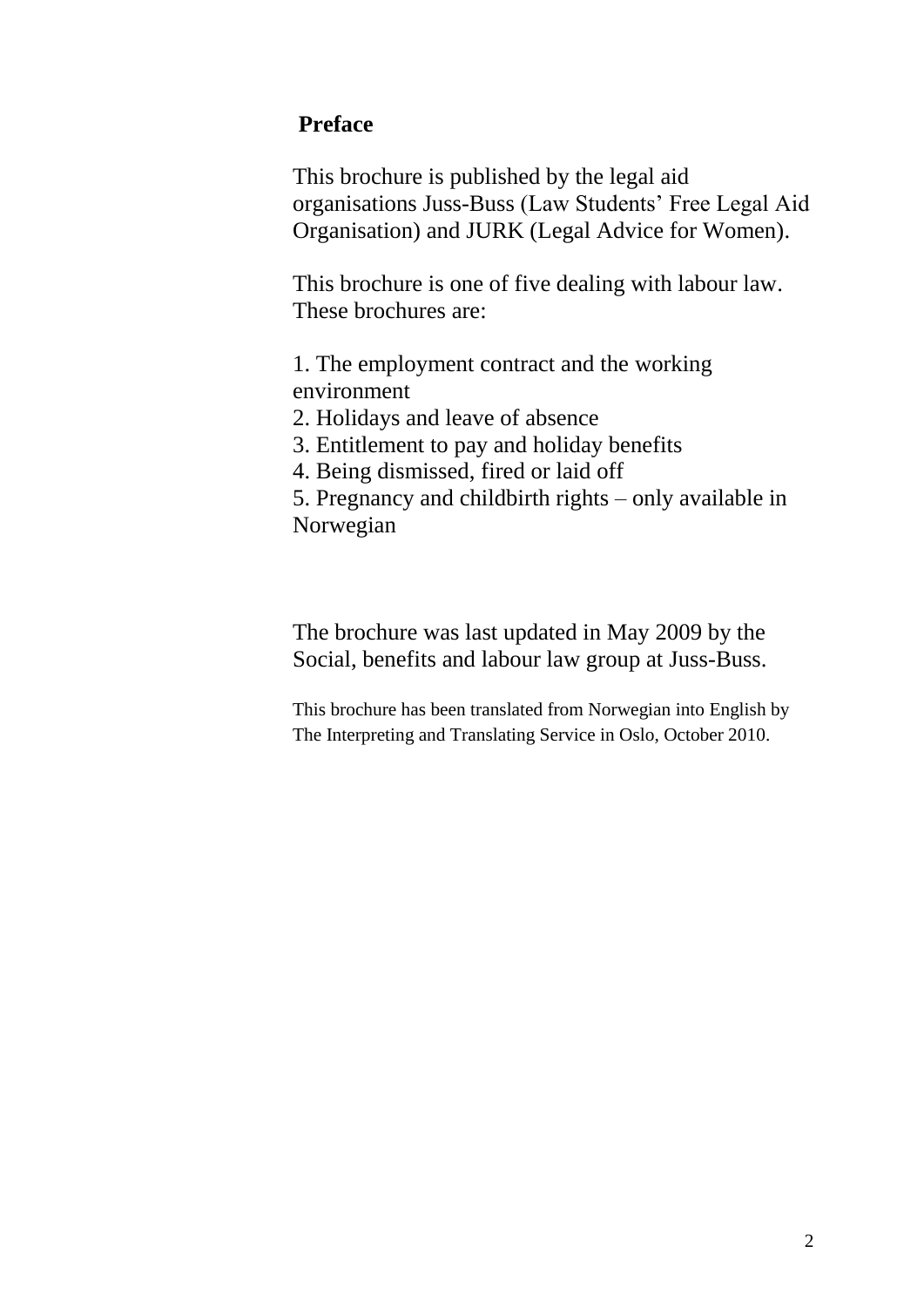#### **Preface**

This brochure is published by the legal aid organisations Juss-Buss (Law Students' Free Legal Aid Organisation) and JURK (Legal Advice for Women).

This brochure is one of five dealing with labour law. These brochures are:

1. The employment contract and the working environment

2. Holidays and leave of absence

3. Entitlement to pay and holiday benefits

4. Being dismissed, fired or laid off

5. Pregnancy and childbirth rights – only available in Norwegian

The brochure was last updated in May 2009 by the Social, benefits and labour law group at Juss-Buss.

This brochure has been translated from Norwegian into English by The Interpreting and Translating Service in Oslo, October 2010.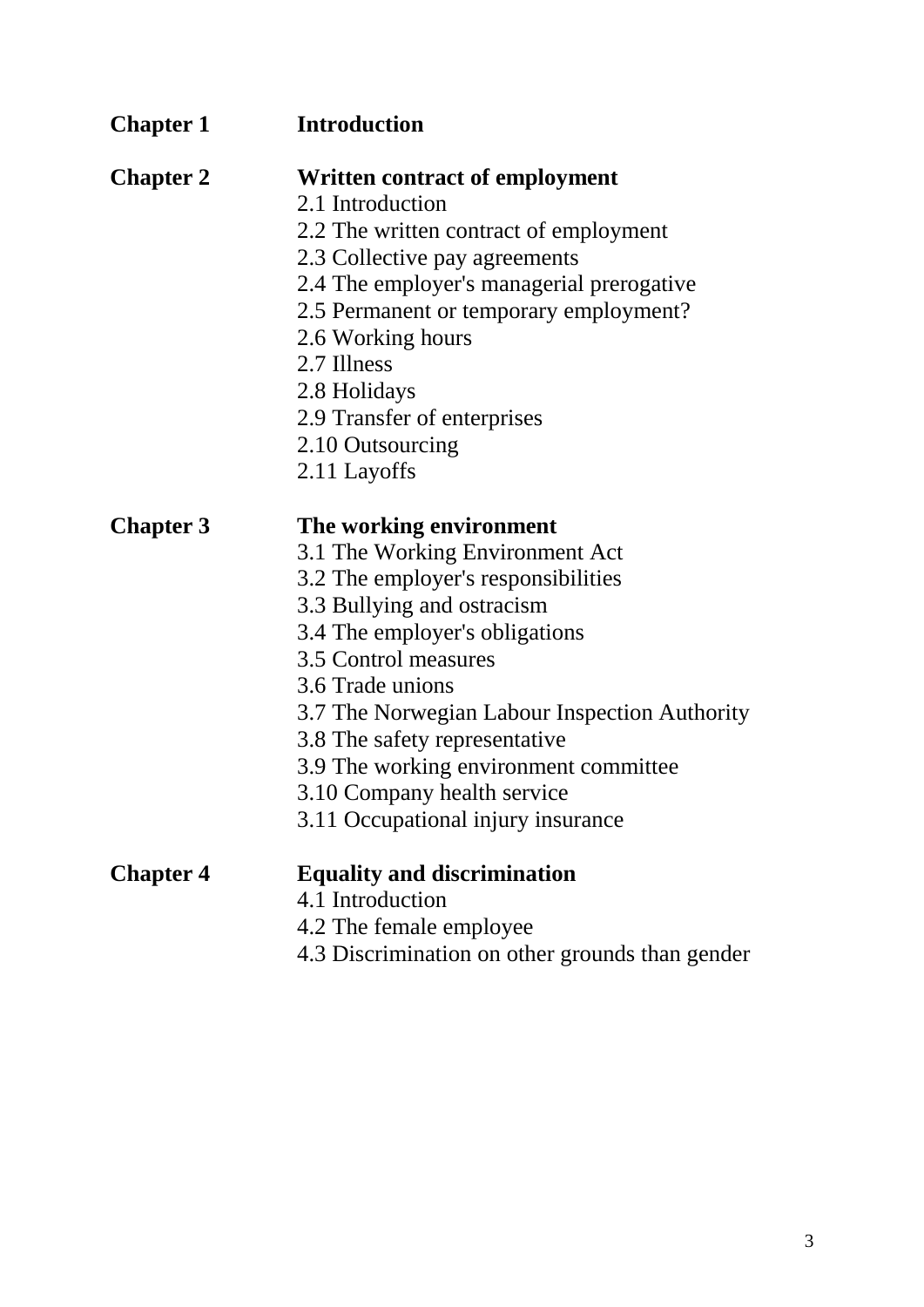| <b>Chapter 1</b> | <b>Introduction</b>                             |
|------------------|-------------------------------------------------|
| <b>Chapter 2</b> | <b>Written contract of employment</b>           |
|                  | 2.1 Introduction                                |
|                  | 2.2 The written contract of employment          |
|                  | 2.3 Collective pay agreements                   |
|                  | 2.4 The employer's managerial prerogative       |
|                  | 2.5 Permanent or temporary employment?          |
|                  | 2.6 Working hours                               |
|                  | 2.7 Illness                                     |
|                  | 2.8 Holidays                                    |
|                  | 2.9 Transfer of enterprises                     |
|                  | 2.10 Outsourcing                                |
|                  | 2.11 Layoffs                                    |
| <b>Chapter 3</b> | The working environment                         |
|                  | 3.1 The Working Environment Act                 |
|                  | 3.2 The employer's responsibilities             |
|                  | 3.3 Bullying and ostracism                      |
|                  | 3.4 The employer's obligations                  |
|                  | 3.5 Control measures                            |
|                  | 3.6 Trade unions                                |
|                  | 3.7 The Norwegian Labour Inspection Authority   |
|                  | 3.8 The safety representative                   |
|                  | 3.9 The working environment committee           |
|                  | 3.10 Company health service                     |
|                  | 3.11 Occupational injury insurance              |
| <b>Chapter 4</b> | <b>Equality and discrimination</b>              |
|                  | 4.1 Introduction                                |
|                  | 4.2 The female employee                         |
|                  | 4.3 Discrimination on other grounds than gender |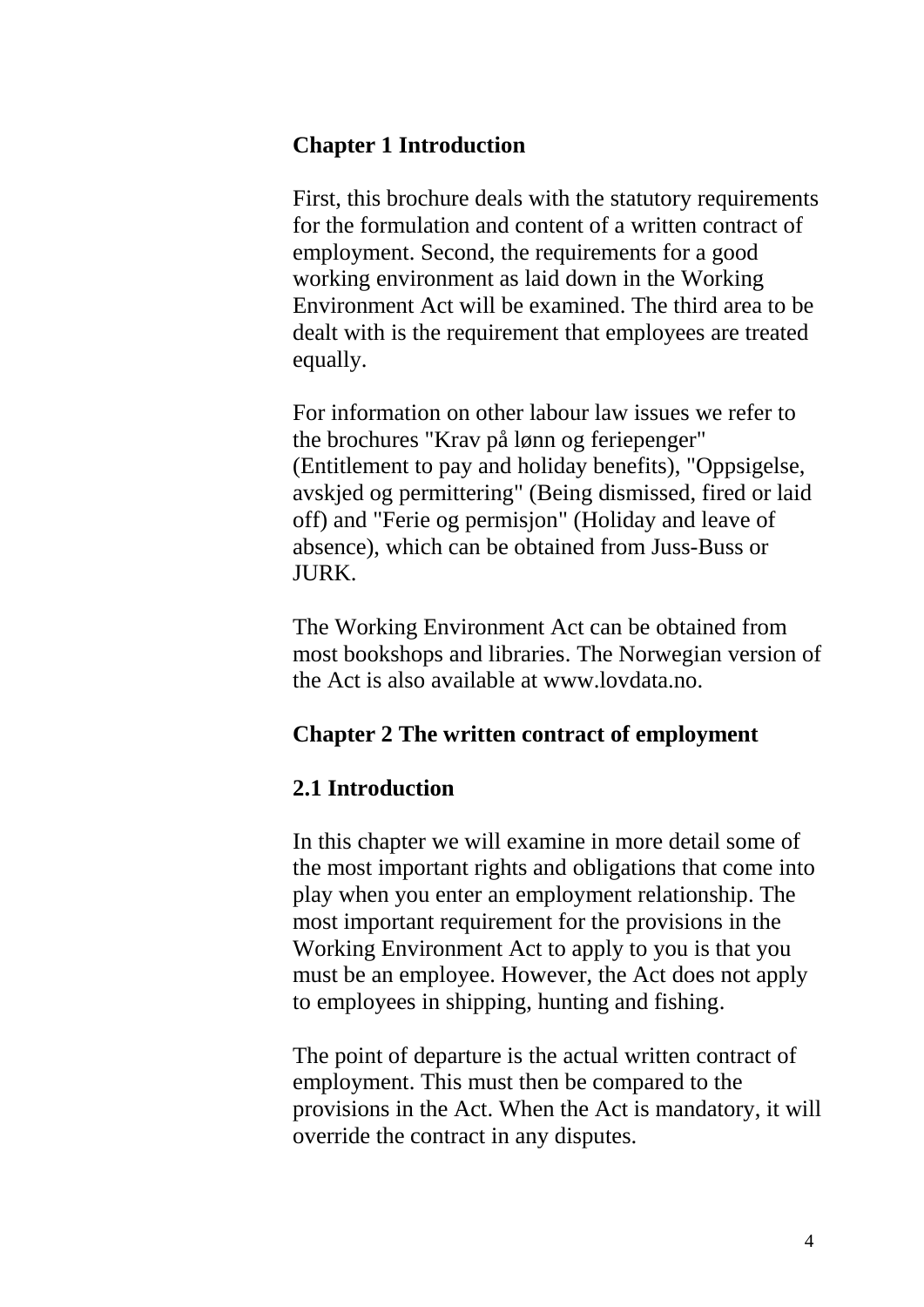#### **Chapter 1 Introduction**

First, this brochure deals with the statutory requirements for the formulation and content of a written contract of employment. Second, the requirements for a good working environment as laid down in the Working Environment Act will be examined. The third area to be dealt with is the requirement that employees are treated equally.

For information on other labour law issues we refer to the brochures "Krav på lønn og feriepenger" (Entitlement to pay and holiday benefits), "Oppsigelse, avskjed og permittering" (Being dismissed, fired or laid off) and "Ferie og permisjon" (Holiday and leave of absence), which can be obtained from Juss-Buss or JURK.

The Working Environment Act can be obtained from most bookshops and libraries. The Norwegian version of the Act is also available at www.lovdata.no.

#### **Chapter 2 The written contract of employment**

#### **2.1 Introduction**

In this chapter we will examine in more detail some of the most important rights and obligations that come into play when you enter an employment relationship. The most important requirement for the provisions in the Working Environment Act to apply to you is that you must be an employee. However, the Act does not apply to employees in shipping, hunting and fishing.

The point of departure is the actual written contract of employment. This must then be compared to the provisions in the Act. When the Act is mandatory, it will override the contract in any disputes.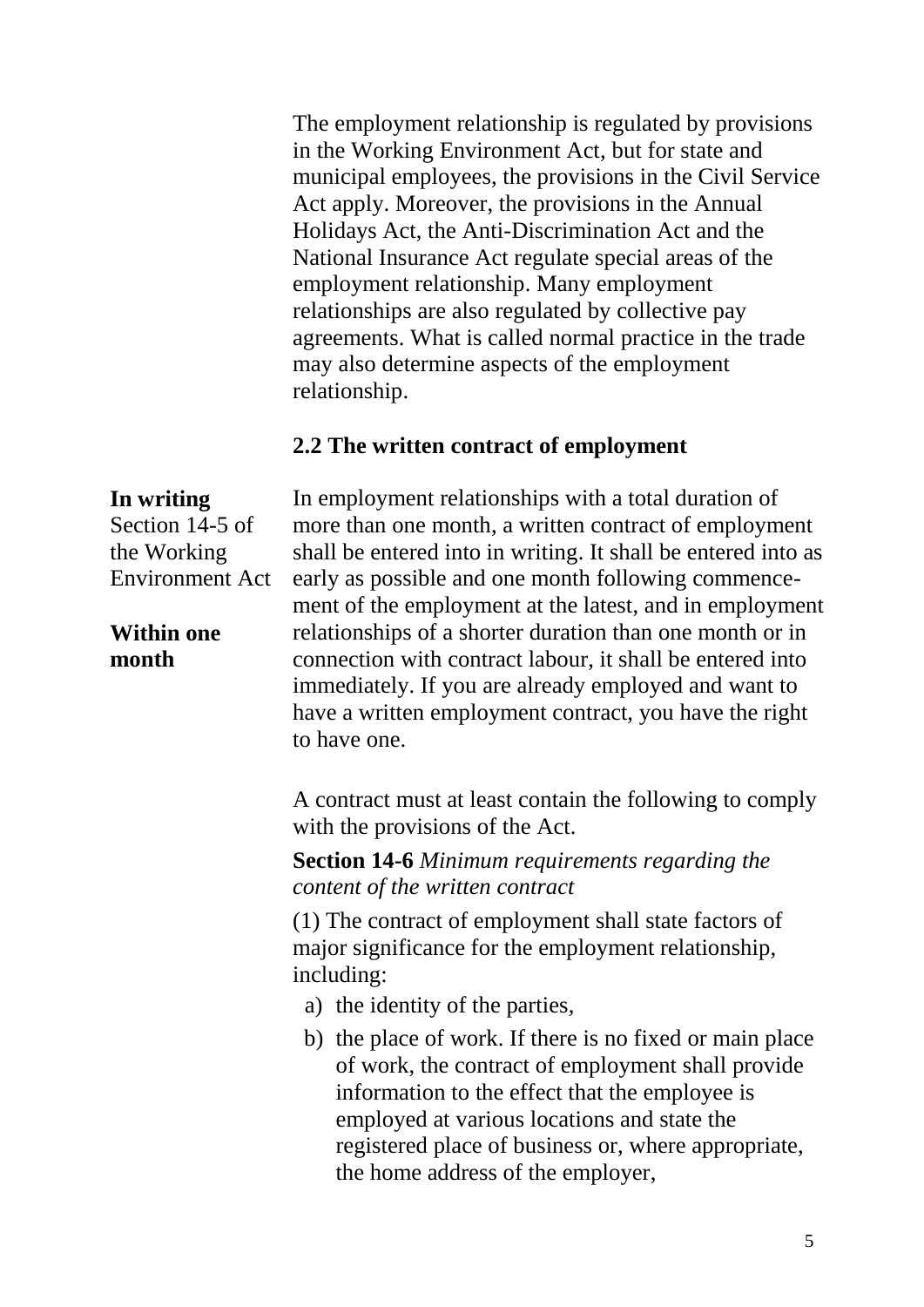The employment relationship is regulated by provisions in the Working Environment Act, but for state and municipal employees, the provisions in the Civil Service Act apply. Moreover, the provisions in the Annual Holidays Act, the Anti-Discrimination Act and the National Insurance Act regulate special areas of the employment relationship. Many employment relationships are also regulated by collective pay agreements. What is called normal practice in the trade may also determine aspects of the employment relationship.

#### **2.2 The written contract of employment**

#### **In writing**

Section 14-5 of the Working Environment Act

#### **Within one month**

In employment relationships with a total duration of more than one month, a written contract of employment shall be entered into in writing. It shall be entered into as early as possible and one month following commencement of the employment at the latest, and in employment relationships of a shorter duration than one month or in connection with contract labour, it shall be entered into immediately. If you are already employed and want to have a written employment contract, you have the right to have one.

A contract must at least contain the following to comply with the provisions of the Act.

**Section 14-6** *Minimum requirements regarding the content of the written contract*

(1) The contract of employment shall state factors of major significance for the employment relationship, including:

- a) the identity of the parties,
- b) the place of work. If there is no fixed or main place of work, the contract of employment shall provide information to the effect that the employee is employed at various locations and state the registered place of business or, where appropriate, the home address of the employer,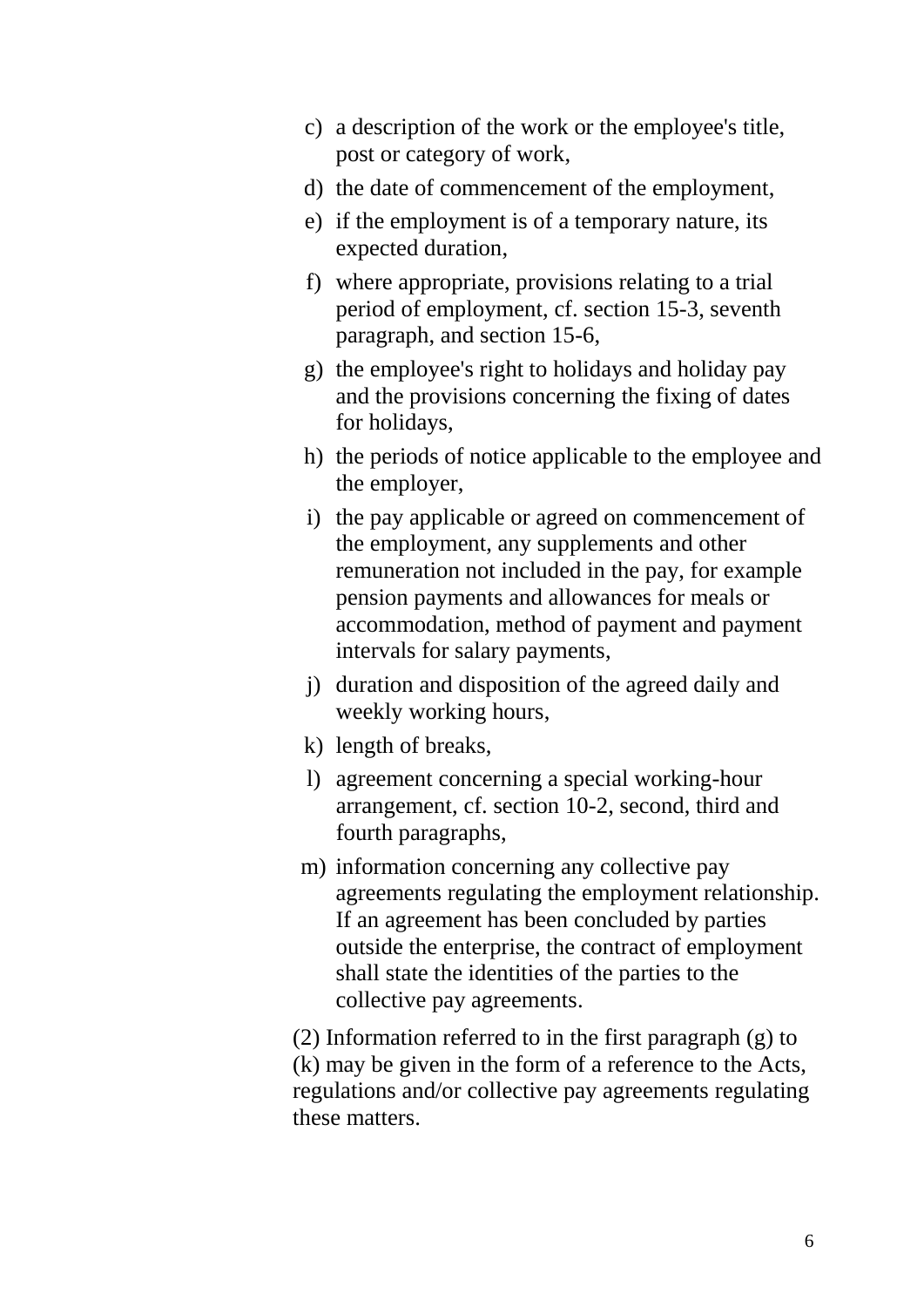- c) a description of the work or the employee's title, post or category of work,
- d) the date of commencement of the employment,
- e) if the employment is of a temporary nature, its expected duration,
- f) where appropriate, provisions relating to a trial period of employment, cf. section 15-3, seventh paragraph, and section 15-6,
- g) the employee's right to holidays and holiday pay and the provisions concerning the fixing of dates for holidays,
- h) the periods of notice applicable to the employee and the employer,
- i) the pay applicable or agreed on commencement of the employment, any supplements and other remuneration not included in the pay, for example pension payments and allowances for meals or accommodation, method of payment and payment intervals for salary payments,
- j) duration and disposition of the agreed daily and weekly working hours,
- k) length of breaks,
- l) agreement concerning a special working-hour arrangement, cf. section 10-2, second, third and fourth paragraphs,
- m) information concerning any collective pay agreements regulating the employment relationship. If an agreement has been concluded by parties outside the enterprise, the contract of employment shall state the identities of the parties to the collective pay agreements.

(2) Information referred to in the first paragraph (g) to (k) may be given in the form of a reference to the Acts, regulations and/or collective pay agreements regulating these matters.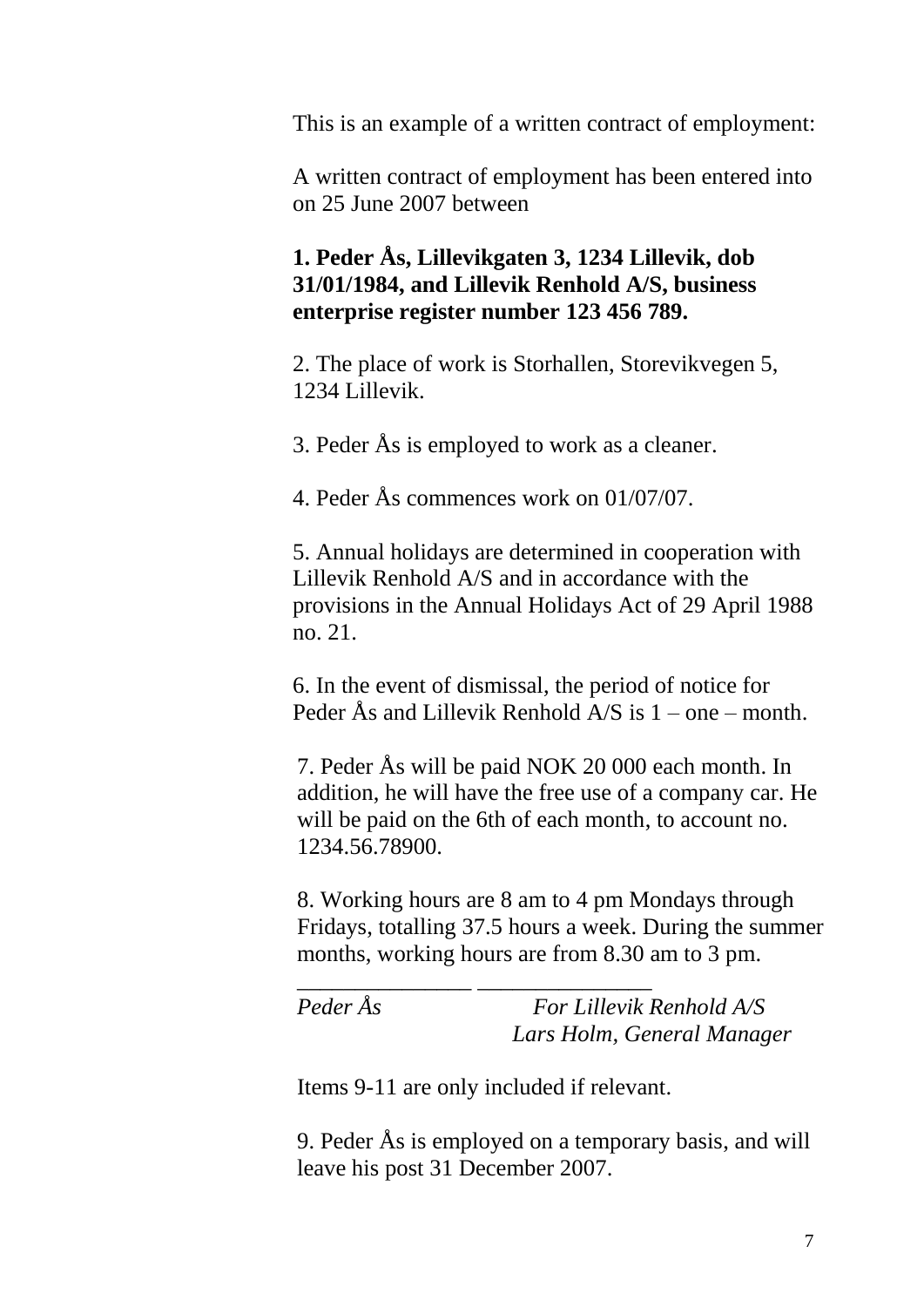This is an example of a written contract of employment:

A written contract of employment has been entered into on 25 June 2007 between

#### **1. Peder Ås, Lillevikgaten 3, 1234 Lillevik, dob 31/01/1984, and Lillevik Renhold A/S, business enterprise register number 123 456 789.**

2. The place of work is Storhallen, Storevikvegen 5, 1234 Lillevik.

3. Peder Ås is employed to work as a cleaner.

4. Peder Ås commences work on 01/07/07.

5. Annual holidays are determined in cooperation with Lillevik Renhold A/S and in accordance with the provisions in the Annual Holidays Act of 29 April 1988 no. 21.

6. In the event of dismissal, the period of notice for Peder Ås and Lillevik Renhold A/S is 1 – one – month.

7. Peder Ås will be paid NOK 20 000 each month. In addition, he will have the free use of a company car. He will be paid on the 6th of each month, to account no. 1234.56.78900.

8. Working hours are 8 am to 4 pm Mondays through Fridays, totalling 37.5 hours a week. During the summer months, working hours are from 8.30 am to 3 pm.

*\_\_\_\_\_\_\_\_\_\_\_\_\_\_\_ \_\_\_\_\_\_\_\_\_\_\_\_\_\_\_*

*Peder Ås For Lillevik Renhold A/S Lars Holm, General Manager*

Items 9-11 are only included if relevant.

9. Peder Ås is employed on a temporary basis, and will leave his post 31 December 2007.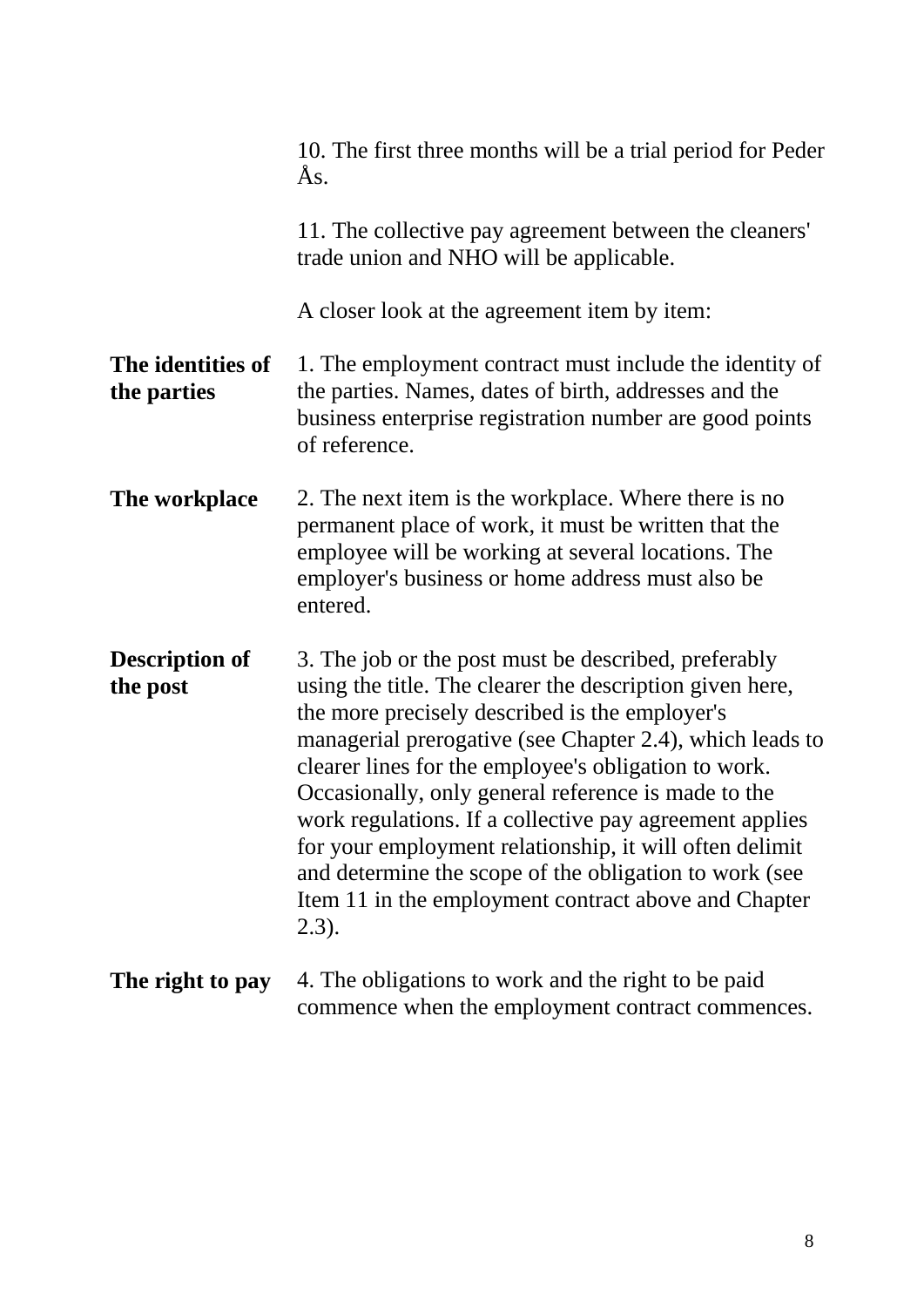|                                   | 10. The first three months will be a trial period for Peder<br>Ås.                                                                                                                                                                                                                                                                                                                                                                                                                                                                                                                              |
|-----------------------------------|-------------------------------------------------------------------------------------------------------------------------------------------------------------------------------------------------------------------------------------------------------------------------------------------------------------------------------------------------------------------------------------------------------------------------------------------------------------------------------------------------------------------------------------------------------------------------------------------------|
|                                   | 11. The collective pay agreement between the cleaners'<br>trade union and NHO will be applicable.                                                                                                                                                                                                                                                                                                                                                                                                                                                                                               |
|                                   | A closer look at the agreement item by item:                                                                                                                                                                                                                                                                                                                                                                                                                                                                                                                                                    |
| The identities of<br>the parties  | 1. The employment contract must include the identity of<br>the parties. Names, dates of birth, addresses and the<br>business enterprise registration number are good points<br>of reference.                                                                                                                                                                                                                                                                                                                                                                                                    |
| The workplace                     | 2. The next item is the workplace. Where there is no<br>permanent place of work, it must be written that the<br>employee will be working at several locations. The<br>employer's business or home address must also be<br>entered.                                                                                                                                                                                                                                                                                                                                                              |
| <b>Description of</b><br>the post | 3. The job or the post must be described, preferably<br>using the title. The clearer the description given here,<br>the more precisely described is the employer's<br>managerial prerogative (see Chapter 2.4), which leads to<br>clearer lines for the employee's obligation to work.<br>Occasionally, only general reference is made to the<br>work regulations. If a collective pay agreement applies<br>for your employment relationship, it will often delimit<br>and determine the scope of the obligation to work (see<br>Item 11 in the employment contract above and Chapter<br>(2.3). |
| The right to pay                  | 4. The obligations to work and the right to be paid<br>commence when the employment contract commences.                                                                                                                                                                                                                                                                                                                                                                                                                                                                                         |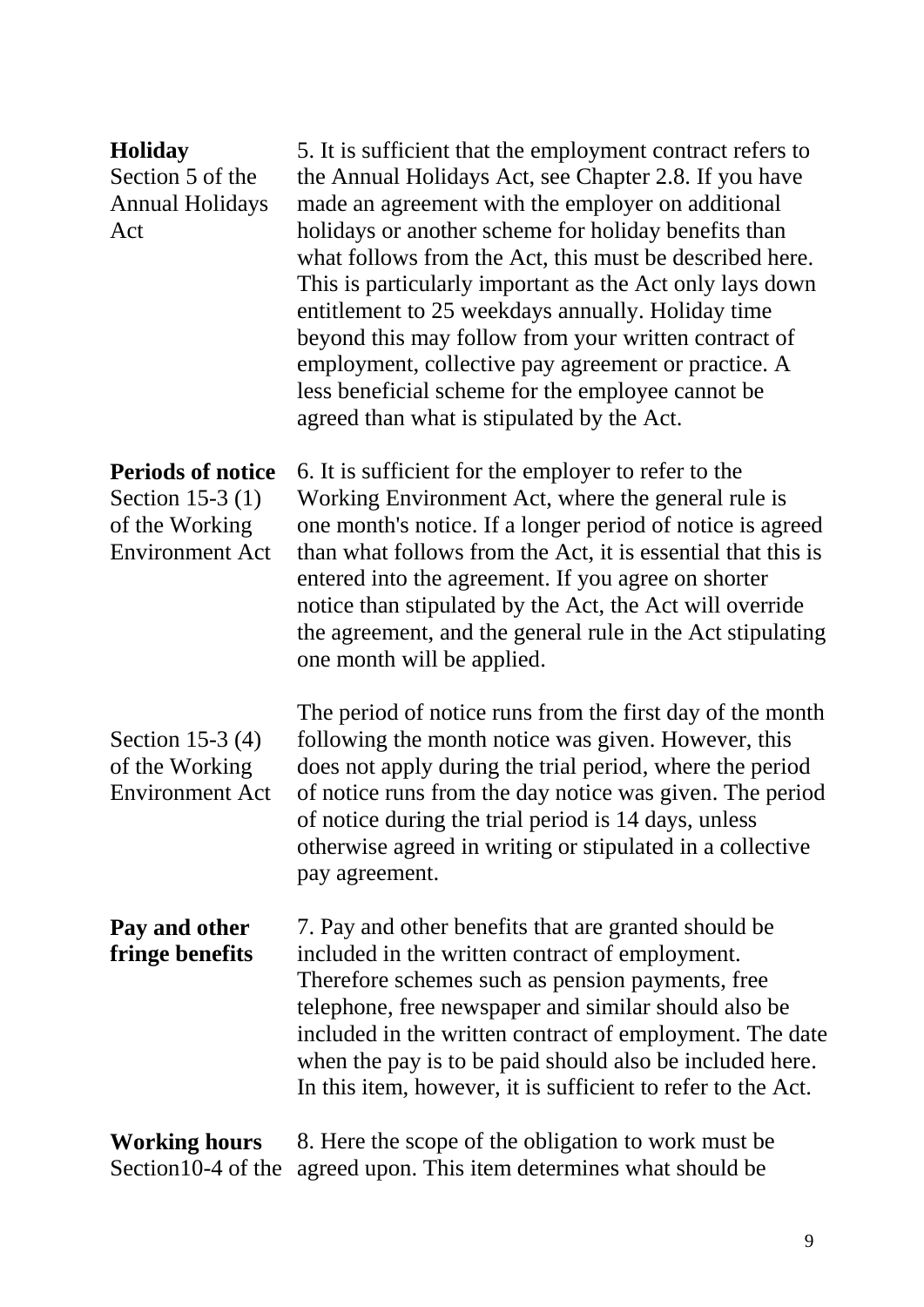| <b>Holiday</b><br>Section 5 of the<br><b>Annual Holidays</b><br>Act                      | 5. It is sufficient that the employment contract refers to<br>the Annual Holidays Act, see Chapter 2.8. If you have<br>made an agreement with the employer on additional<br>holidays or another scheme for holiday benefits than<br>what follows from the Act, this must be described here.<br>This is particularly important as the Act only lays down<br>entitlement to 25 weekdays annually. Holiday time<br>beyond this may follow from your written contract of<br>employment, collective pay agreement or practice. A<br>less beneficial scheme for the employee cannot be<br>agreed than what is stipulated by the Act. |
|------------------------------------------------------------------------------------------|--------------------------------------------------------------------------------------------------------------------------------------------------------------------------------------------------------------------------------------------------------------------------------------------------------------------------------------------------------------------------------------------------------------------------------------------------------------------------------------------------------------------------------------------------------------------------------------------------------------------------------|
| <b>Periods of notice</b><br>Section 15-3 (1)<br>of the Working<br><b>Environment Act</b> | 6. It is sufficient for the employer to refer to the<br>Working Environment Act, where the general rule is<br>one month's notice. If a longer period of notice is agreed<br>than what follows from the Act, it is essential that this is<br>entered into the agreement. If you agree on shorter<br>notice than stipulated by the Act, the Act will override<br>the agreement, and the general rule in the Act stipulating<br>one month will be applied.                                                                                                                                                                        |
| Section 15-3 $(4)$<br>of the Working<br><b>Environment Act</b>                           | The period of notice runs from the first day of the month<br>following the month notice was given. However, this<br>does not apply during the trial period, where the period<br>of notice runs from the day notice was given. The period<br>of notice during the trial period is 14 days, unless<br>otherwise agreed in writing or stipulated in a collective<br>pay agreement.                                                                                                                                                                                                                                                |
| Pay and other<br>fringe benefits                                                         | 7. Pay and other benefits that are granted should be<br>included in the written contract of employment.<br>Therefore schemes such as pension payments, free<br>telephone, free newspaper and similar should also be<br>included in the written contract of employment. The date<br>when the pay is to be paid should also be included here.<br>In this item, however, it is sufficient to refer to the Act.                                                                                                                                                                                                                    |
| <b>Working hours</b><br>Section 10-4 of the                                              | 8. Here the scope of the obligation to work must be<br>agreed upon. This item determines what should be                                                                                                                                                                                                                                                                                                                                                                                                                                                                                                                        |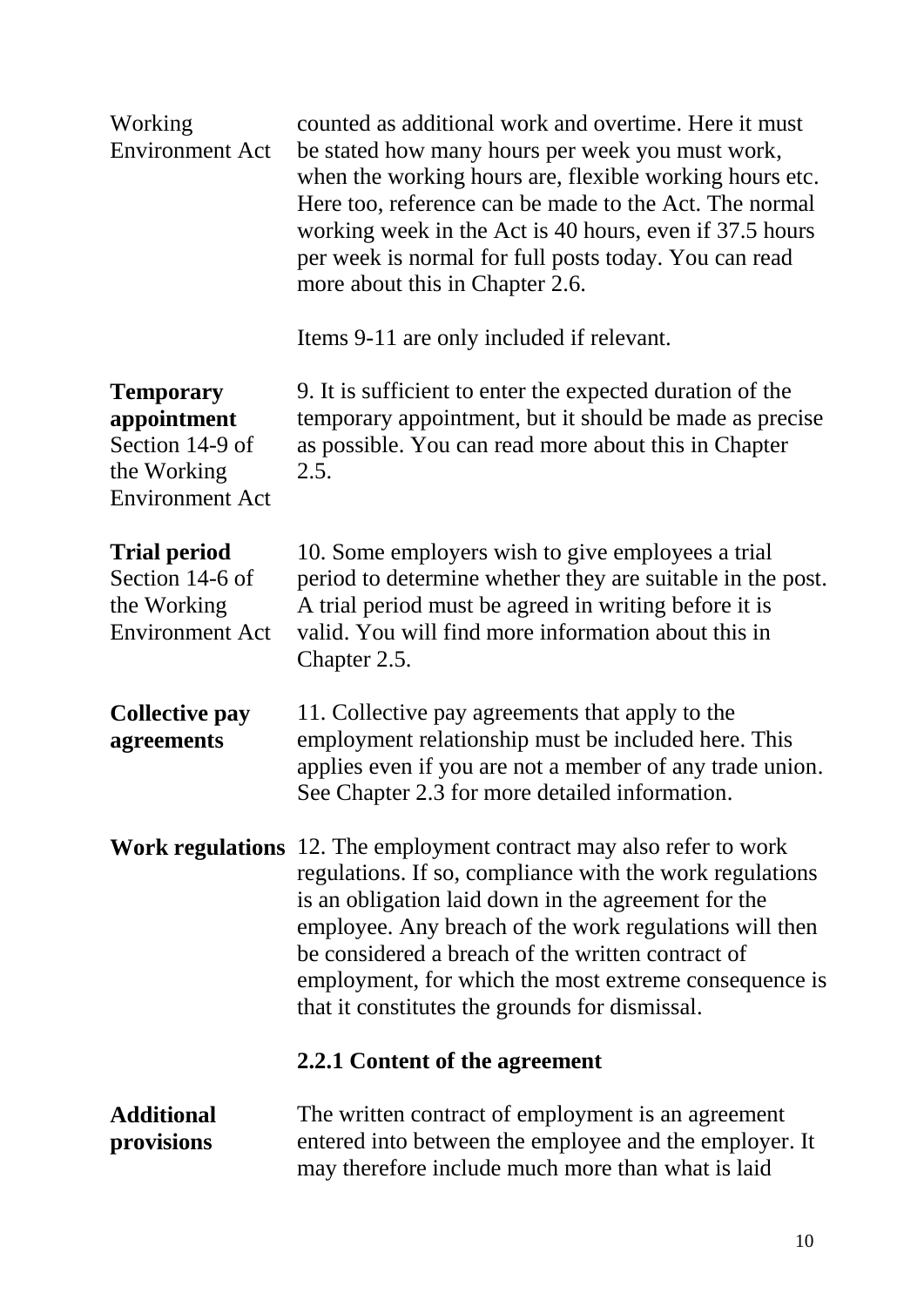| Working<br><b>Environment Act</b>                                                           | counted as additional work and overtime. Here it must<br>be stated how many hours per week you must work,<br>when the working hours are, flexible working hours etc.<br>Here too, reference can be made to the Act. The normal<br>working week in the Act is 40 hours, even if 37.5 hours<br>per week is normal for full posts today. You can read<br>more about this in Chapter 2.6.                                   |
|---------------------------------------------------------------------------------------------|-------------------------------------------------------------------------------------------------------------------------------------------------------------------------------------------------------------------------------------------------------------------------------------------------------------------------------------------------------------------------------------------------------------------------|
|                                                                                             | Items 9-11 are only included if relevant.                                                                                                                                                                                                                                                                                                                                                                               |
| <b>Temporary</b><br>appointment<br>Section 14-9 of<br>the Working<br><b>Environment Act</b> | 9. It is sufficient to enter the expected duration of the<br>temporary appointment, but it should be made as precise<br>as possible. You can read more about this in Chapter<br>2.5.                                                                                                                                                                                                                                    |
| <b>Trial period</b><br>Section 14-6 of<br>the Working<br><b>Environment Act</b>             | 10. Some employers wish to give employees a trial<br>period to determine whether they are suitable in the post.<br>A trial period must be agreed in writing before it is<br>valid. You will find more information about this in<br>Chapter 2.5.                                                                                                                                                                         |
| <b>Collective pay</b><br>agreements                                                         | 11. Collective pay agreements that apply to the<br>employment relationship must be included here. This<br>applies even if you are not a member of any trade union.<br>See Chapter 2.3 for more detailed information.                                                                                                                                                                                                    |
|                                                                                             | <b>Work regulations</b> 12. The employment contract may also refer to work<br>regulations. If so, compliance with the work regulations<br>is an obligation laid down in the agreement for the<br>employee. Any breach of the work regulations will then<br>be considered a breach of the written contract of<br>employment, for which the most extreme consequence is<br>that it constitutes the grounds for dismissal. |
|                                                                                             | 2.2.1 Content of the agreement                                                                                                                                                                                                                                                                                                                                                                                          |
| <b>Additional</b><br>provisions                                                             | The written contract of employment is an agreement<br>entered into between the employee and the employer. It<br>may therefore include much more than what is laid                                                                                                                                                                                                                                                       |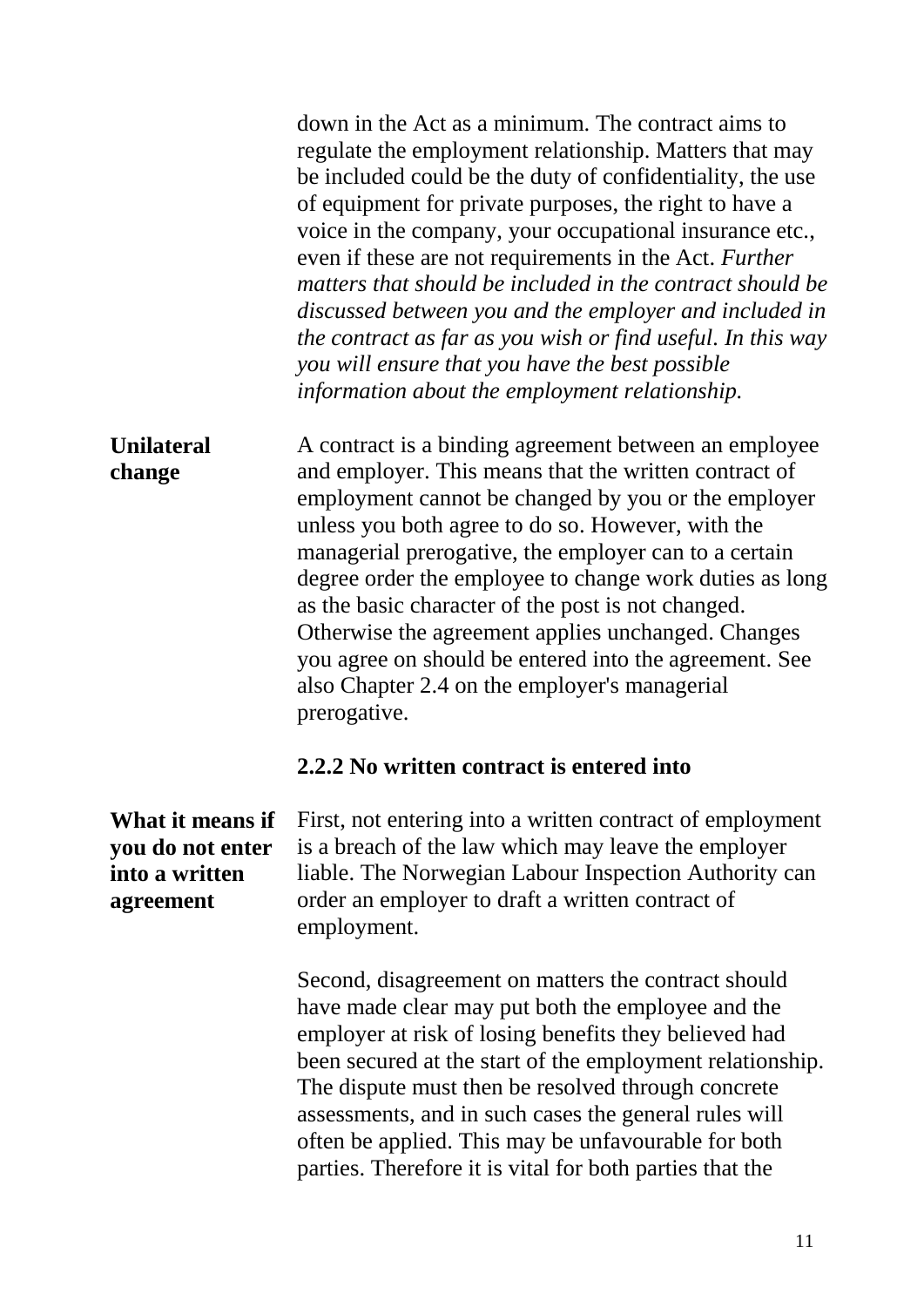down in the Act as a minimum. The contract aims to regulate the employment relationship. Matters that may be included could be the duty of confidentiality, the use of equipment for private purposes, the right to have a voice in the company, your occupational insurance etc., even if these are not requirements in the Act. *Further matters that should be included in the contract should be discussed between you and the employer and included in the contract as far as you wish or find useful. In this way you will ensure that you have the best possible information about the employment relationship.* 

**Unilateral change**  A contract is a binding agreement between an employee and employer. This means that the written contract of employment cannot be changed by you or the employer unless you both agree to do so. However, with the managerial prerogative, the employer can to a certain degree order the employee to change work duties as long as the basic character of the post is not changed. Otherwise the agreement applies unchanged. Changes you agree on should be entered into the agreement. See also Chapter 2.4 on the employer's managerial prerogative.

#### **2.2.2 No written contract is entered into**

**What it means if you do not enter into a written agreement**

First, not entering into a written contract of employment is a breach of the law which may leave the employer liable. The Norwegian Labour Inspection Authority can order an employer to draft a written contract of employment.

Second, disagreement on matters the contract should have made clear may put both the employee and the employer at risk of losing benefits they believed had been secured at the start of the employment relationship. The dispute must then be resolved through concrete assessments, and in such cases the general rules will often be applied. This may be unfavourable for both parties. Therefore it is vital for both parties that the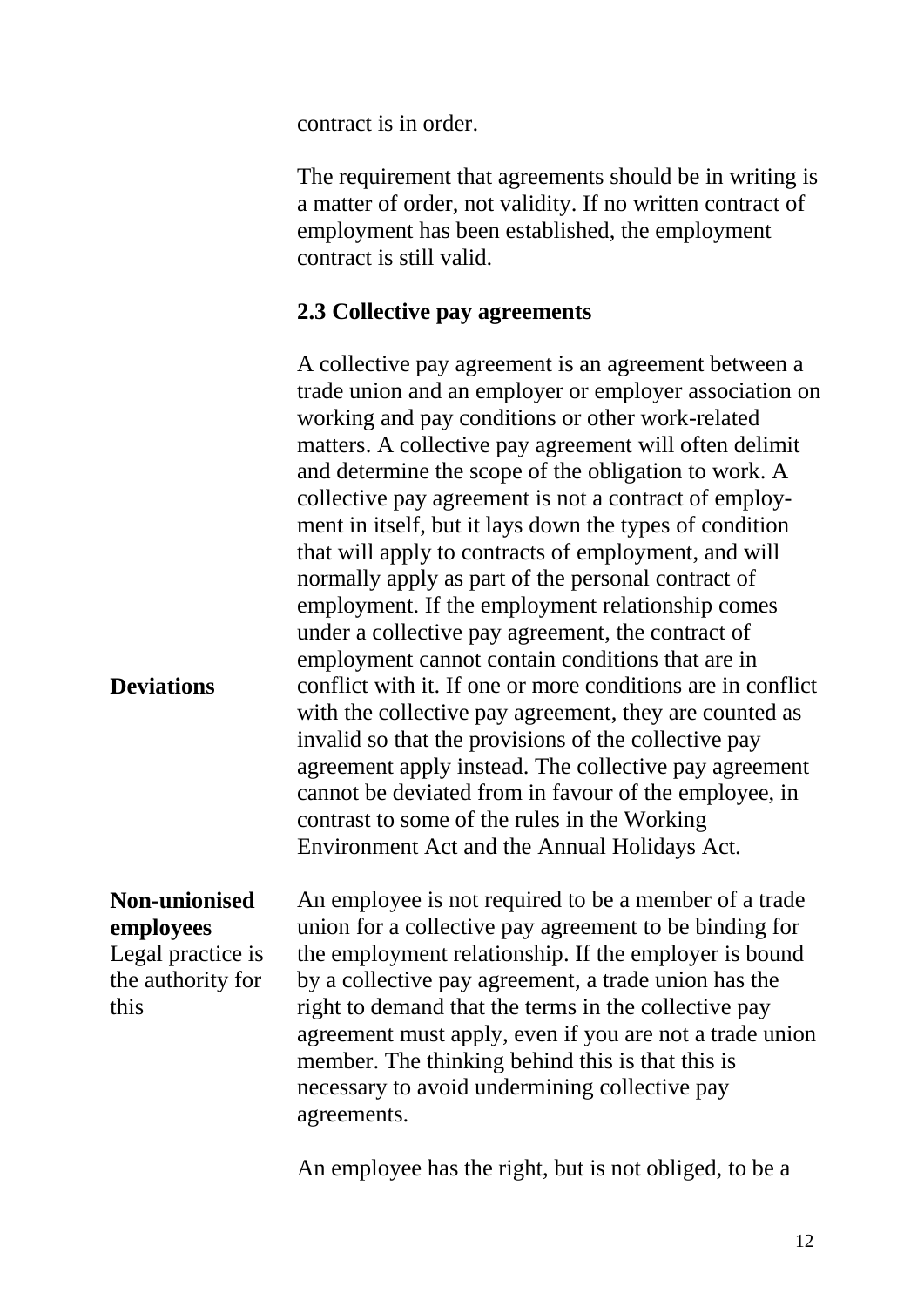contract is in order.

The requirement that agreements should be in writing is a matter of order, not validity. If no written contract of employment has been established, the employment contract is still valid.

#### **2.3 Collective pay agreements**

A collective pay agreement is an agreement between a trade union and an employer or employer association on working and pay conditions or other work-related matters. A collective pay agreement will often delimit and determine the scope of the obligation to work. A collective pay agreement is not a contract of employment in itself, but it lays down the types of condition that will apply to contracts of employment, and will normally apply as part of the personal contract of employment. If the employment relationship comes under a collective pay agreement, the contract of employment cannot contain conditions that are in conflict with it. If one or more conditions are in conflict with the collective pay agreement, they are counted as invalid so that the provisions of the collective pay agreement apply instead. The collective pay agreement cannot be deviated from in favour of the employee, in contrast to some of the rules in the Working Environment Act and the Annual Holidays Act.

#### **Non-unionised employees**

**Deviations**

Legal practice is the authority for this

An employee is not required to be a member of a trade union for a collective pay agreement to be binding for the employment relationship. If the employer is bound by a collective pay agreement, a trade union has the right to demand that the terms in the collective pay agreement must apply, even if you are not a trade union member. The thinking behind this is that this is necessary to avoid undermining collective pay agreements.

An employee has the right, but is not obliged, to be a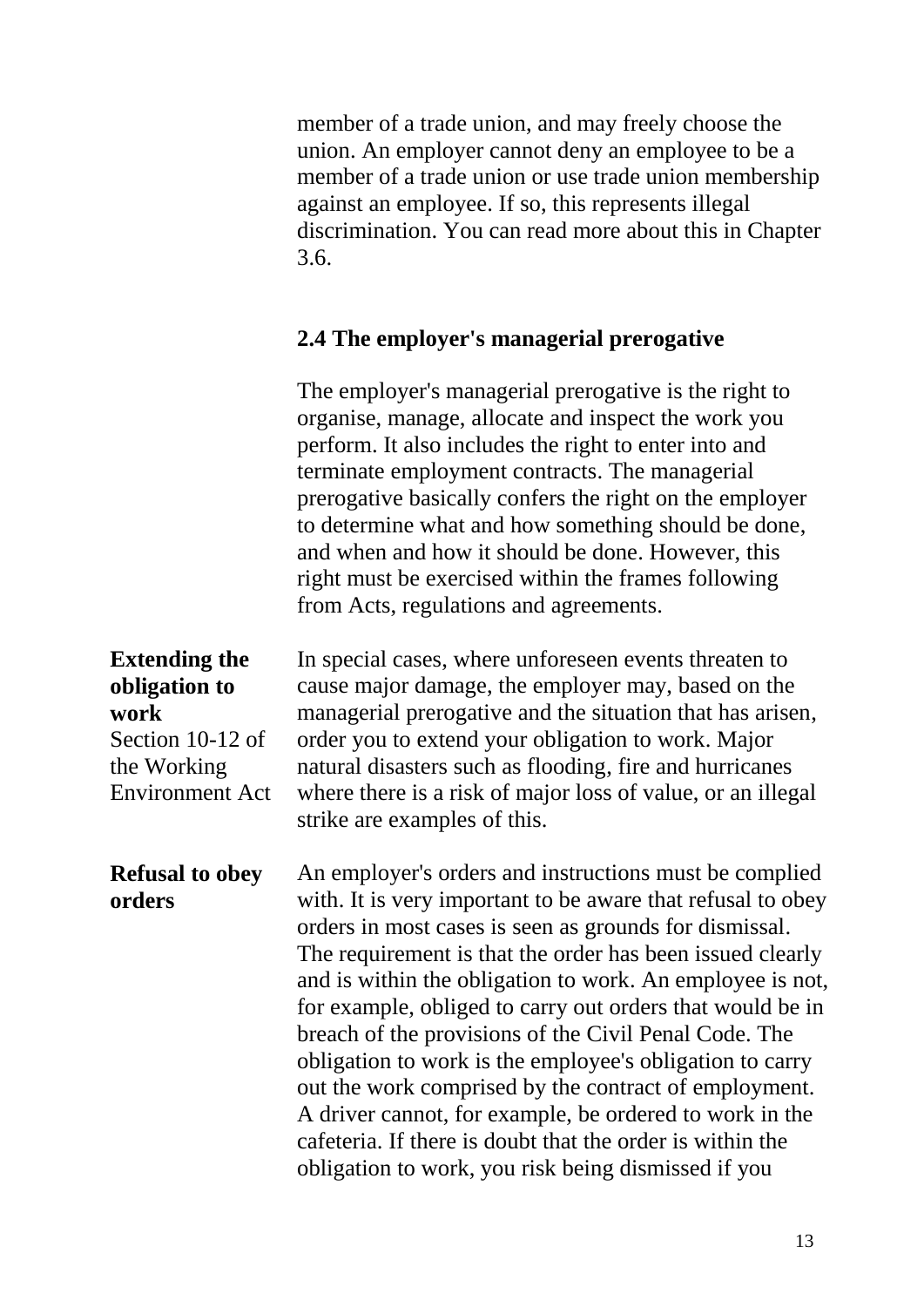member of a trade union, and may freely choose the union. An employer cannot deny an employee to be a member of a trade union or use trade union membership against an employee. If so, this represents illegal discrimination. You can read more about this in Chapter 3.6.

### **2.4 The employer's managerial prerogative**

The employer's managerial prerogative is the right to organise, manage, allocate and inspect the work you perform. It also includes the right to enter into and terminate employment contracts. The managerial prerogative basically confers the right on the employer to determine what and how something should be done, and when and how it should be done. However, this right must be exercised within the frames following from Acts, regulations and agreements.

**Extending the obligation to work** Section 10-12 of the Working Environment Act In special cases, where unforeseen events threaten to cause major damage, the employer may, based on the managerial prerogative and the situation that has arisen, order you to extend your obligation to work. Major natural disasters such as flooding, fire and hurricanes where there is a risk of major loss of value, or an illegal strike are examples of this.

**Refusal to obey orders** An employer's orders and instructions must be complied with. It is very important to be aware that refusal to obey orders in most cases is seen as grounds for dismissal. The requirement is that the order has been issued clearly and is within the obligation to work. An employee is not, for example, obliged to carry out orders that would be in breach of the provisions of the Civil Penal Code. The obligation to work is the employee's obligation to carry out the work comprised by the contract of employment. A driver cannot, for example, be ordered to work in the cafeteria. If there is doubt that the order is within the obligation to work, you risk being dismissed if you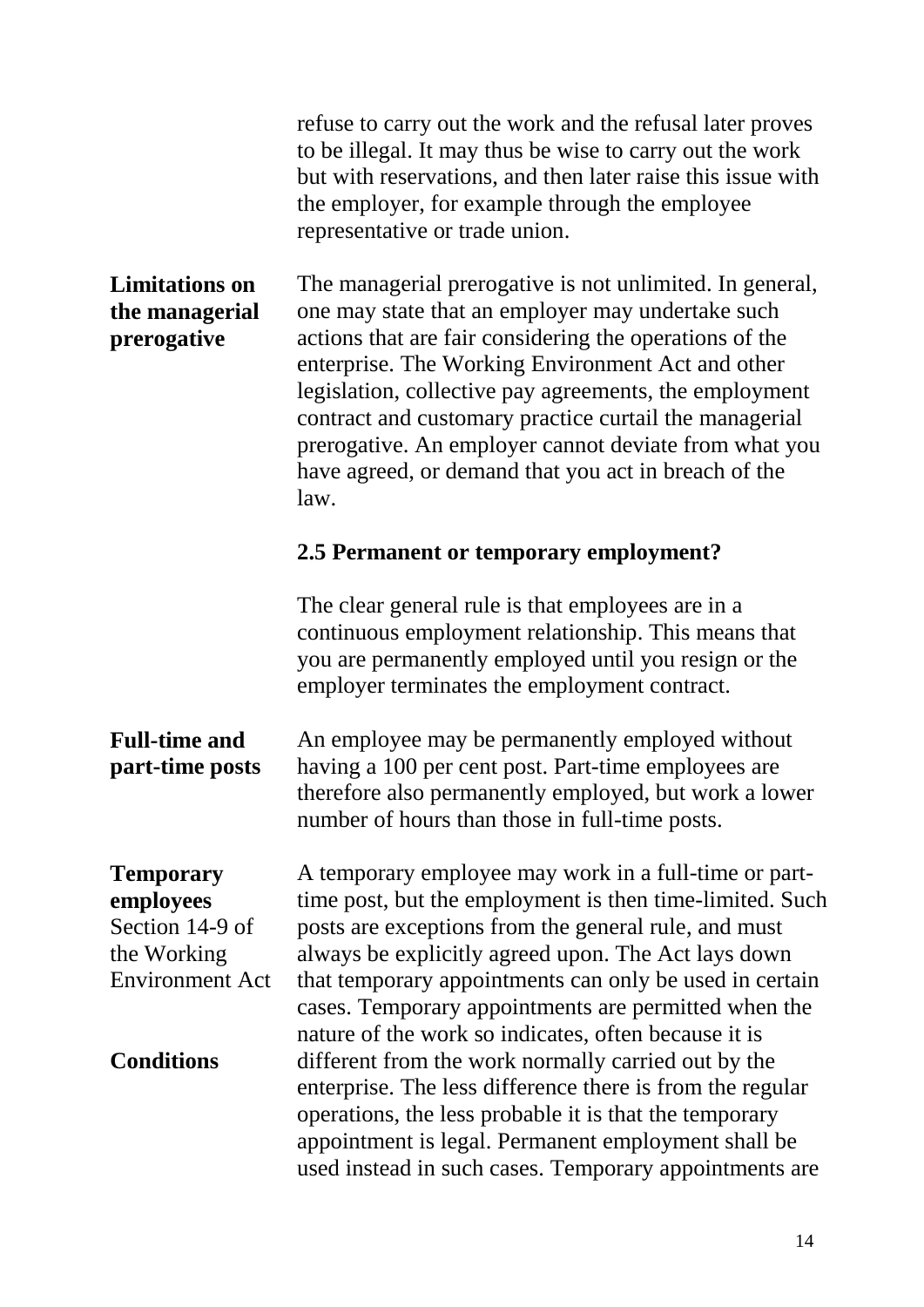|                                                                                           | refuse to carry out the work and the refusal later proves<br>to be illegal. It may thus be wise to carry out the work<br>but with reservations, and then later raise this issue with<br>the employer, for example through the employee<br>representative or trade union.                                                                                                                                                                                                   |
|-------------------------------------------------------------------------------------------|----------------------------------------------------------------------------------------------------------------------------------------------------------------------------------------------------------------------------------------------------------------------------------------------------------------------------------------------------------------------------------------------------------------------------------------------------------------------------|
| <b>Limitations</b> on<br>the managerial<br>prerogative                                    | The managerial prerogative is not unlimited. In general,<br>one may state that an employer may undertake such<br>actions that are fair considering the operations of the<br>enterprise. The Working Environment Act and other<br>legislation, collective pay agreements, the employment<br>contract and customary practice curtail the managerial<br>prerogative. An employer cannot deviate from what you<br>have agreed, or demand that you act in breach of the<br>law. |
|                                                                                           | 2.5 Permanent or temporary employment?                                                                                                                                                                                                                                                                                                                                                                                                                                     |
|                                                                                           | The clear general rule is that employees are in a<br>continuous employment relationship. This means that<br>you are permanently employed until you resign or the<br>employer terminates the employment contract.                                                                                                                                                                                                                                                           |
| <b>Full-time and</b><br>part-time posts                                                   | An employee may be permanently employed without<br>having a 100 per cent post. Part-time employees are<br>therefore also permanently employed, but work a lower<br>number of hours than those in full-time posts.                                                                                                                                                                                                                                                          |
| <b>Temporary</b><br>employees<br>Section 14-9 of<br>the Working<br><b>Environment Act</b> | A temporary employee may work in a full-time or part-<br>time post, but the employment is then time-limited. Such<br>posts are exceptions from the general rule, and must<br>always be explicitly agreed upon. The Act lays down<br>that temporary appointments can only be used in certain<br>cases. Temporary appointments are permitted when the<br>nature of the work so indicates, often because it is                                                                |
| <b>Conditions</b>                                                                         | different from the work normally carried out by the<br>enterprise. The less difference there is from the regular<br>operations, the less probable it is that the temporary<br>appointment is legal. Permanent employment shall be<br>used instead in such cases. Temporary appointments are                                                                                                                                                                                |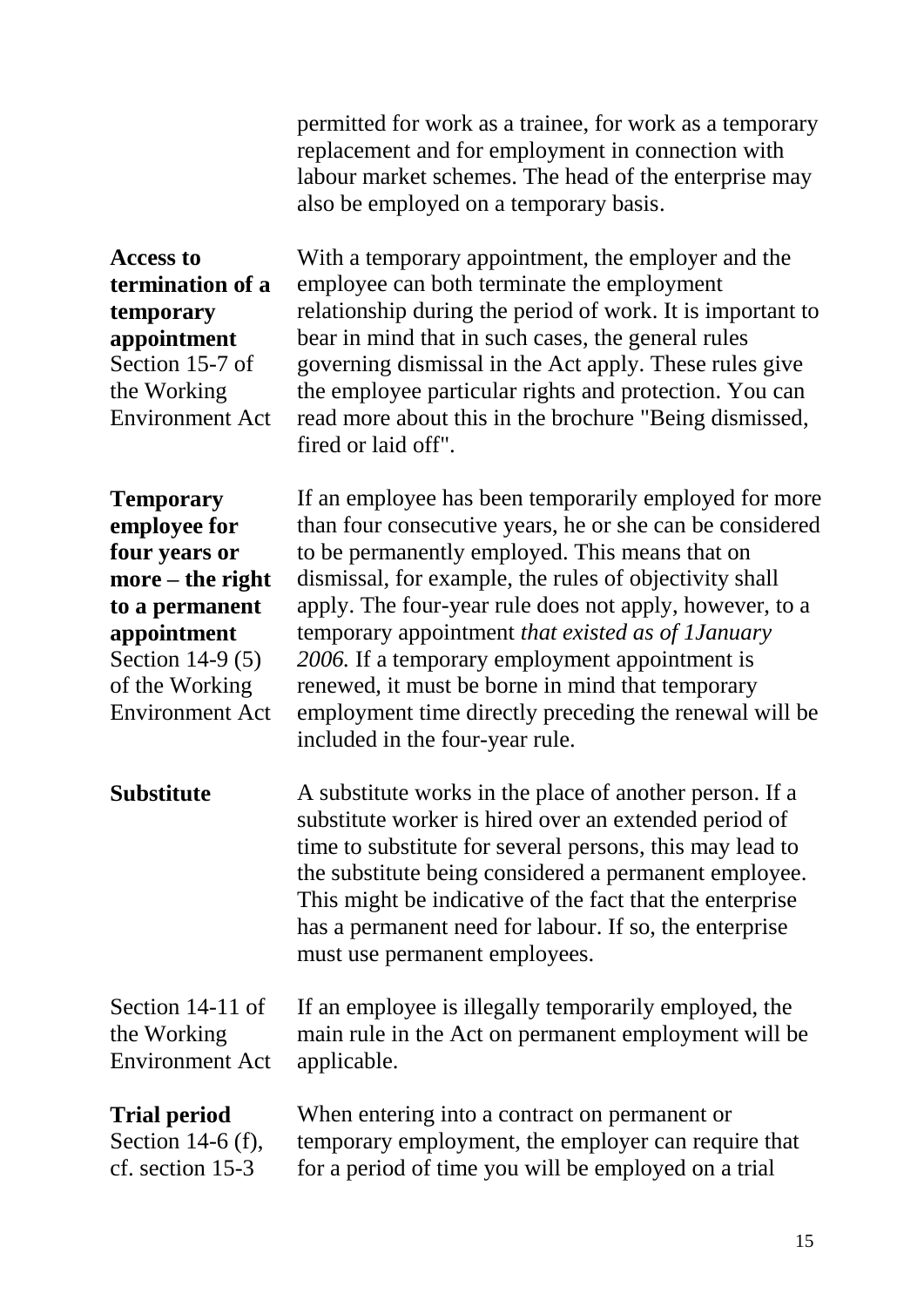permitted for work as a trainee, for work as a temporary replacement and for employment in connection with labour market schemes. The head of the enterprise may also be employed on a temporary basis.

**Access to termination of a temporary appointment** Section 15-7 of the Working Environment Act

With a temporary appointment, the employer and the employee can both terminate the employment relationship during the period of work. It is important to bear in mind that in such cases, the general rules governing dismissal in the Act apply. These rules give the employee particular rights and protection. You can read more about this in the brochure "Being dismissed, fired or laid off".

**Temporary employee for four years or more – the right to a permanent appointment** Section 14-9 (5) of the Working Environment Act

If an employee has been temporarily employed for more than four consecutive years, he or she can be considered to be permanently employed. This means that on dismissal, for example, the rules of objectivity shall apply. The four-year rule does not apply, however, to a temporary appointment *that existed as of 1January 2006.* If a temporary employment appointment is renewed, it must be borne in mind that temporary employment time directly preceding the renewal will be included in the four-year rule.

#### **Substitute**

A substitute works in the place of another person. If a substitute worker is hired over an extended period of time to substitute for several persons, this may lead to the substitute being considered a permanent employee. This might be indicative of the fact that the enterprise has a permanent need for labour. If so, the enterprise must use permanent employees.

Section 14-11 of the Working Environment Act If an employee is illegally temporarily employed, the main rule in the Act on permanent employment will be applicable.

#### **Trial period**

Section 14-6 (f), cf. section 15-3

When entering into a contract on permanent or temporary employment, the employer can require that for a period of time you will be employed on a trial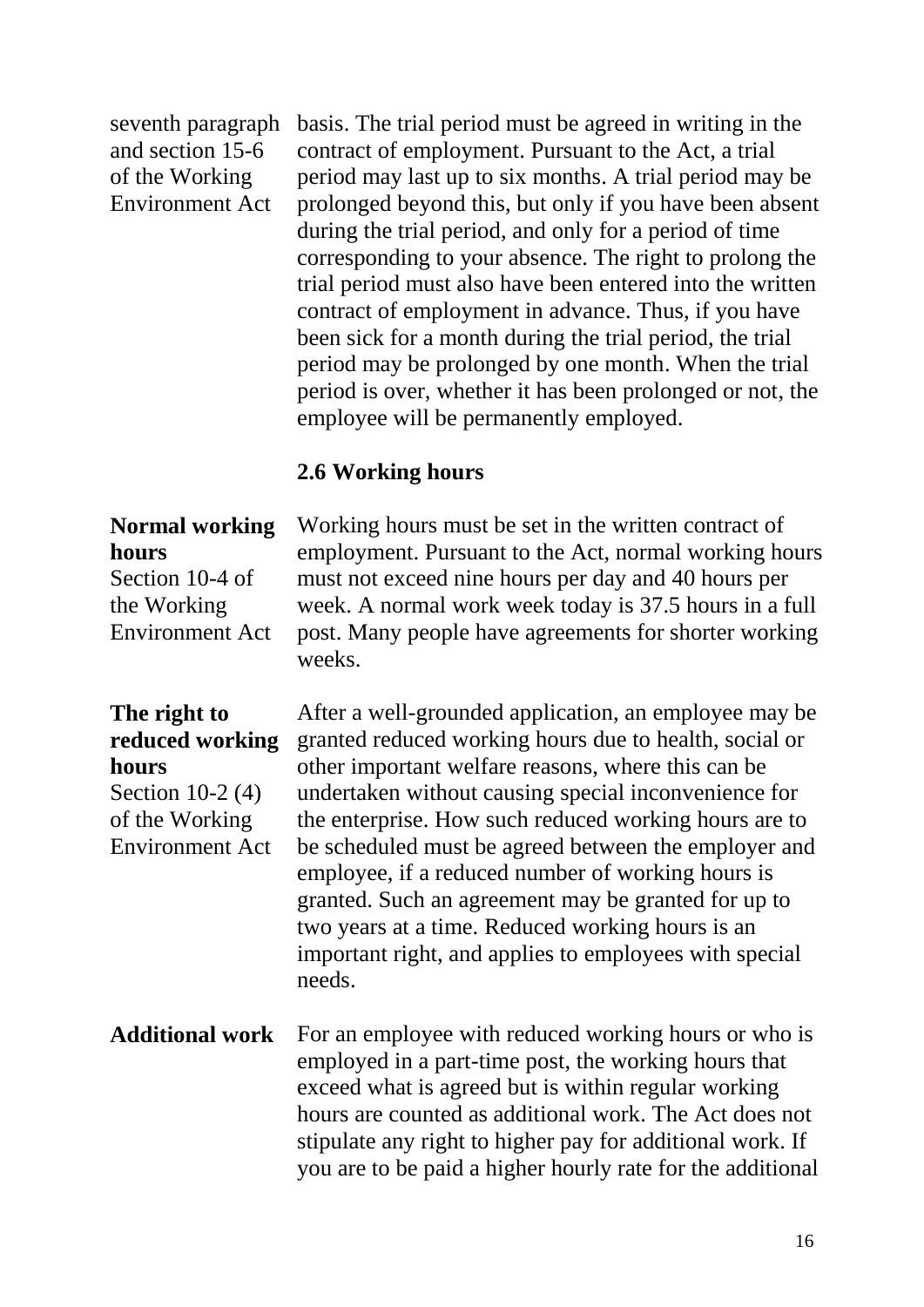#### seventh paragraph and section 15-6 of the Working Environment Act

basis. The trial period must be agreed in writing in the contract of employment. Pursuant to the Act, a trial period may last up to six months. A trial period may be prolonged beyond this, but only if you have been absent during the trial period, and only for a period of time corresponding to your absence. The right to prolong the trial period must also have been entered into the written contract of employment in advance. Thus, if you have been sick for a month during the trial period, the trial period may be prolonged by one month. When the trial period is over, whether it has been prolonged or not, the employee will be permanently employed.

#### **2.6 Working hours**

#### **Normal working hours**

Section 10-4 of the Working Environment Act Working hours must be set in the written contract of employment. Pursuant to the Act, normal working hours must not exceed nine hours per day and 40 hours per week. A normal work week today is 37.5 hours in a full post. Many people have agreements for shorter working weeks.

#### **The right to reduced working hours**

Section 10-2 (4) of the Working Environment Act

After a well-grounded application, an employee may be granted reduced working hours due to health, social or other important welfare reasons, where this can be undertaken without causing special inconvenience for the enterprise. How such reduced working hours are to be scheduled must be agreed between the employer and employee, if a reduced number of working hours is granted. Such an agreement may be granted for up to two years at a time. Reduced working hours is an important right, and applies to employees with special needs.

**Additional work** For an employee with reduced working hours or who is employed in a part-time post, the working hours that exceed what is agreed but is within regular working hours are counted as additional work. The Act does not stipulate any right to higher pay for additional work. If you are to be paid a higher hourly rate for the additional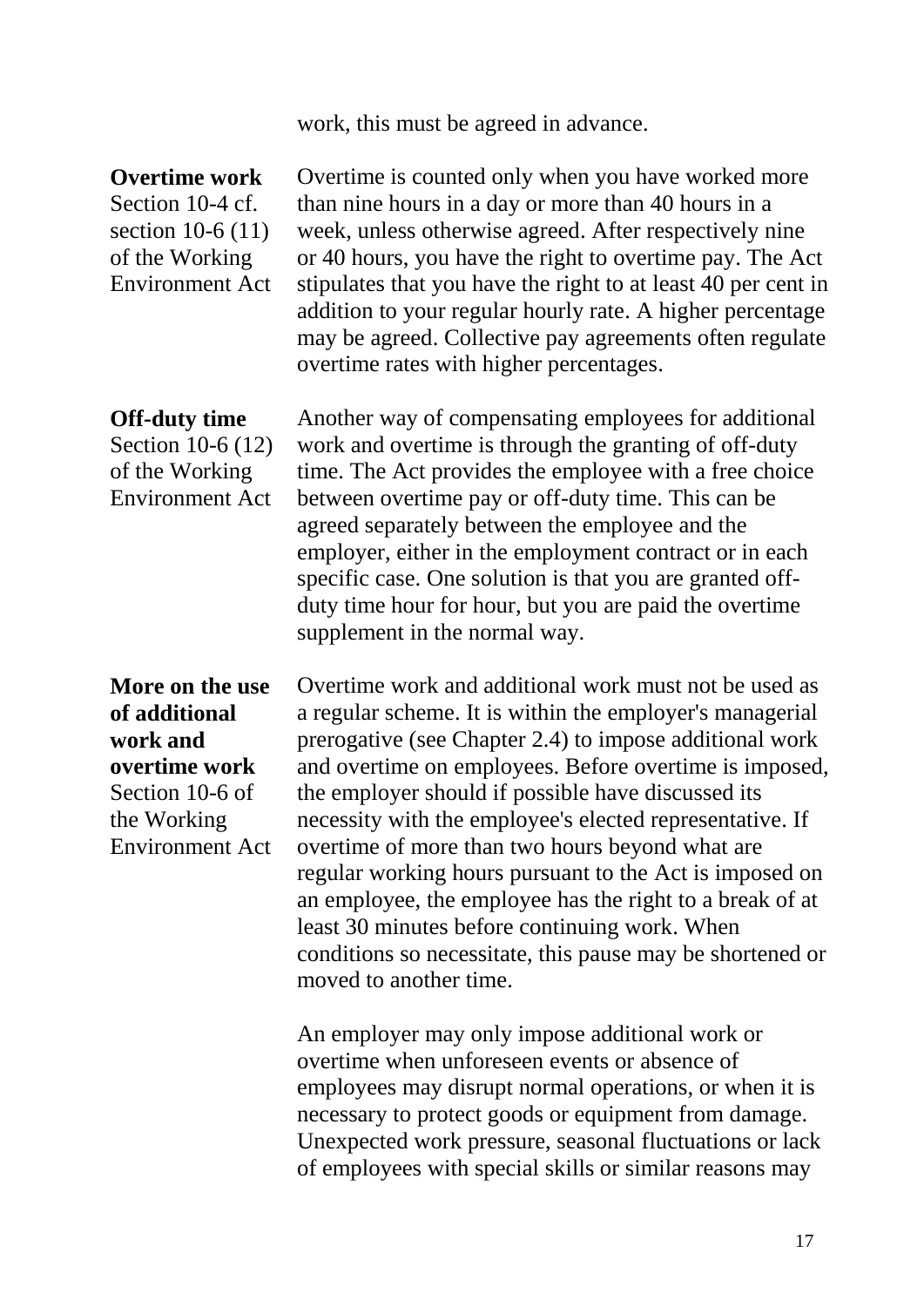work, this must be agreed in advance.

#### **Overtime work**

Section 10-4 cf. section 10-6 (11) of the Working Environment Act

Overtime is counted only when you have worked more than nine hours in a day or more than 40 hours in a week, unless otherwise agreed. After respectively nine or 40 hours, you have the right to overtime pay. The Act stipulates that you have the right to at least 40 per cent in addition to your regular hourly rate. A higher percentage may be agreed. Collective pay agreements often regulate overtime rates with higher percentages.

#### **Off-duty time**

Section 10-6 (12) of the Working Environment Act

Another way of compensating employees for additional work and overtime is through the granting of off-duty time. The Act provides the employee with a free choice between overtime pay or off-duty time. This can be agreed separately between the employee and the employer, either in the employment contract or in each specific case. One solution is that you are granted offduty time hour for hour, but you are paid the overtime supplement in the normal way.

**More on the use of additional work and overtime work** Section 10-6 of the Working Environment Act

Overtime work and additional work must not be used as a regular scheme. It is within the employer's managerial prerogative (see Chapter 2.4) to impose additional work and overtime on employees. Before overtime is imposed, the employer should if possible have discussed its necessity with the employee's elected representative. If overtime of more than two hours beyond what are regular working hours pursuant to the Act is imposed on an employee, the employee has the right to a break of at least 30 minutes before continuing work. When conditions so necessitate, this pause may be shortened or moved to another time.

An employer may only impose additional work or overtime when unforeseen events or absence of employees may disrupt normal operations, or when it is necessary to protect goods or equipment from damage. Unexpected work pressure, seasonal fluctuations or lack of employees with special skills or similar reasons may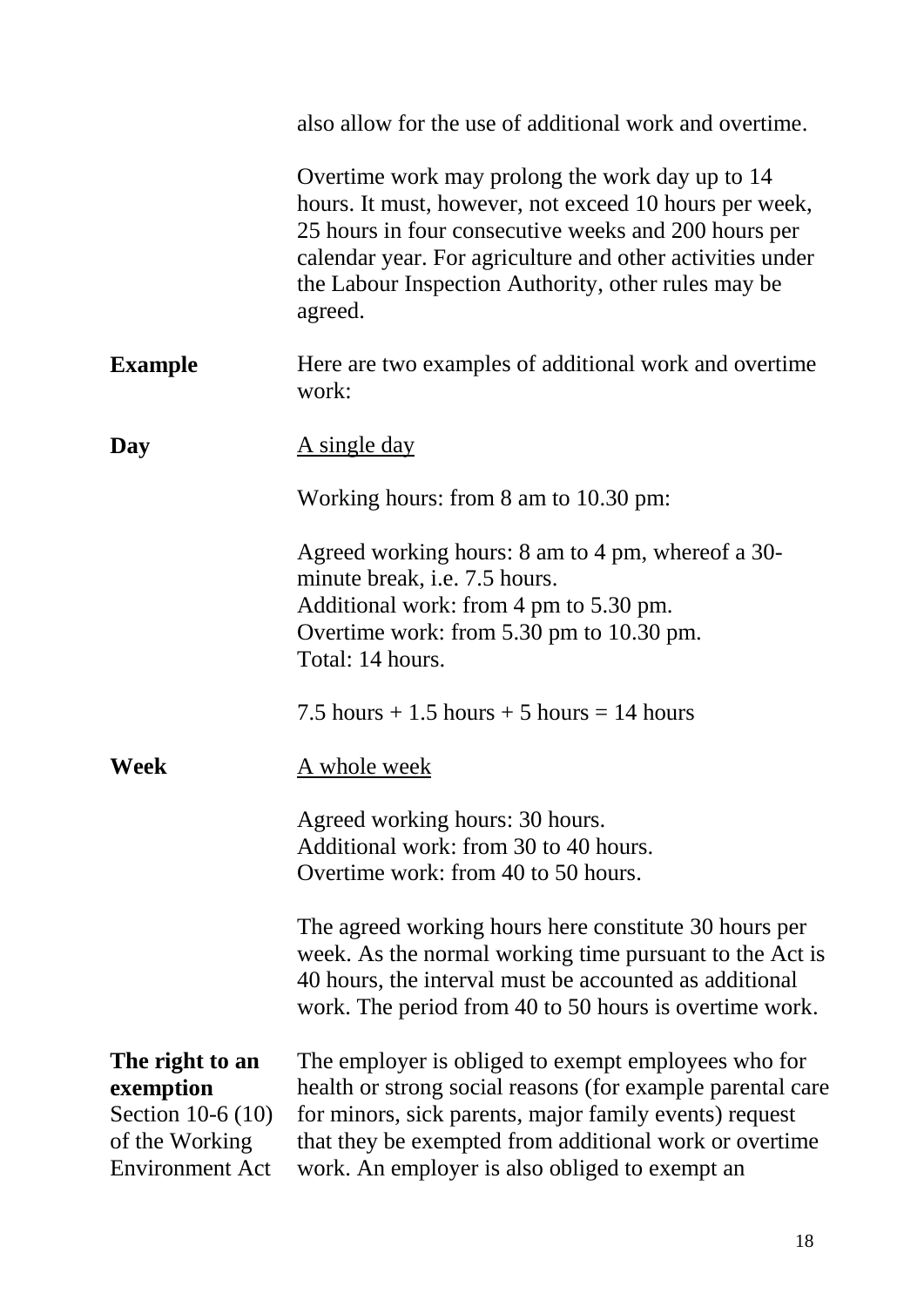|                                                                                               | also allow for the use of additional work and overtime.                                                                                                                                                                                                                                          |
|-----------------------------------------------------------------------------------------------|--------------------------------------------------------------------------------------------------------------------------------------------------------------------------------------------------------------------------------------------------------------------------------------------------|
|                                                                                               | Overtime work may prolong the work day up to 14<br>hours. It must, however, not exceed 10 hours per week,<br>25 hours in four consecutive weeks and 200 hours per<br>calendar year. For agriculture and other activities under<br>the Labour Inspection Authority, other rules may be<br>agreed. |
| <b>Example</b>                                                                                | Here are two examples of additional work and overtime<br>work:                                                                                                                                                                                                                                   |
| Day                                                                                           | <u>A single day</u>                                                                                                                                                                                                                                                                              |
|                                                                                               | Working hours: from 8 am to 10.30 pm:                                                                                                                                                                                                                                                            |
|                                                                                               | Agreed working hours: 8 am to 4 pm, whereof a 30-<br>minute break, i.e. 7.5 hours.<br>Additional work: from 4 pm to 5.30 pm.<br>Overtime work: from 5.30 pm to 10.30 pm.<br>Total: 14 hours.                                                                                                     |
|                                                                                               | 7.5 hours $+1.5$ hours $+5$ hours $= 14$ hours                                                                                                                                                                                                                                                   |
| Week                                                                                          | <u>A whole week</u>                                                                                                                                                                                                                                                                              |
|                                                                                               | Agreed working hours: 30 hours.<br>Additional work: from 30 to 40 hours.<br>Overtime work: from 40 to 50 hours.                                                                                                                                                                                  |
|                                                                                               | The agreed working hours here constitute 30 hours per<br>week. As the normal working time pursuant to the Act is<br>40 hours, the interval must be accounted as additional<br>work. The period from 40 to 50 hours is overtime work.                                                             |
| The right to an<br>exemption<br>Section 10-6 (10)<br>of the Working<br><b>Environment Act</b> | The employer is obliged to exempt employees who for<br>health or strong social reasons (for example parental care<br>for minors, sick parents, major family events) request<br>that they be exempted from additional work or overtime<br>work. An employer is also obliged to exempt an          |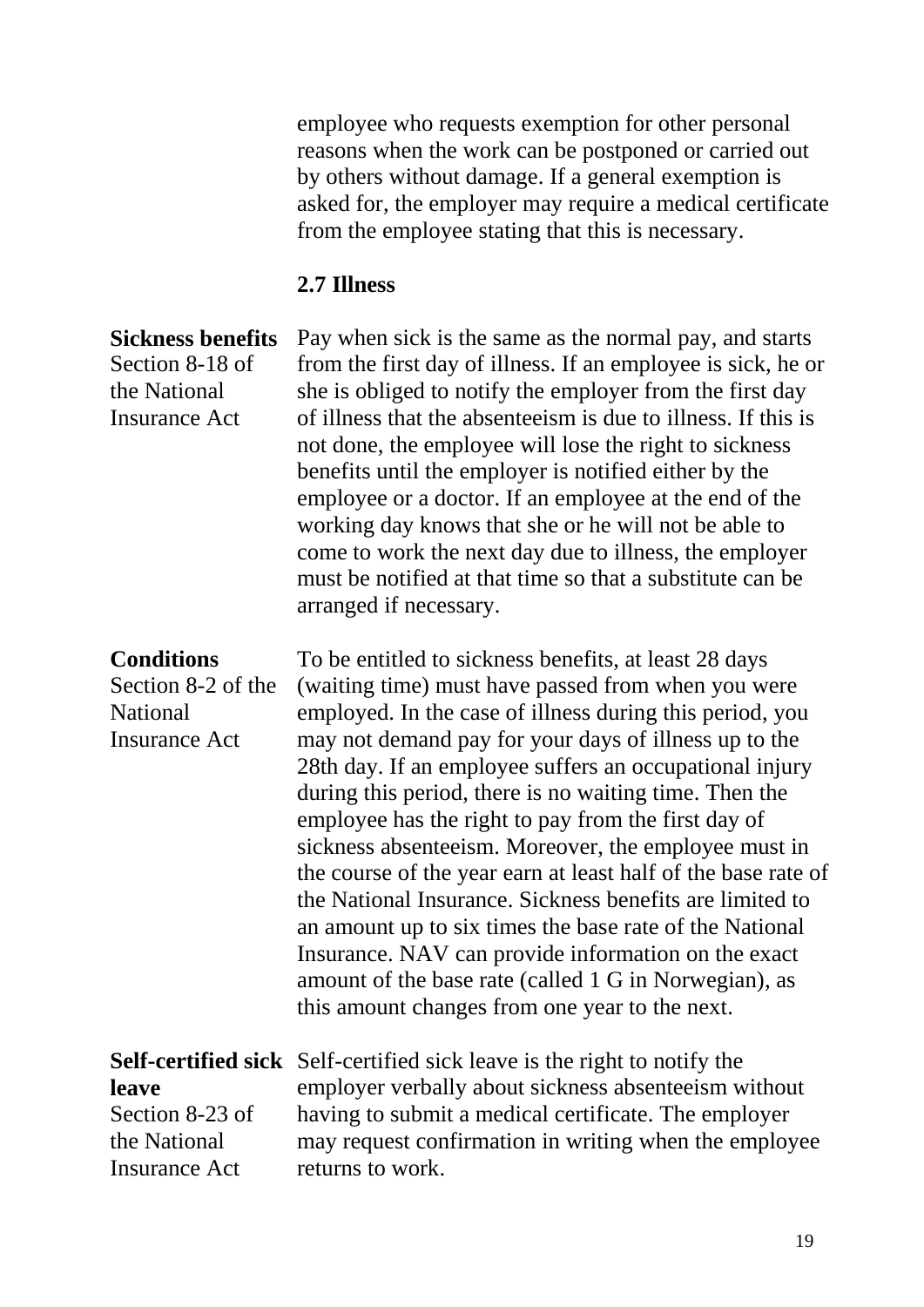employee who requests exemption for other personal reasons when the work can be postponed or carried out by others without damage. If a general exemption is asked for, the employer may require a medical certificate from the employee stating that this is necessary.

#### **2.7 Illness**

**Sickness benefits**  Section 8-18 of the National Insurance Act Pay when sick is the same as the normal pay, and starts from the first day of illness. If an employee is sick, he or she is obliged to notify the employer from the first day of illness that the absenteeism is due to illness. If this is not done, the employee will lose the right to sickness benefits until the employer is notified either by the employee or a doctor. If an employee at the end of the working day knows that she or he will not be able to come to work the next day due to illness, the employer must be notified at that time so that a substitute can be arranged if necessary.

**Conditions**  Section 8-2 of the National Insurance Act To be entitled to sickness benefits, at least 28 days (waiting time) must have passed from when you were employed. In the case of illness during this period, you may not demand pay for your days of illness up to the 28th day. If an employee suffers an occupational injury during this period, there is no waiting time. Then the employee has the right to pay from the first day of sickness absenteeism. Moreover, the employee must in the course of the year earn at least half of the base rate of the National Insurance. Sickness benefits are limited to an amount up to six times the base rate of the National Insurance. NAV can provide information on the exact amount of the base rate (called 1 G in Norwegian), as this amount changes from one year to the next.

**leave** Section 8-23 of the National Insurance Act

**Self-certified sick**  Self-certified sick leave is the right to notify the employer verbally about sickness absenteeism without having to submit a medical certificate. The employer may request confirmation in writing when the employee returns to work.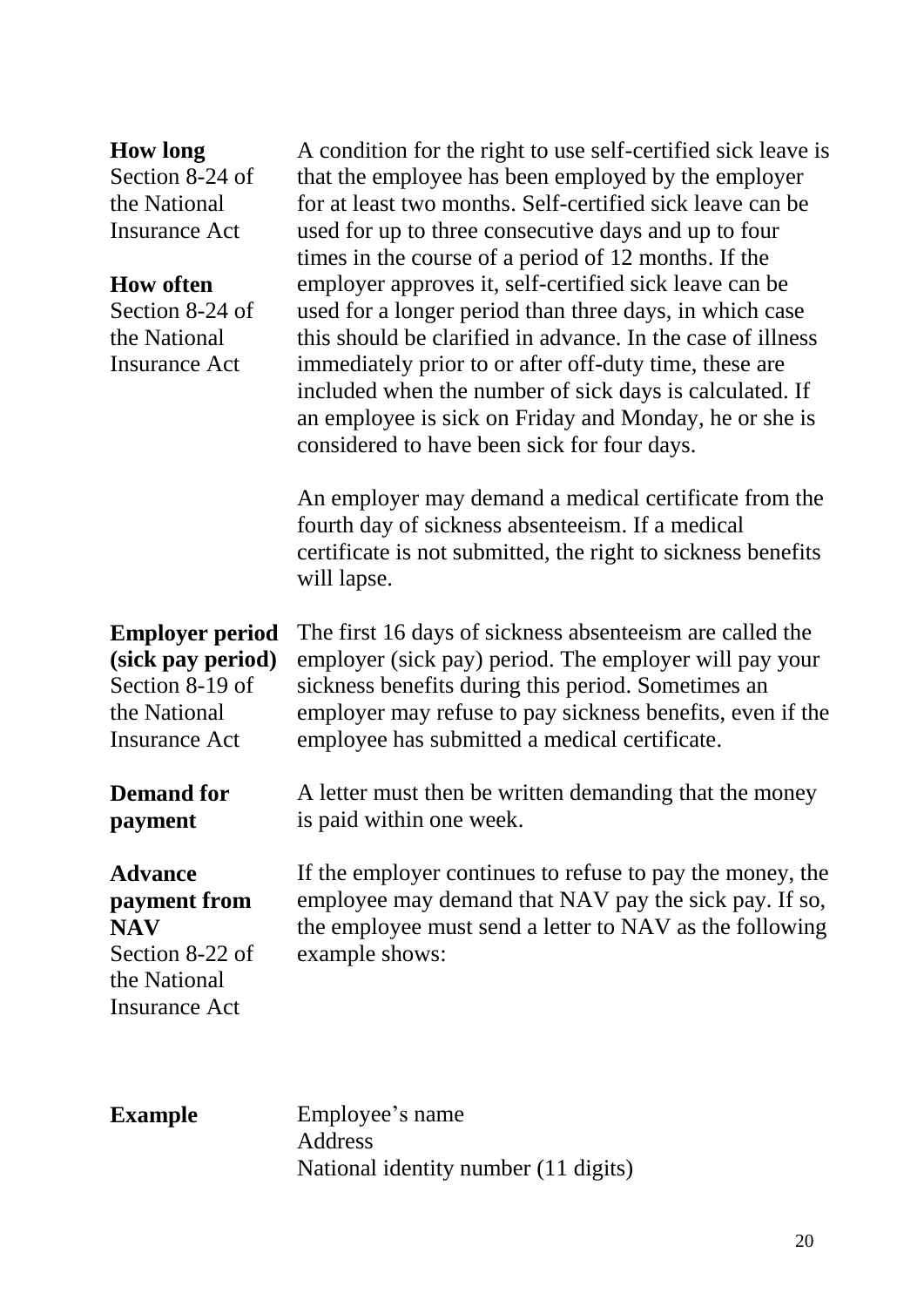| <b>How long</b> |  |
|-----------------|--|
|-----------------|--|

Section 8-24 of the National Insurance Act

#### **How often**

Section 8-24 of the National Insurance Act

A condition for the right to use self-certified sick leave is that the employee has been employed by the employer for at least two months. Self-certified sick leave can be used for up to three consecutive days and up to four times in the course of a period of 12 months. If the employer approves it, self-certified sick leave can be used for a longer period than three days, in which case this should be clarified in advance. In the case of illness immediately prior to or after off-duty time, these are included when the number of sick days is calculated. If an employee is sick on Friday and Monday, he or she is considered to have been sick for four days.

An employer may demand a medical certificate from the fourth day of sickness absenteeism. If a medical certificate is not submitted, the right to sickness benefits will lapse.

The first 16 days of sickness absenteeism are called the employer (sick pay) period. The employer will pay your

sickness benefits during this period. Sometimes an

**Employer period (sick pay period)** Section 8-19 of the National Insurance Act

**Demand for payment**

employer may refuse to pay sickness benefits, even if the employee has submitted a medical certificate. A letter must then be written demanding that the money

**Advance payment from NAV**  Section 8-22 of the National Insurance Act

is paid within one week.

If the employer continues to refuse to pay the money, the employee may demand that NAV pay the sick pay. If so, the employee must send a letter to NAV as the following example shows:

**Example** Employee's name Address National identity number (11 digits)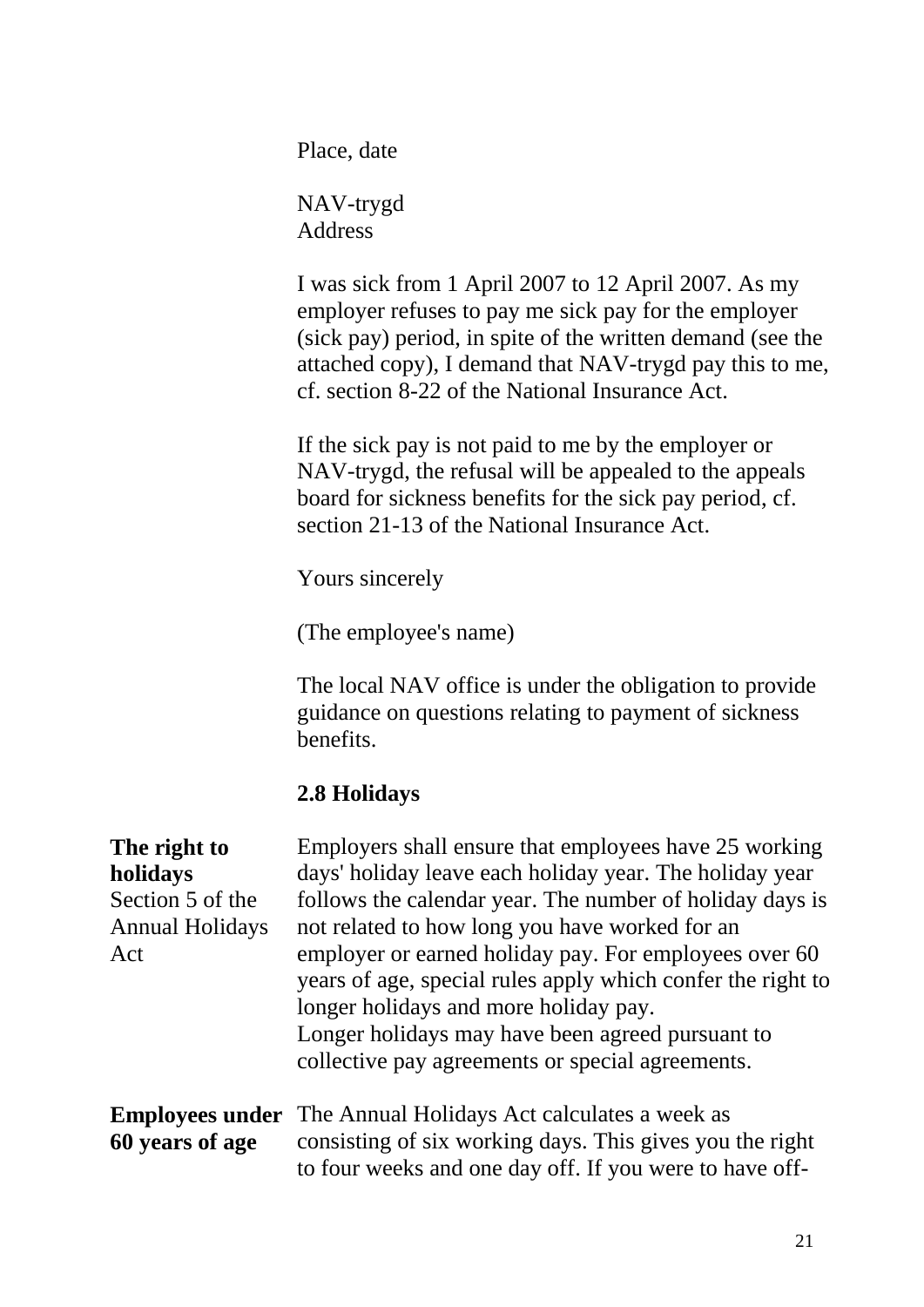Place, date

NAV-trygd Address

I was sick from 1 April 2007 to 12 April 2007. As my employer refuses to pay me sick pay for the employer (sick pay) period, in spite of the written demand (see the attached copy), I demand that NAV-trygd pay this to me, cf. section 8-22 of the National Insurance Act.

If the sick pay is not paid to me by the employer or NAV-trygd, the refusal will be appealed to the appeals board for sickness benefits for the sick pay period, cf. section 21-13 of the National Insurance Act.

Yours sincerely

(The employee's name)

The local NAV office is under the obligation to provide guidance on questions relating to payment of sickness benefits.

#### **2.8 Holidays**

## **The right to**

**holidays** Section 5 of the Annual Holidays Act

Employers shall ensure that employees have 25 working days' holiday leave each holiday year. The holiday year follows the calendar year. The number of holiday days is not related to how long you have worked for an employer or earned holiday pay. For employees over 60 years of age, special rules apply which confer the right to longer holidays and more holiday pay. Longer holidays may have been agreed pursuant to collective pay agreements or special agreements.

#### **Employees under** The Annual Holidays Act calculates a week as **60 years of age** consisting of six working days. This gives you the right to four weeks and one day off. If you were to have off-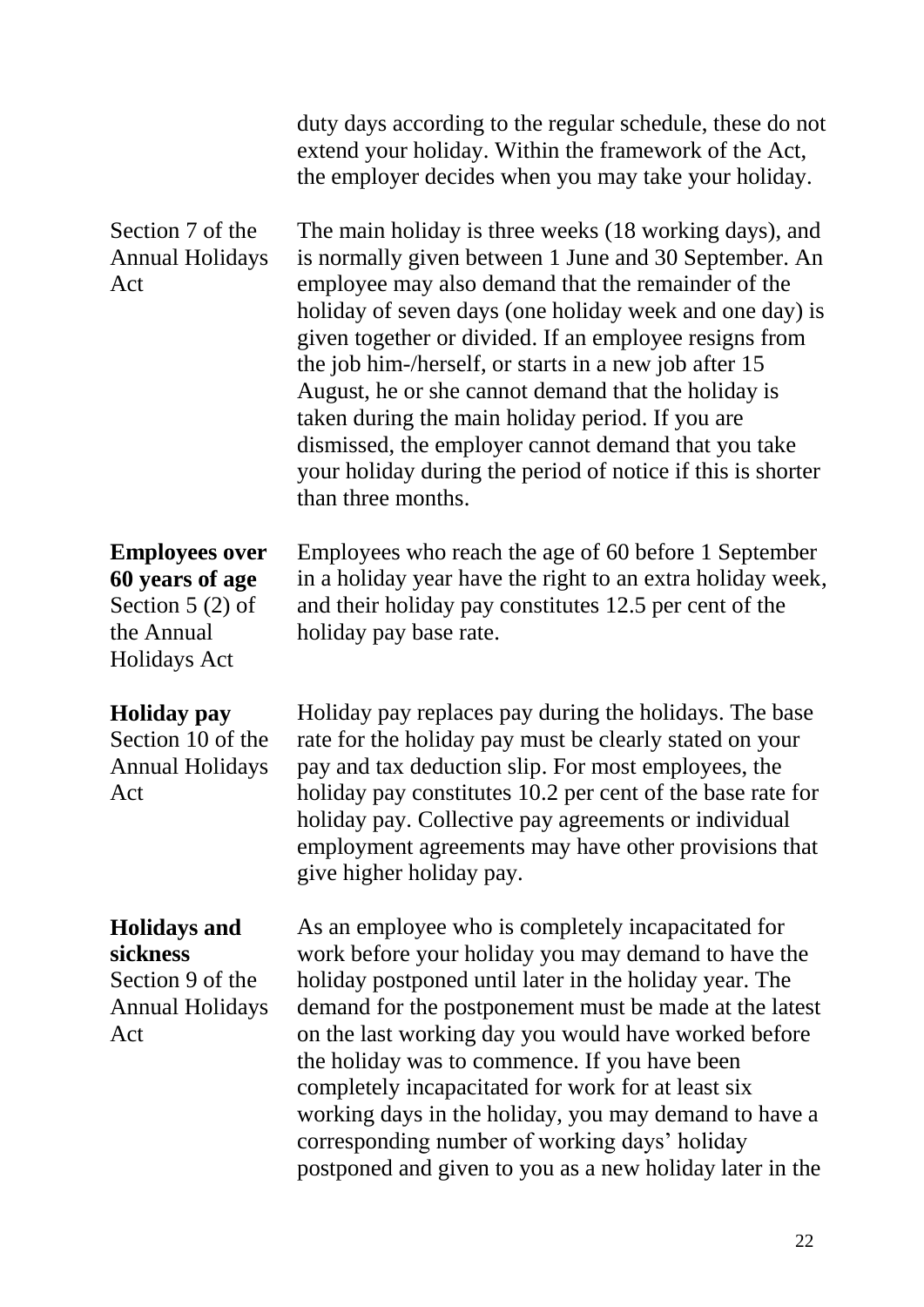|                                                                                                    | duty days according to the regular schedule, these do not<br>extend your holiday. Within the framework of the Act,<br>the employer decides when you may take your holiday.                                                                                                                                                                                                                                                                                                                                                                                                                                 |
|----------------------------------------------------------------------------------------------------|------------------------------------------------------------------------------------------------------------------------------------------------------------------------------------------------------------------------------------------------------------------------------------------------------------------------------------------------------------------------------------------------------------------------------------------------------------------------------------------------------------------------------------------------------------------------------------------------------------|
| Section 7 of the<br><b>Annual Holidays</b><br>Act                                                  | The main holiday is three weeks (18 working days), and<br>is normally given between 1 June and 30 September. An<br>employee may also demand that the remainder of the<br>holiday of seven days (one holiday week and one day) is<br>given together or divided. If an employee resigns from<br>the job him-/herself, or starts in a new job after 15<br>August, he or she cannot demand that the holiday is<br>taken during the main holiday period. If you are<br>dismissed, the employer cannot demand that you take<br>your holiday during the period of notice if this is shorter<br>than three months. |
| <b>Employees over</b><br>60 years of age<br>Section $5(2)$ of<br>the Annual<br><b>Holidays Act</b> | Employees who reach the age of 60 before 1 September<br>in a holiday year have the right to an extra holiday week,<br>and their holiday pay constitutes 12.5 per cent of the<br>holiday pay base rate.                                                                                                                                                                                                                                                                                                                                                                                                     |
| <b>Holiday</b> pay<br>Section 10 of the<br><b>Annual Holidays</b><br>Act                           | Holiday pay replaces pay during the holidays. The base<br>rate for the holiday pay must be clearly stated on your<br>pay and tax deduction slip. For most employees, the<br>holiday pay constitutes 10.2 per cent of the base rate for<br>holiday pay. Collective pay agreements or individual<br>employment agreements may have other provisions that<br>give higher holiday pay.                                                                                                                                                                                                                         |
| <b>Holidays and</b><br>sickness<br>Section 9 of the<br><b>Annual Holidays</b><br>Act               | As an employee who is completely incapacitated for<br>work before your holiday you may demand to have the<br>holiday postponed until later in the holiday year. The<br>demand for the postponement must be made at the latest<br>on the last working day you would have worked before<br>the holiday was to commence. If you have been<br>completely incapacitated for work for at least six<br>working days in the holiday, you may demand to have a<br>corresponding number of working days' holiday<br>postponed and given to you as a new holiday later in the                                         |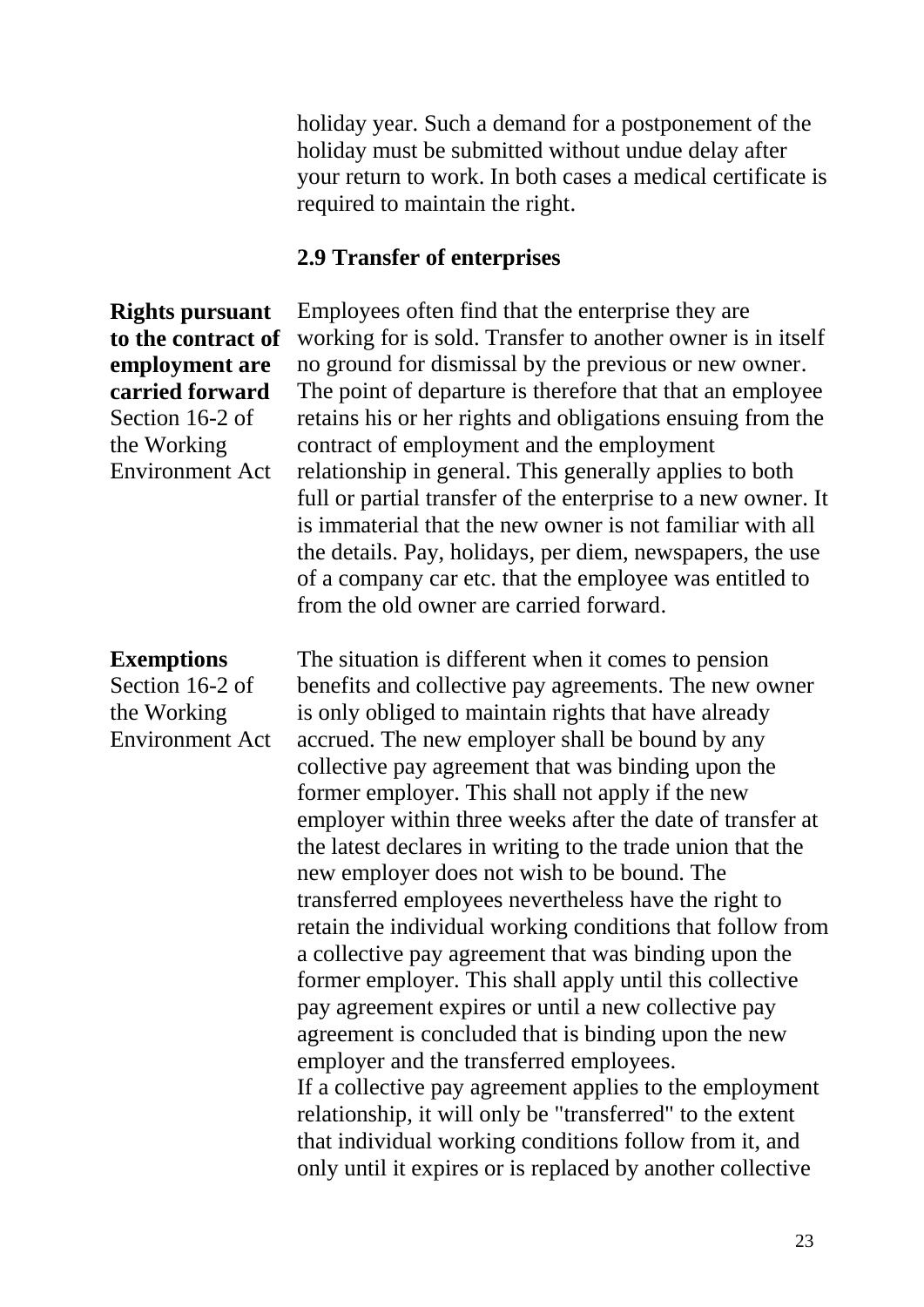holiday year. Such a demand for a postponement of the holiday must be submitted without undue delay after your return to work. In both cases a medical certificate is required to maintain the right.

#### **2.9 Transfer of enterprises**

**Rights pursuant to the contract of employment are carried forward** Section 16-2 of the Working Environment Act

#### **Exemptions**

Section 16-2 of the Working Environment Act Employees often find that the enterprise they are working for is sold. Transfer to another owner is in itself no ground for dismissal by the previous or new owner. The point of departure is therefore that that an employee retains his or her rights and obligations ensuing from the contract of employment and the employment relationship in general. This generally applies to both full or partial transfer of the enterprise to a new owner. It is immaterial that the new owner is not familiar with all the details. Pay, holidays, per diem, newspapers, the use of a company car etc. that the employee was entitled to from the old owner are carried forward.

The situation is different when it comes to pension benefits and collective pay agreements. The new owner is only obliged to maintain rights that have already accrued. The new employer shall be bound by any collective pay agreement that was binding upon the former employer. This shall not apply if the new employer within three weeks after the date of transfer at the latest declares in writing to the trade union that the new employer does not wish to be bound. The transferred employees nevertheless have the right to retain the individual working conditions that follow from a collective pay agreement that was binding upon the former employer. This shall apply until this collective pay agreement expires or until a new collective pay agreement is concluded that is binding upon the new employer and the transferred employees. If a collective pay agreement applies to the employment relationship, it will only be "transferred" to the extent that individual working conditions follow from it, and only until it expires or is replaced by another collective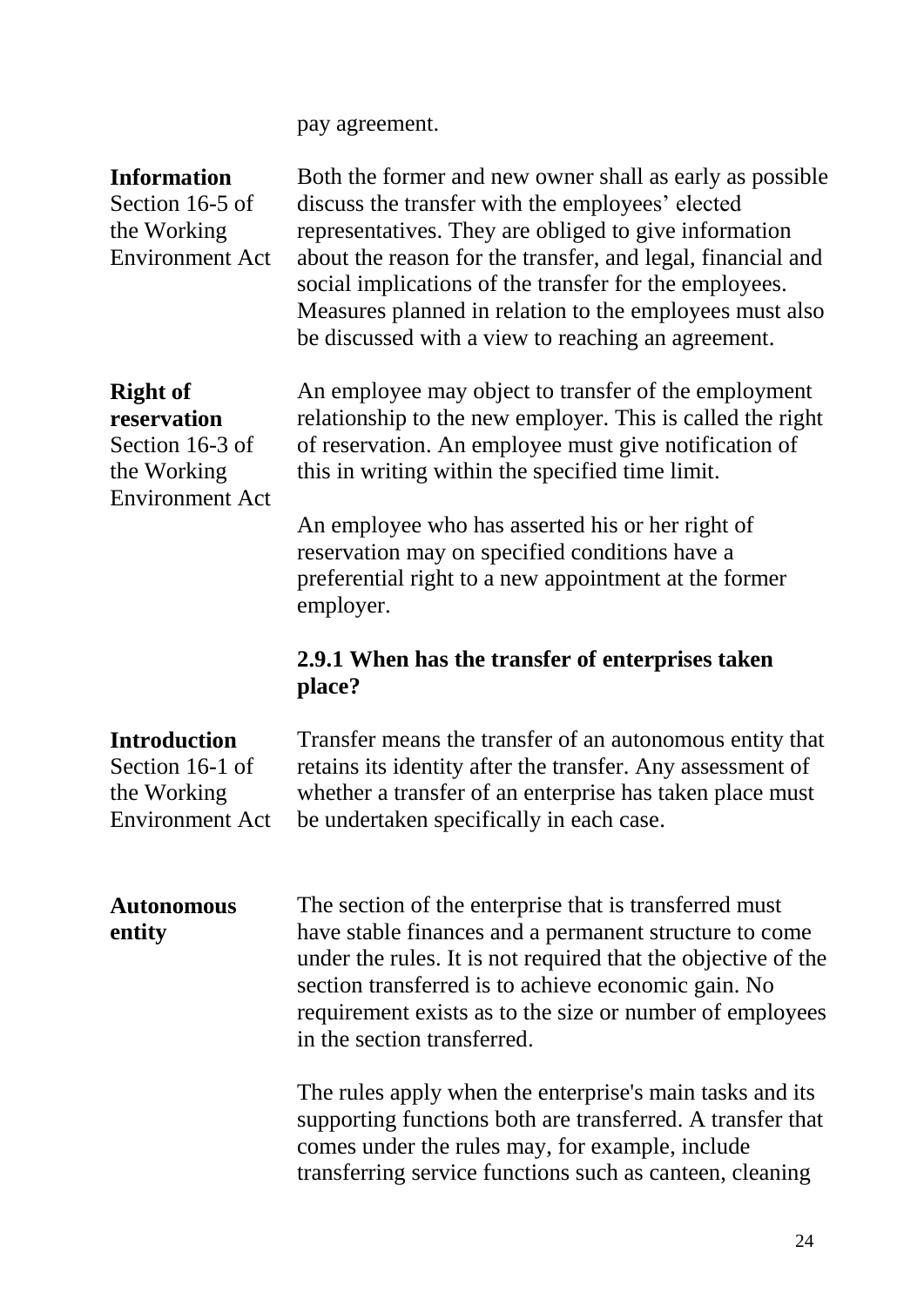pay agreement.

| <b>Information</b><br>Section 16-5 of<br>the Working<br><b>Environment Act</b>             | Both the former and new owner shall as early as possible<br>discuss the transfer with the employees' elected<br>representatives. They are obliged to give information<br>about the reason for the transfer, and legal, financial and<br>social implications of the transfer for the employees.<br>Measures planned in relation to the employees must also<br>be discussed with a view to reaching an agreement. |
|--------------------------------------------------------------------------------------------|-----------------------------------------------------------------------------------------------------------------------------------------------------------------------------------------------------------------------------------------------------------------------------------------------------------------------------------------------------------------------------------------------------------------|
| <b>Right of</b><br>reservation<br>Section 16-3 of<br>the Working<br><b>Environment Act</b> | An employee may object to transfer of the employment<br>relationship to the new employer. This is called the right<br>of reservation. An employee must give notification of<br>this in writing within the specified time limit.                                                                                                                                                                                 |
|                                                                                            | An employee who has asserted his or her right of<br>reservation may on specified conditions have a<br>preferential right to a new appointment at the former<br>employer.                                                                                                                                                                                                                                        |
|                                                                                            | 2.9.1 When has the transfer of enterprises taken<br>place?                                                                                                                                                                                                                                                                                                                                                      |
| <b>Introduction</b><br>Section 16-1 of<br>the Working<br><b>Environment Act</b>            | Transfer means the transfer of an autonomous entity that<br>retains its identity after the transfer. Any assessment of<br>whether a transfer of an enterprise has taken place must<br>be undertaken specifically in each case.                                                                                                                                                                                  |
|                                                                                            |                                                                                                                                                                                                                                                                                                                                                                                                                 |
| <b>Autonomous</b><br>entity                                                                | The section of the enterprise that is transferred must<br>have stable finances and a permanent structure to come<br>under the rules. It is not required that the objective of the<br>section transferred is to achieve economic gain. No<br>requirement exists as to the size or number of employees<br>in the section transferred.                                                                             |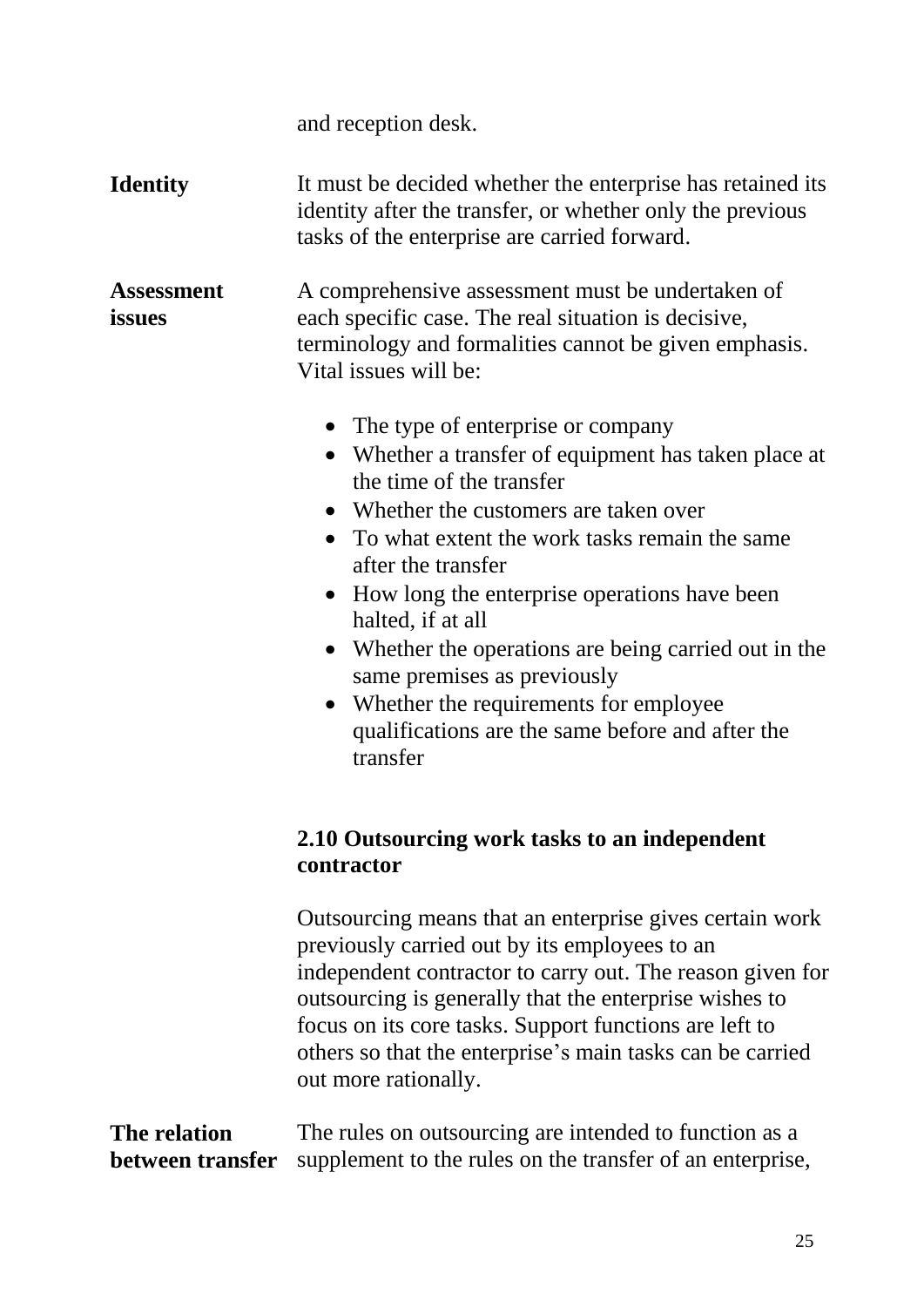and reception desk.

**Identity** It must be decided whether the enterprise has retained its identity after the transfer, or whether only the previous tasks of the enterprise are carried forward.

**Assessment issues** A comprehensive assessment must be undertaken of each specific case. The real situation is decisive, terminology and formalities cannot be given emphasis. Vital issues will be:

- The type of enterprise or company
- Whether a transfer of equipment has taken place at the time of the transfer
- Whether the customers are taken over
- To what extent the work tasks remain the same after the transfer
- How long the enterprise operations have been halted, if at all
- Whether the operations are being carried out in the same premises as previously
- Whether the requirements for employee qualifications are the same before and after the transfer

### **2.10 Outsourcing work tasks to an independent contractor**

Outsourcing means that an enterprise gives certain work previously carried out by its employees to an independent contractor to carry out. The reason given for outsourcing is generally that the enterprise wishes to focus on its core tasks. Support functions are left to others so that the enterprise's main tasks can be carried out more rationally.

| The relation | The rules on outsourcing are intended to function as a                            |
|--------------|-----------------------------------------------------------------------------------|
|              | <b>between transfer</b> supplement to the rules on the transfer of an enterprise, |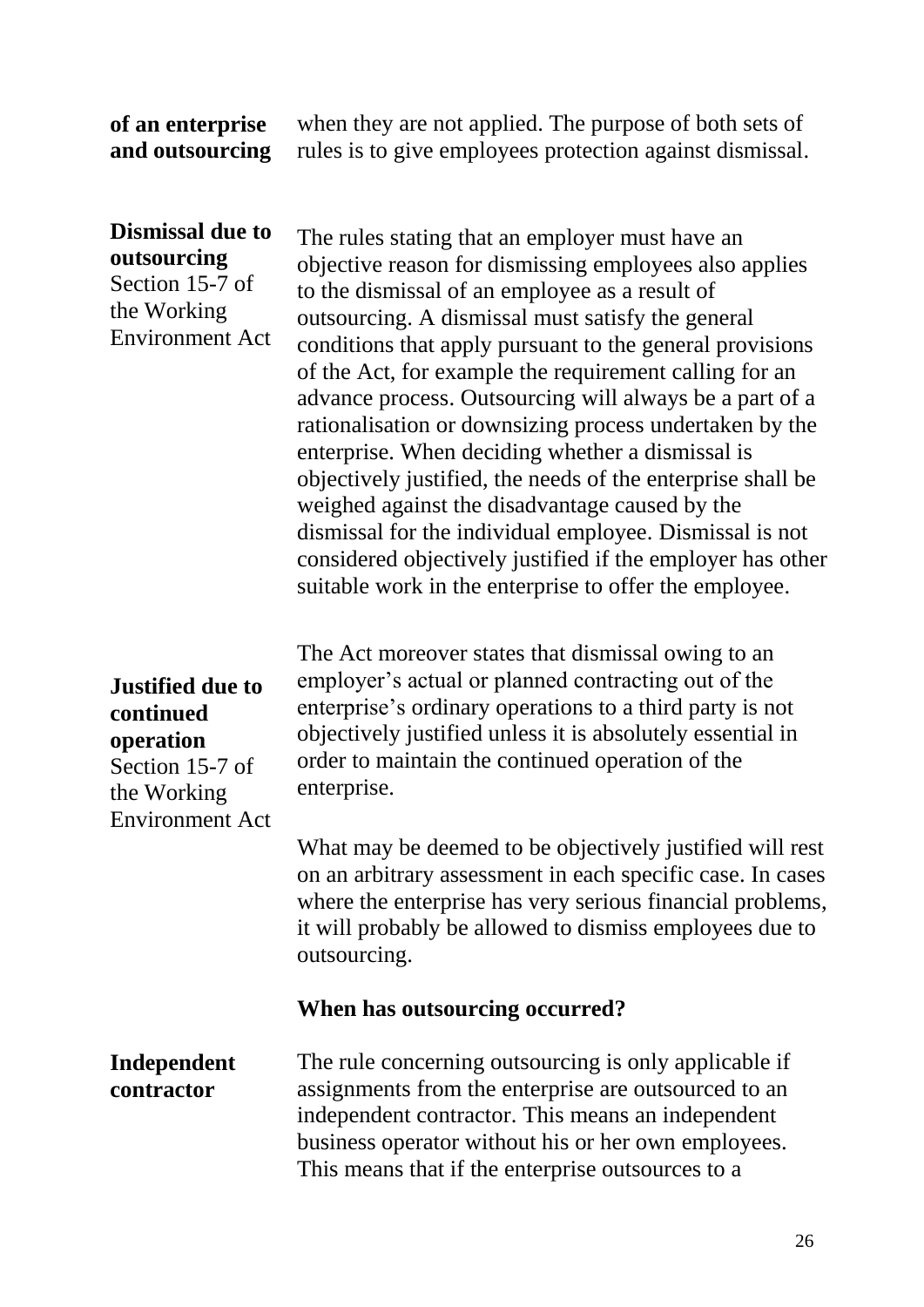#### **of an enterprise and outsourcing**

when they are not applied. The purpose of both sets of rules is to give employees protection against dismissal.

#### **Dismissal due to outsourcing** Section 15-7 of

the Working Environment Act

The rules stating that an employer must have an objective reason for dismissing employees also applies to the dismissal of an employee as a result of outsourcing. A dismissal must satisfy the general conditions that apply pursuant to the general provisions of the Act, for example the requirement calling for an advance process. Outsourcing will always be a part of a rationalisation or downsizing process undertaken by the enterprise. When deciding whether a dismissal is objectively justified, the needs of the enterprise shall be weighed against the disadvantage caused by the dismissal for the individual employee. Dismissal is not considered objectively justified if the employer has other suitable work in the enterprise to offer the employee.

## **Justified due to continued operation**

Section 15-7 of the Working Environment Act

The Act moreover states that dismissal owing to an employer's actual or planned contracting out of the enterprise's ordinary operations to a third party is not objectively justified unless it is absolutely essential in order to maintain the continued operation of the enterprise.

What may be deemed to be objectively justified will rest on an arbitrary assessment in each specific case. In cases where the enterprise has very serious financial problems, it will probably be allowed to dismiss employees due to outsourcing.

#### **When has outsourcing occurred?**

#### **Independent contractor**

The rule concerning outsourcing is only applicable if assignments from the enterprise are outsourced to an independent contractor. This means an independent business operator without his or her own employees. This means that if the enterprise outsources to a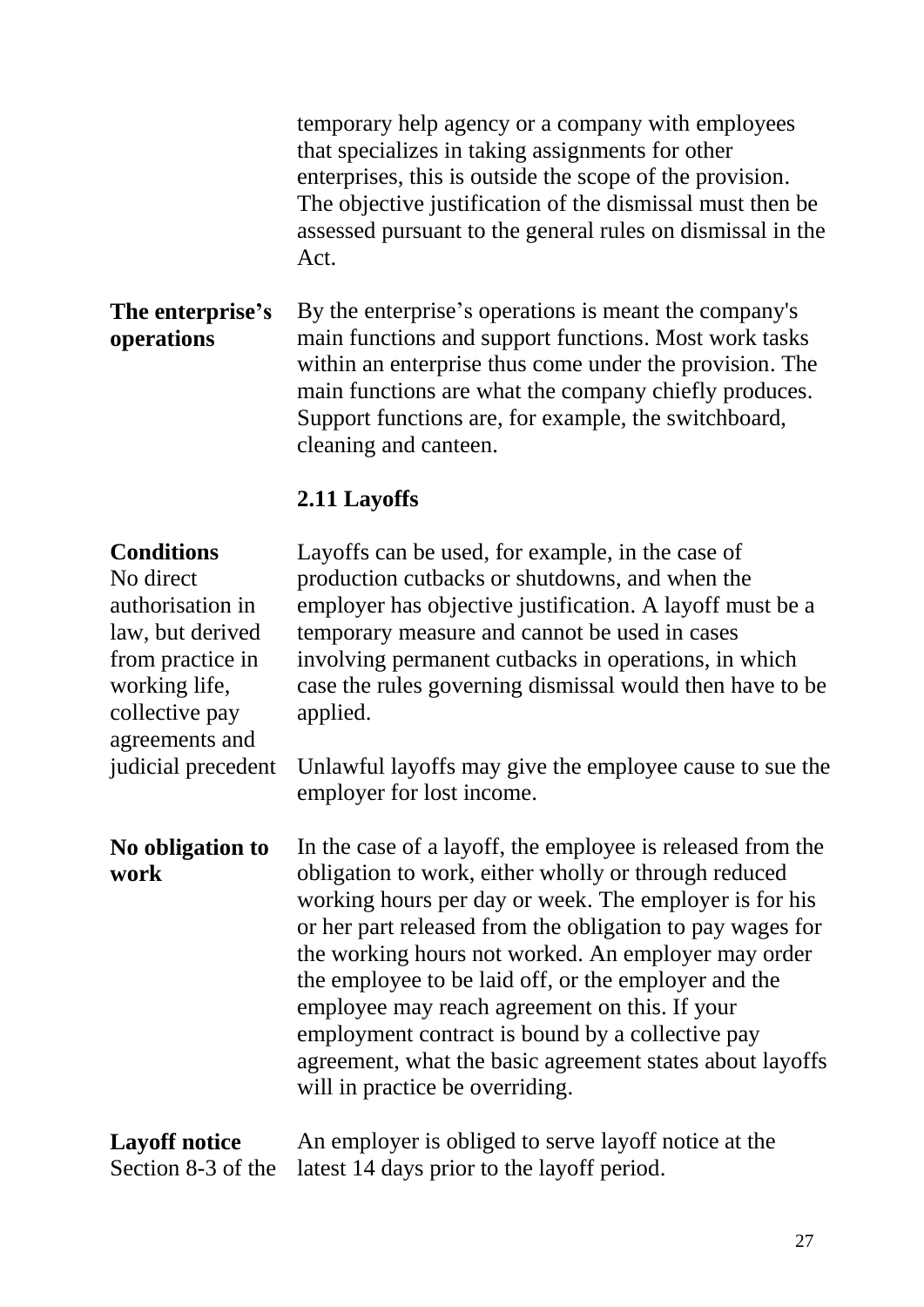temporary help agency or a company with employees that specializes in taking assignments for other enterprises, this is outside the scope of the provision. The objective justification of the dismissal must then be assessed pursuant to the general rules on dismissal in the Act.

**The enterprise's operations** By the enterprise's operations is meant the company's main functions and support functions. Most work tasks within an enterprise thus come under the provision. The main functions are what the company chiefly produces. Support functions are, for example, the switchboard, cleaning and canteen.

### **2.11 Layoffs**

#### **Conditions**

No direct authorisation in law, but derived from practice in working life, collective pay agreements and judicial precedent Layoffs can be used, for example, in the case of production cutbacks or shutdowns, and when the employer has objective justification. A layoff must be a temporary measure and cannot be used in cases involving permanent cutbacks in operations, in which case the rules governing dismissal would then have to be applied.

Unlawful layoffs may give the employee cause to sue the employer for lost income.

#### **No obligation to work**

In the case of a layoff, the employee is released from the obligation to work, either wholly or through reduced working hours per day or week. The employer is for his or her part released from the obligation to pay wages for the working hours not worked. An employer may order the employee to be laid off, or the employer and the employee may reach agreement on this. If your employment contract is bound by a collective pay agreement, what the basic agreement states about layoffs will in practice be overriding.

#### **Layoff notice**  Section 8-3 of the An employer is obliged to serve layoff notice at the latest 14 days prior to the layoff period.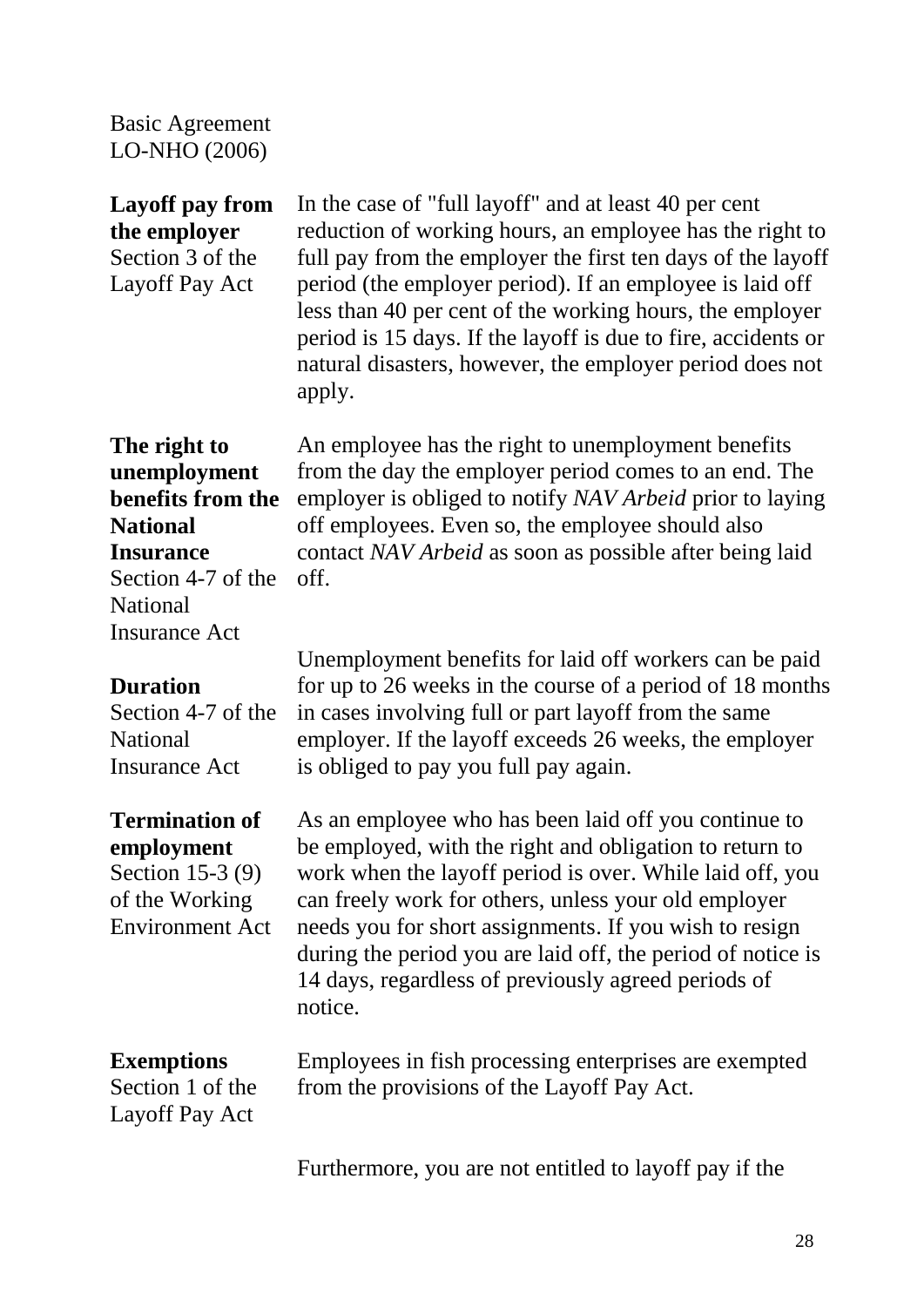Basic Agreement LO-NHO (2006)

#### **Layoff pay from the employer** Section 3 of the

Layoff Pay Act

In the case of "full layoff" and at least 40 per cent reduction of working hours, an employee has the right to full pay from the employer the first ten days of the layoff period (the employer period). If an employee is laid off less than 40 per cent of the working hours, the employer period is 15 days. If the layoff is due to fire, accidents or natural disasters, however, the employer period does not apply.

An employee has the right to unemployment benefits from the day the employer period comes to an end. The employer is obliged to notify *NAV Arbeid* prior to laying

off employees. Even so, the employee should also

contact *NAV Arbeid* as soon as possible after being laid

#### **The right to unemployment benefits from the National Insurance**

Section 4-7 of the National Insurance Act

off.

#### **Duration**

Section 4-7 of the National Insurance Act

#### **Termination of employment**

Section 15-3 (9) of the Working Environment Act

Unemployment benefits for laid off workers can be paid for up to 26 weeks in the course of a period of 18 months in cases involving full or part layoff from the same employer. If the layoff exceeds 26 weeks, the employer is obliged to pay you full pay again.

As an employee who has been laid off you continue to be employed, with the right and obligation to return to work when the layoff period is over. While laid off, you can freely work for others, unless your old employer needs you for short assignments. If you wish to resign during the period you are laid off, the period of notice is 14 days, regardless of previously agreed periods of notice.

#### **Exemptions**

Section 1 of the Layoff Pay Act Employees in fish processing enterprises are exempted from the provisions of the Layoff Pay Act.

Furthermore, you are not entitled to layoff pay if the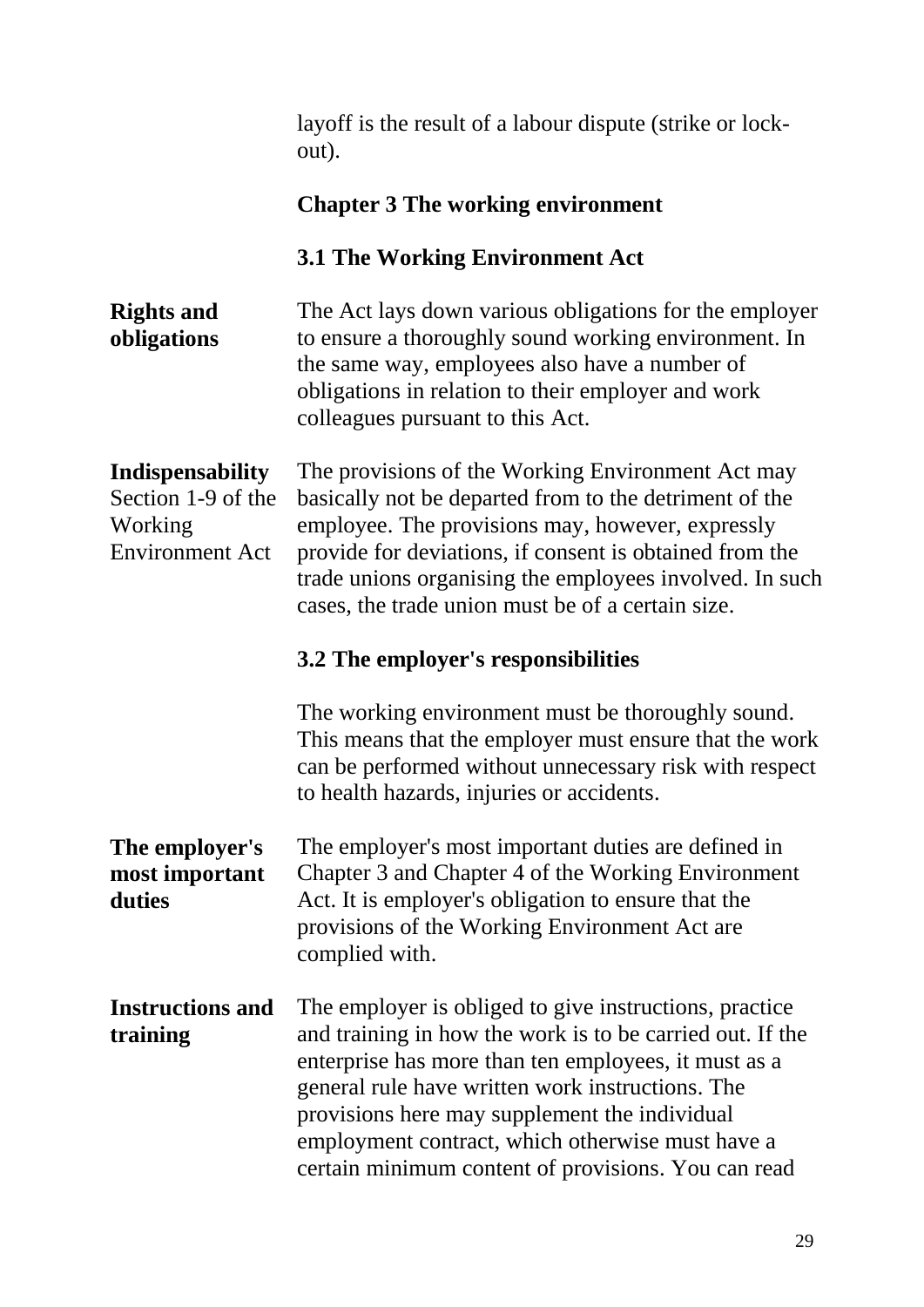layoff is the result of a labour dispute (strike or lockout).

#### **Chapter 3 The working environment**

#### **3.1 The Working Environment Act**

| <b>Rights and</b> | The Act lays down various obligations for the employer |
|-------------------|--------------------------------------------------------|
| obligations       | to ensure a thoroughly sound working environment. In   |
|                   | the same way, employees also have a number of          |
|                   | obligations in relation to their employer and work     |
|                   | colleagues pursuant to this Act.                       |

#### **Indispensability**

Section 1-9 of the Working Environment Act

The provisions of the Working Environment Act may basically not be departed from to the detriment of the employee. The provisions may, however, expressly provide for deviations, if consent is obtained from the trade unions organising the employees involved. In such cases, the trade union must be of a certain size.

#### **3.2 The employer's responsibilities**

The working environment must be thoroughly sound. This means that the employer must ensure that the work can be performed without unnecessary risk with respect to health hazards, injuries or accidents.

**The employer's most important duties** The employer's most important duties are defined in Chapter 3 and Chapter 4 of the Working Environment Act. It is employer's obligation to ensure that the provisions of the Working Environment Act are complied with.

**Instructions and training** The employer is obliged to give instructions, practice and training in how the work is to be carried out. If the enterprise has more than ten employees, it must as a general rule have written work instructions. The provisions here may supplement the individual employment contract, which otherwise must have a certain minimum content of provisions. You can read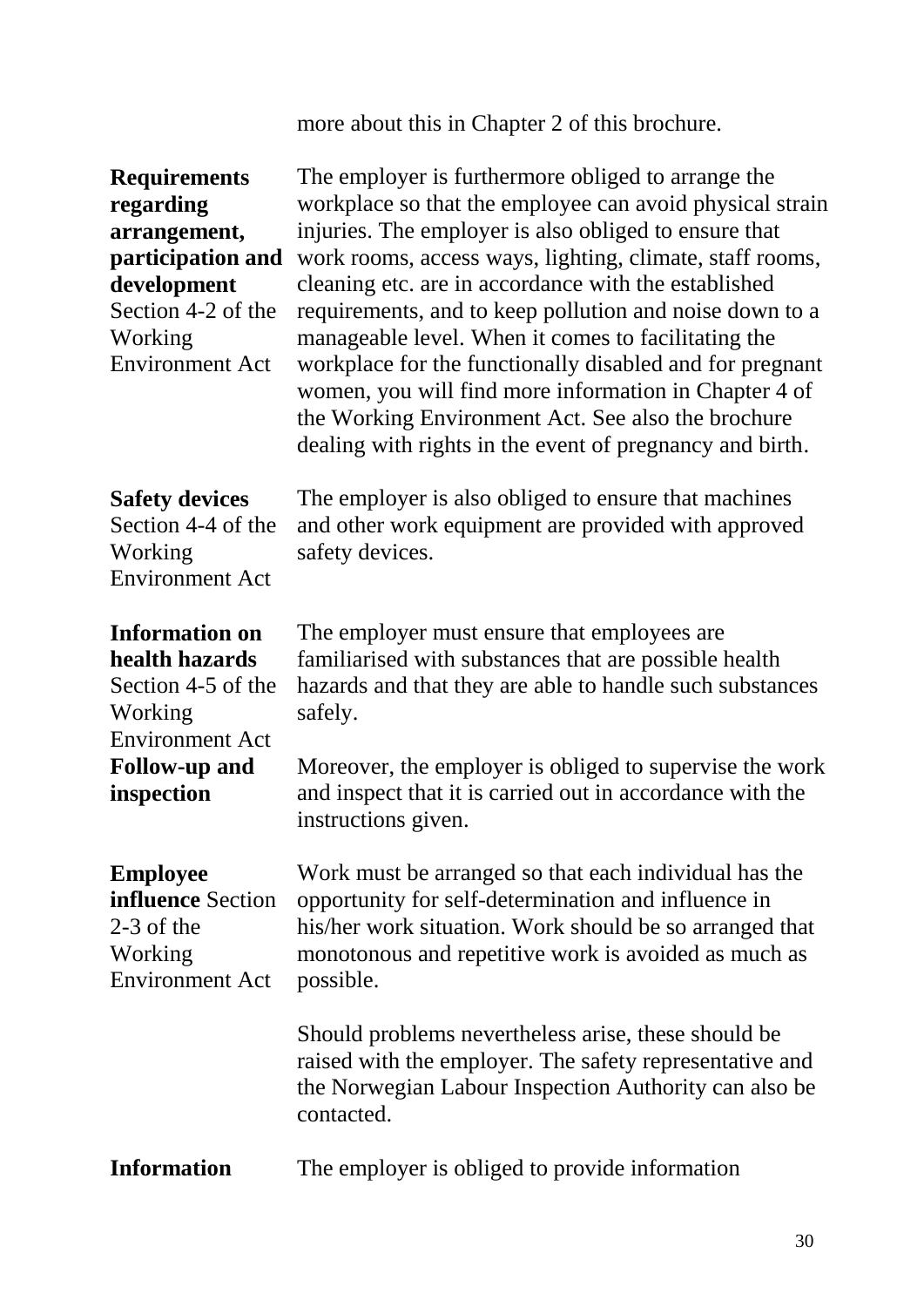more about this in Chapter 2 of this brochure.

| <b>Requirements</b><br>regarding<br>arrangement,<br>participation and<br>development<br>Section 4-2 of the<br>Working<br><b>Environment Act</b> | The employer is furthermore obliged to arrange the<br>workplace so that the employee can avoid physical strain<br>injuries. The employer is also obliged to ensure that<br>work rooms, access ways, lighting, climate, staff rooms,<br>cleaning etc. are in accordance with the established<br>requirements, and to keep pollution and noise down to a<br>manageable level. When it comes to facilitating the<br>workplace for the functionally disabled and for pregnant<br>women, you will find more information in Chapter 4 of<br>the Working Environment Act. See also the brochure<br>dealing with rights in the event of pregnancy and birth. |
|-------------------------------------------------------------------------------------------------------------------------------------------------|------------------------------------------------------------------------------------------------------------------------------------------------------------------------------------------------------------------------------------------------------------------------------------------------------------------------------------------------------------------------------------------------------------------------------------------------------------------------------------------------------------------------------------------------------------------------------------------------------------------------------------------------------|
| <b>Safety devices</b><br>Section 4-4 of the<br>Working<br><b>Environment Act</b>                                                                | The employer is also obliged to ensure that machines<br>and other work equipment are provided with approved<br>safety devices.                                                                                                                                                                                                                                                                                                                                                                                                                                                                                                                       |
| <b>Information on</b><br>health hazards<br>Section 4-5 of the<br>Working<br><b>Environment Act</b>                                              | The employer must ensure that employees are.<br>familiarised with substances that are possible health<br>hazards and that they are able to handle such substances<br>safely.                                                                                                                                                                                                                                                                                                                                                                                                                                                                         |
| <b>Follow-up and</b><br>inspection                                                                                                              | Moreover, the employer is obliged to supervise the work<br>and inspect that it is carried out in accordance with the<br>instructions given.                                                                                                                                                                                                                                                                                                                                                                                                                                                                                                          |
| <b>Employee</b><br><b>influence</b> Section<br>$2-3$ of the<br>Working<br><b>Environment Act</b>                                                | Work must be arranged so that each individual has the<br>opportunity for self-determination and influence in<br>his/her work situation. Work should be so arranged that<br>monotonous and repetitive work is avoided as much as<br>possible.                                                                                                                                                                                                                                                                                                                                                                                                         |
|                                                                                                                                                 | Should problems nevertheless arise, these should be<br>raised with the employer. The safety representative and<br>the Norwegian Labour Inspection Authority can also be<br>contacted.                                                                                                                                                                                                                                                                                                                                                                                                                                                                |
| <b>Information</b>                                                                                                                              | The employer is obliged to provide information                                                                                                                                                                                                                                                                                                                                                                                                                                                                                                                                                                                                       |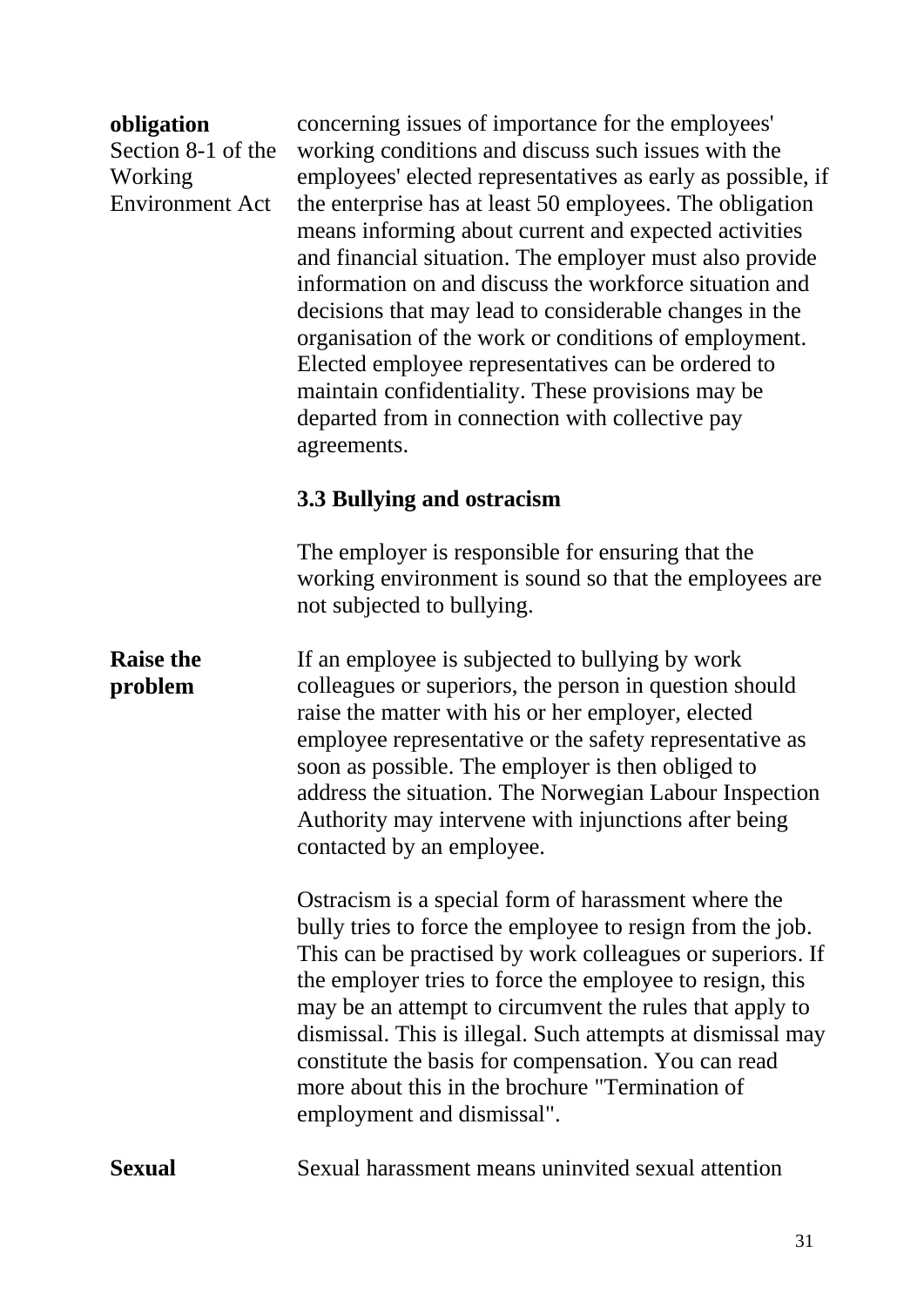#### **obligation** Section 8-1 of the Working Environment Act

concerning issues of importance for the employees' working conditions and discuss such issues with the employees' elected representatives as early as possible, if the enterprise has at least 50 employees. The obligation means informing about current and expected activities and financial situation. The employer must also provide information on and discuss the workforce situation and decisions that may lead to considerable changes in the organisation of the work or conditions of employment. Elected employee representatives can be ordered to maintain confidentiality. These provisions may be departed from in connection with collective pay agreements.

### **3.3 Bullying and ostracism**

The employer is responsible for ensuring that the working environment is sound so that the employees are not subjected to bullying.

**Raise the problem** If an employee is subjected to bullying by work colleagues or superiors, the person in question should raise the matter with his or her employer, elected employee representative or the safety representative as soon as possible. The employer is then obliged to address the situation. The Norwegian Labour Inspection Authority may intervene with injunctions after being contacted by an employee.

> Ostracism is a special form of harassment where the bully tries to force the employee to resign from the job. This can be practised by work colleagues or superiors. If the employer tries to force the employee to resign, this may be an attempt to circumvent the rules that apply to dismissal. This is illegal. Such attempts at dismissal may constitute the basis for compensation. You can read more about this in the brochure "Termination of employment and dismissal".

**Sexual** Sexual harassment means uninvited sexual attention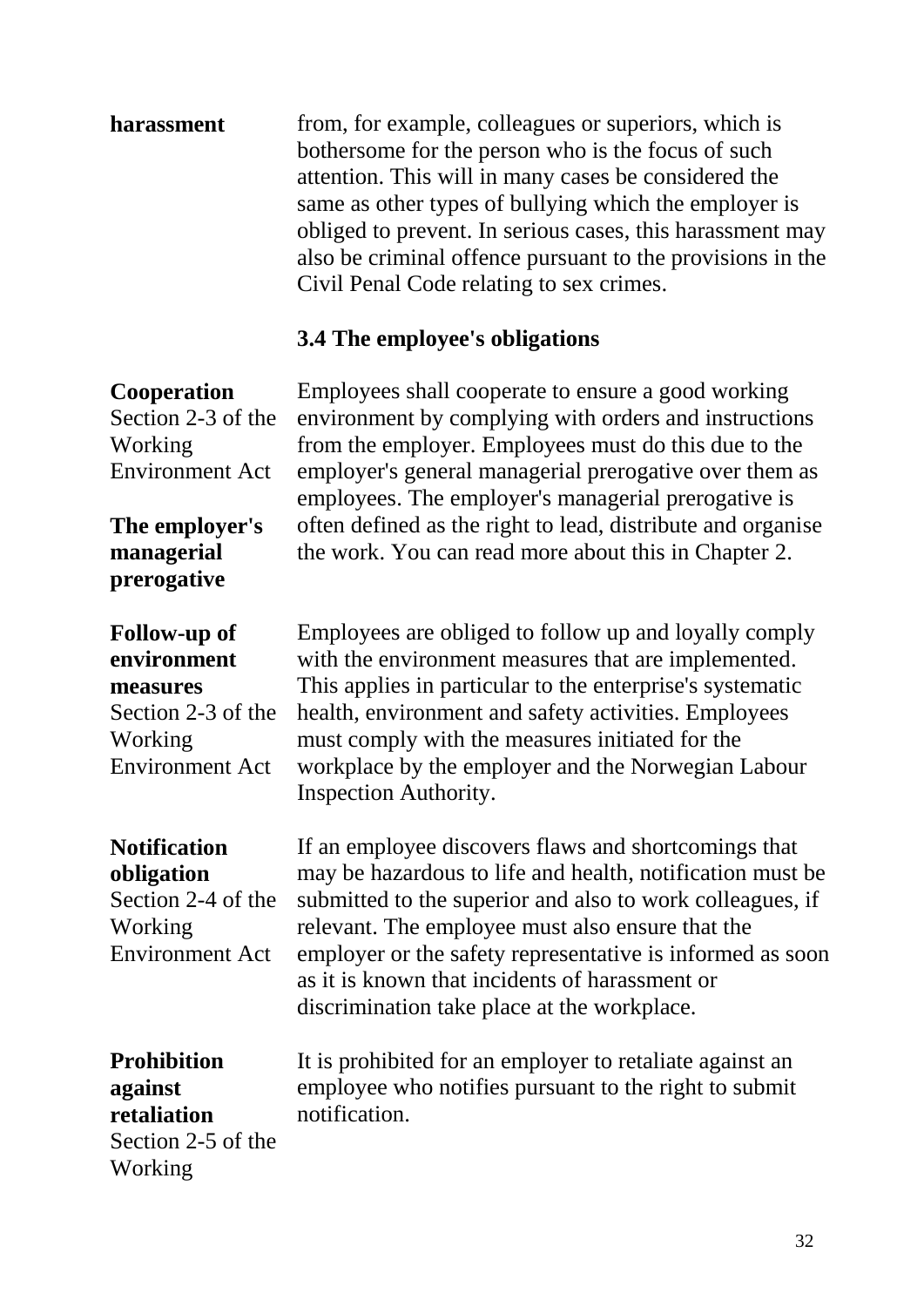| harassment | from, for example, colleagues or superiors, which is       |
|------------|------------------------------------------------------------|
|            | bothersome for the person who is the focus of such         |
|            | attention. This will in many cases be considered the       |
|            | same as other types of bullying which the employer is      |
|            | obliged to prevent. In serious cases, this harassment may  |
|            | also be criminal offence pursuant to the provisions in the |
|            | Civil Penal Code relating to sex crimes.                   |

# **3.4 The employee's obligations**

| <b>Cooperation</b><br>Section 2-3 of the<br>Working<br><b>Environment Act</b><br>The employer's<br>managerial<br>prerogative | Employees shall cooperate to ensure a good working<br>environment by complying with orders and instructions<br>from the employer. Employees must do this due to the<br>employer's general managerial prerogative over them as<br>employees. The employer's managerial prerogative is<br>often defined as the right to lead, distribute and organise<br>the work. You can read more about this in Chapter 2. |
|------------------------------------------------------------------------------------------------------------------------------|-------------------------------------------------------------------------------------------------------------------------------------------------------------------------------------------------------------------------------------------------------------------------------------------------------------------------------------------------------------------------------------------------------------|
| Follow-up of<br>environment<br>measures<br>Section 2-3 of the<br>Working<br><b>Environment Act</b>                           | Employees are obliged to follow up and loyally comply<br>with the environment measures that are implemented.<br>This applies in particular to the enterprise's systematic<br>health, environment and safety activities. Employees<br>must comply with the measures initiated for the<br>workplace by the employer and the Norwegian Labour<br><b>Inspection Authority.</b>                                  |
| <b>Notification</b><br>obligation<br>Section 2-4 of the<br>Working<br><b>Environment Act</b>                                 | If an employee discovers flaws and shortcomings that<br>may be hazardous to life and health, notification must be<br>submitted to the superior and also to work colleagues, if<br>relevant. The employee must also ensure that the<br>employer or the safety representative is informed as soon<br>as it is known that incidents of harassment or<br>discrimination take place at the workplace.            |
| <b>Prohibition</b><br>against<br>retaliation<br>Section 2-5 of the<br>Working                                                | It is prohibited for an employer to retaliate against an<br>employee who notifies pursuant to the right to submit<br>notification.                                                                                                                                                                                                                                                                          |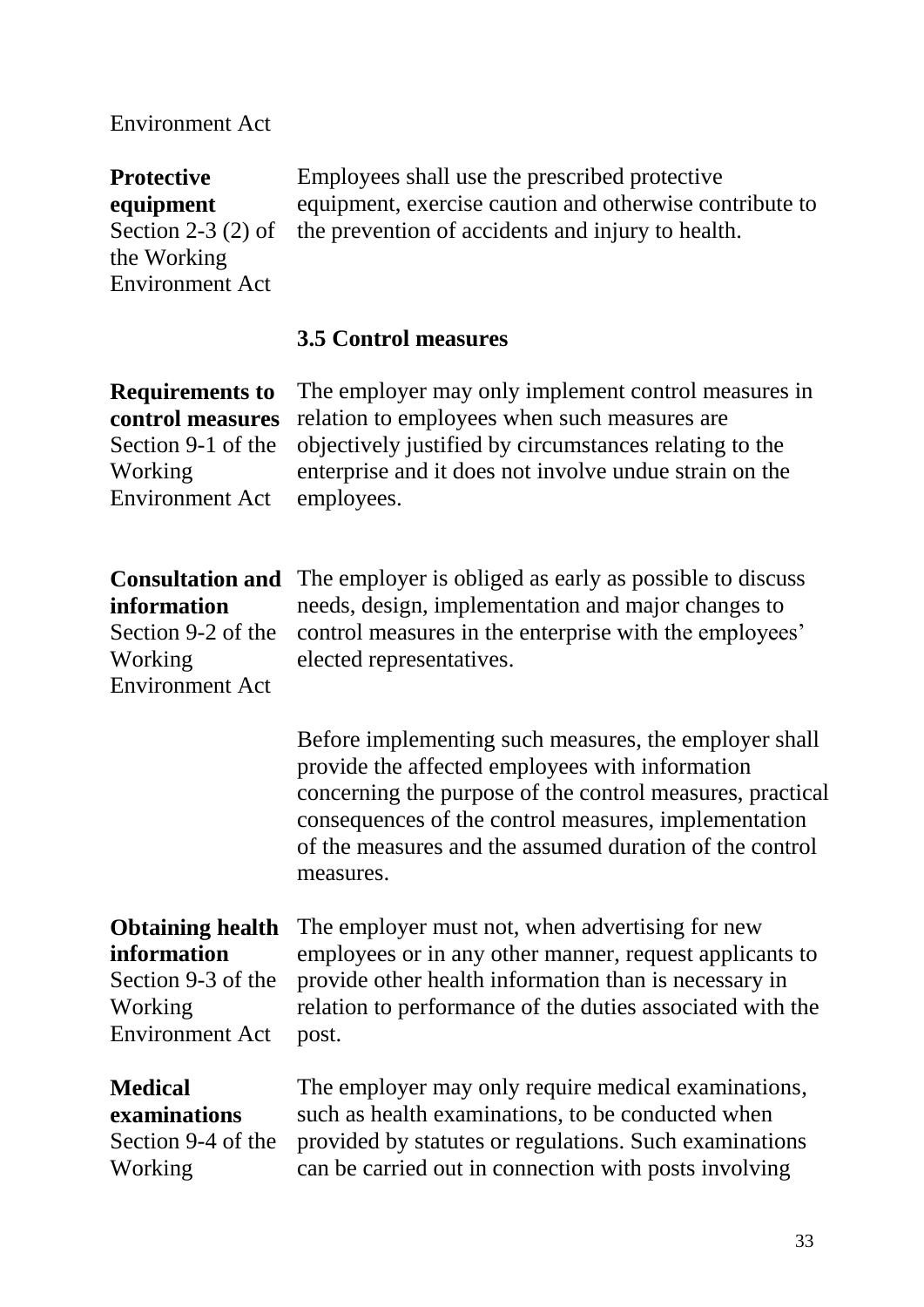#### Environment Act

**Protective equipment**  Section 2-3 (2) of the Working Environment Act Employees shall use the prescribed protective equipment, exercise caution and otherwise contribute to the prevention of accidents and injury to health.

#### **3.5 Control measures**

**Requirements to control measures** Section 9-1 of the Working Environment Act

The employer may only implement control measures in relation to employees when such measures are objectively justified by circumstances relating to the enterprise and it does not involve undue strain on the employees.

# **information**

Section 9-2 of the Working Environment Act

**Consultation and**  The employer is obliged as early as possible to discuss needs, design, implementation and major changes to control measures in the enterprise with the employees' elected representatives.

> Before implementing such measures, the employer shall provide the affected employees with information concerning the purpose of the control measures, practical consequences of the control measures, implementation of the measures and the assumed duration of the control measures.

#### **Obtaining health information**

Section 9-3 of the Working Environment Act

employees or in any other manner, request applicants to provide other health information than is necessary in relation to performance of the duties associated with the post.

The employer must not, when advertising for new

#### **Medical examinations**  Section 9-4 of the Working

The employer may only require medical examinations, such as health examinations, to be conducted when provided by statutes or regulations. Such examinations can be carried out in connection with posts involving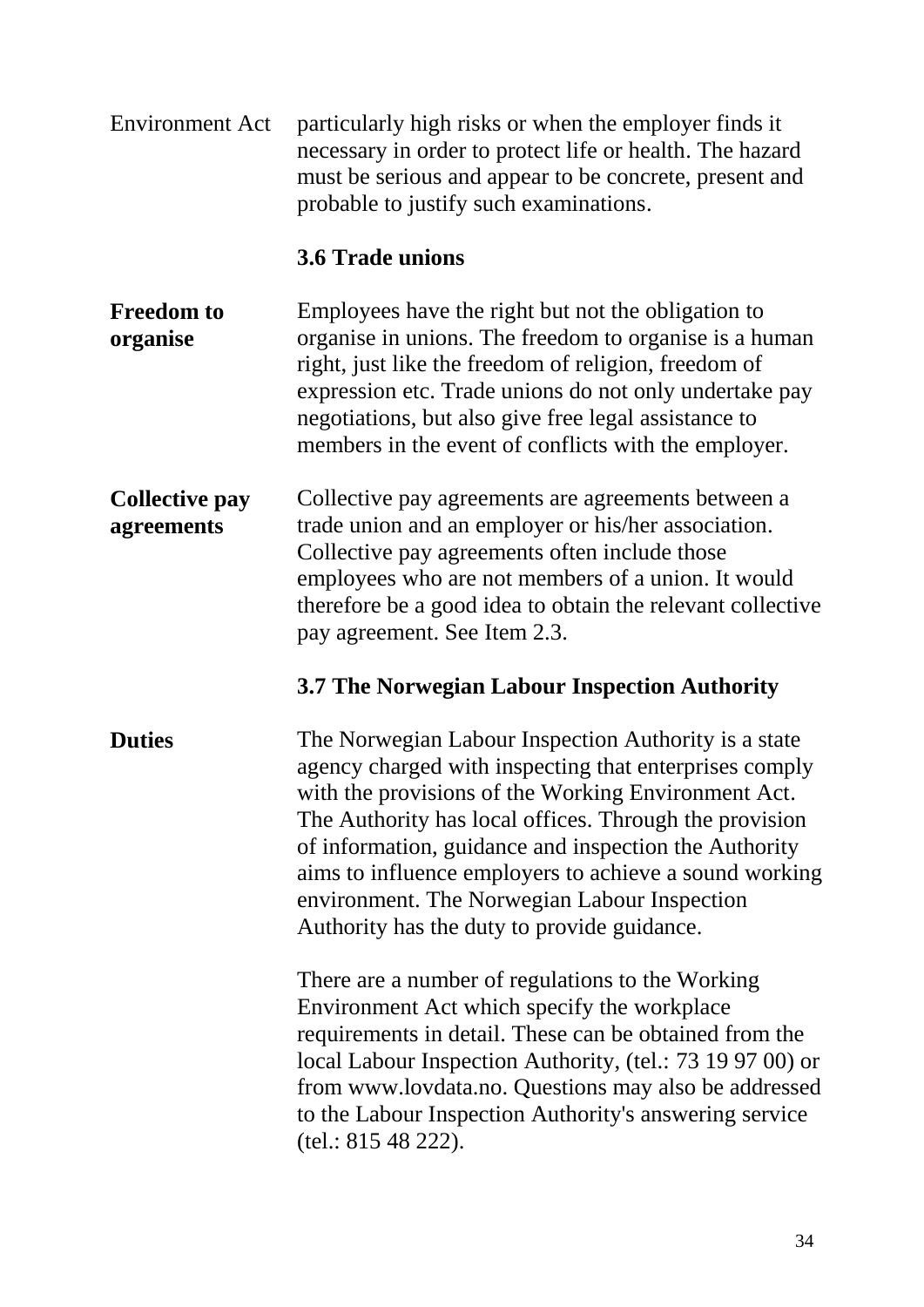Environment Act particularly high risks or when the employer finds it necessary in order to protect life or health. The hazard must be serious and appear to be concrete, present and probable to justify such examinations.

#### **3.6 Trade unions**

- **Freedom to organise** Employees have the right but not the obligation to organise in unions. The freedom to organise is a human right, just like the freedom of religion, freedom of expression etc. Trade unions do not only undertake pay negotiations, but also give free legal assistance to members in the event of conflicts with the employer.
- **Collective pay agreements**  Collective pay agreements are agreements between a trade union and an employer or his/her association. Collective pay agreements often include those employees who are not members of a union. It would therefore be a good idea to obtain the relevant collective pay agreement. See Item 2.3.

#### **3.7 The Norwegian Labour Inspection Authority**

**Duties** The Norwegian Labour Inspection Authority is a state agency charged with inspecting that enterprises comply with the provisions of the Working Environment Act. The Authority has local offices. Through the provision of information, guidance and inspection the Authority aims to influence employers to achieve a sound working environment. The Norwegian Labour Inspection Authority has the duty to provide guidance.

> There are a number of regulations to the Working Environment Act which specify the workplace requirements in detail. These can be obtained from the local Labour Inspection Authority, (tel.: 73 19 97 00) or from www.lovdata.no. Questions may also be addressed to the Labour Inspection Authority's answering service (tel.: 815 48 222).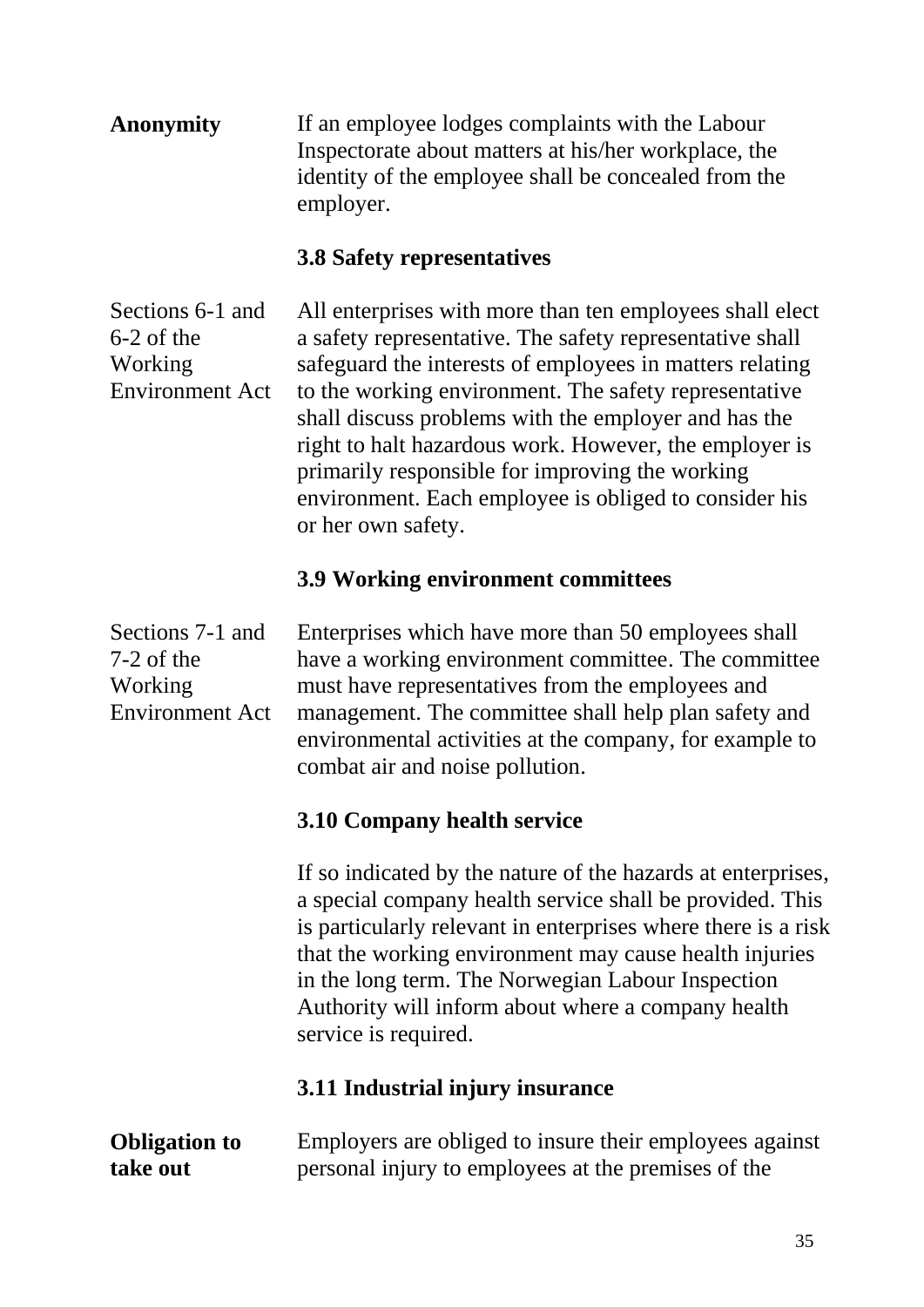| <b>Anonymity</b> | If an employee lodges complaints with the Labour     |
|------------------|------------------------------------------------------|
|                  | Inspectorate about matters at his/her workplace, the |
|                  | identity of the employee shall be concealed from the |
|                  | employer.                                            |

#### **3.8 Safety representatives**

Sections 6-1 and 6-2 of the Working Environment Act All enterprises with more than ten employees shall elect a safety representative. The safety representative shall safeguard the interests of employees in matters relating to the working environment. The safety representative shall discuss problems with the employer and has the right to halt hazardous work. However, the employer is primarily responsible for improving the working environment. Each employee is obliged to consider his or her own safety.

#### **3.9 Working environment committees**

| Sections 7-1 and<br>$7-2$ of the<br>Working<br><b>Environment Act</b> | Enterprises which have more than 50 employees shall<br>have a working environment committee. The committee<br>must have representatives from the employees and<br>management. The committee shall help plan safety and<br>environmental activities at the company, for example to<br>combat air and noise pollution.                                                                   |
|-----------------------------------------------------------------------|----------------------------------------------------------------------------------------------------------------------------------------------------------------------------------------------------------------------------------------------------------------------------------------------------------------------------------------------------------------------------------------|
|                                                                       | 3.10 Company health service                                                                                                                                                                                                                                                                                                                                                            |
|                                                                       | If so indicated by the nature of the hazards at enterprises,<br>a special company health service shall be provided. This<br>is particularly relevant in enterprises where there is a risk<br>that the working environment may cause health injuries<br>in the long term. The Norwegian Labour Inspection<br>Authority will inform about where a company health<br>service is required. |
|                                                                       | 3.11 Industrial injury insurance                                                                                                                                                                                                                                                                                                                                                       |
| <b>Obligation to</b><br>take out                                      | Employers are obliged to insure their employees against<br>personal injury to employees at the premises of the                                                                                                                                                                                                                                                                         |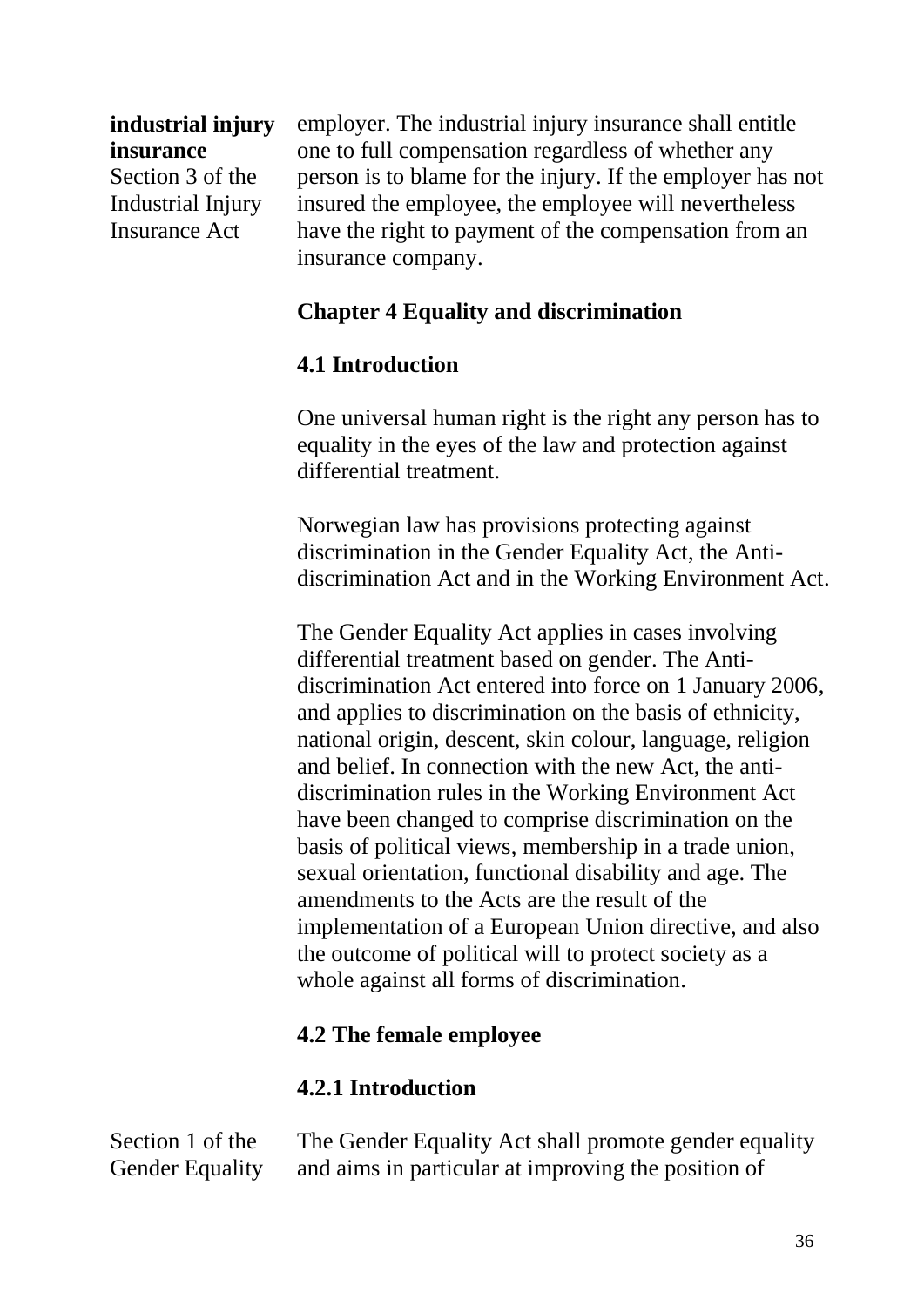#### **industrial injury insurance**

Section 3 of the Industrial Injury Insurance Act

employer. The industrial injury insurance shall entitle one to full compensation regardless of whether any person is to blame for the injury. If the employer has not insured the employee, the employee will nevertheless have the right to payment of the compensation from an insurance company.

### **Chapter 4 Equality and discrimination**

#### **4.1 Introduction**

One universal human right is the right any person has to equality in the eyes of the law and protection against differential treatment.

Norwegian law has provisions protecting against discrimination in the Gender Equality Act, the Antidiscrimination Act and in the Working Environment Act.

The Gender Equality Act applies in cases involving differential treatment based on gender. The Antidiscrimination Act entered into force on 1 January 2006, and applies to discrimination on the basis of ethnicity, national origin, descent, skin colour, language, religion and belief. In connection with the new Act, the antidiscrimination rules in the Working Environment Act have been changed to comprise discrimination on the basis of political views, membership in a trade union, sexual orientation, functional disability and age. The amendments to the Acts are the result of the implementation of a European Union directive, and also the outcome of political will to protect society as a whole against all forms of discrimination.

#### **4.2 The female employee**

#### **4.2.1 Introduction**

Section 1 of the Gender Equality

The Gender Equality Act shall promote gender equality and aims in particular at improving the position of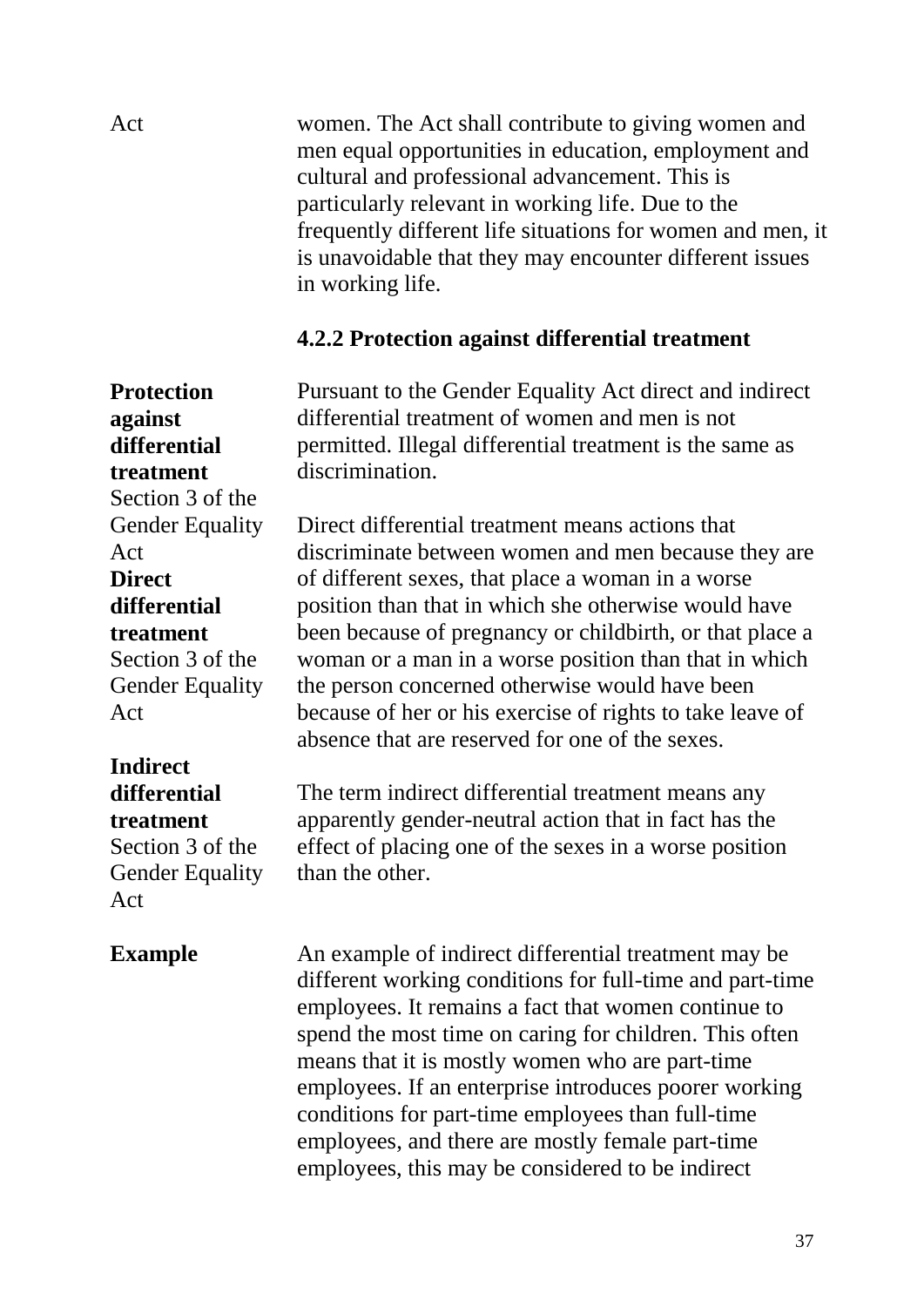Act women. The Act shall contribute to giving women and men equal opportunities in education, employment and cultural and professional advancement. This is particularly relevant in working life. Due to the frequently different life situations for women and men, it is unavoidable that they may encounter different issues in working life.

#### **4.2.2 Protection against differential treatment**

Pursuant to the Gender Equality Act direct and indirect differential treatment of women and men is not permitted. Illegal differential treatment is the same as discrimination.

Direct differential treatment means actions that discriminate between women and men because they are of different sexes, that place a woman in a worse position than that in which she otherwise would have been because of pregnancy or childbirth, or that place a woman or a man in a worse position than that in which the person concerned otherwise would have been because of her or his exercise of rights to take leave of absence that are reserved for one of the sexes.

The term indirect differential treatment means any apparently gender-neutral action that in fact has the effect of placing one of the sexes in a worse position than the other.

An example of indirect differential treatment may be different working conditions for full-time and part-time employees. It remains a fact that women continue to spend the most time on caring for children. This often means that it is mostly women who are part-time employees. If an enterprise introduces poorer working conditions for part-time employees than full-time employees, and there are mostly female part-time employees, this may be considered to be indirect

**against differential treatment** Section 3 of the Gender Equality Act **Direct differential treatment** Section 3 of the Gender Equality Act

**Protection** 

## **Indirect**

#### **differential treatment**

Section 3 of the Gender Equality Act

#### **Example**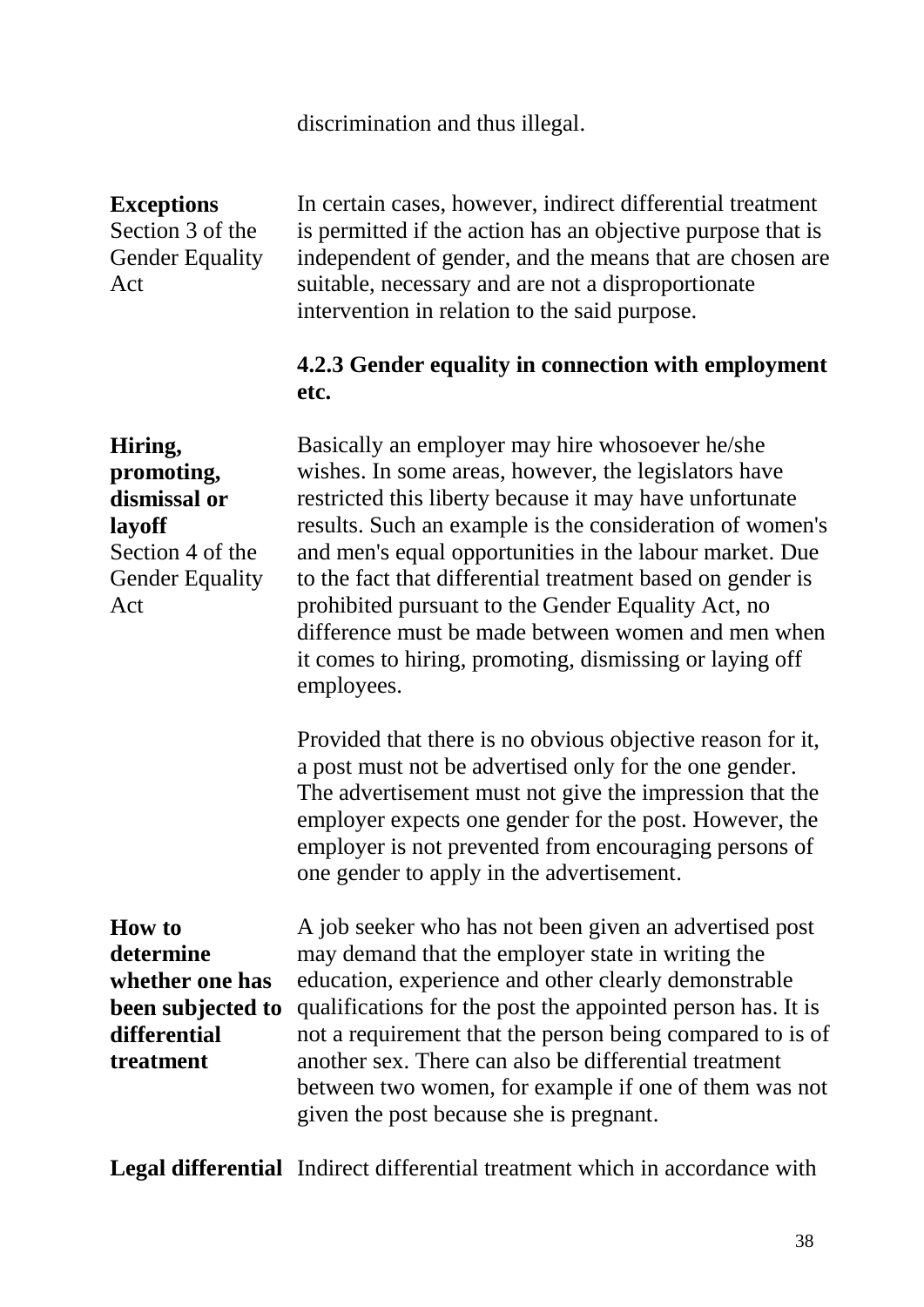discrimination and thus illegal.

**Exceptions** Section 3 of the Gender Equality Act

In certain cases, however, indirect differential treatment is permitted if the action has an objective purpose that is independent of gender, and the means that are chosen are suitable, necessary and are not a disproportionate intervention in relation to the said purpose.

#### **4.2.3 Gender equality in connection with employment etc.**

**Hiring, promoting, dismissal or layoff** Section 4 of the Gender Equality Act Basically an employer may hire whosoever he/she wishes. In some areas, however, the legislators have restricted this liberty because it may have unfortunate results. Such an example is the consideration of women's and men's equal opportunities in the labour market. Due to the fact that differential treatment based on gender is prohibited pursuant to the Gender Equality Act, no difference must be made between women and men when it comes to hiring, promoting, dismissing or laying off employees.

> Provided that there is no obvious objective reason for it, a post must not be advertised only for the one gender. The advertisement must not give the impression that the employer expects one gender for the post. However, the employer is not prevented from encouraging persons of one gender to apply in the advertisement.

**How to determine whether one has been subjected to differential treatment**

A job seeker who has not been given an advertised post may demand that the employer state in writing the education, experience and other clearly demonstrable qualifications for the post the appointed person has. It is not a requirement that the person being compared to is of another sex. There can also be differential treatment between two women, for example if one of them was not given the post because she is pregnant.

**Legal differential** Indirect differential treatment which in accordance with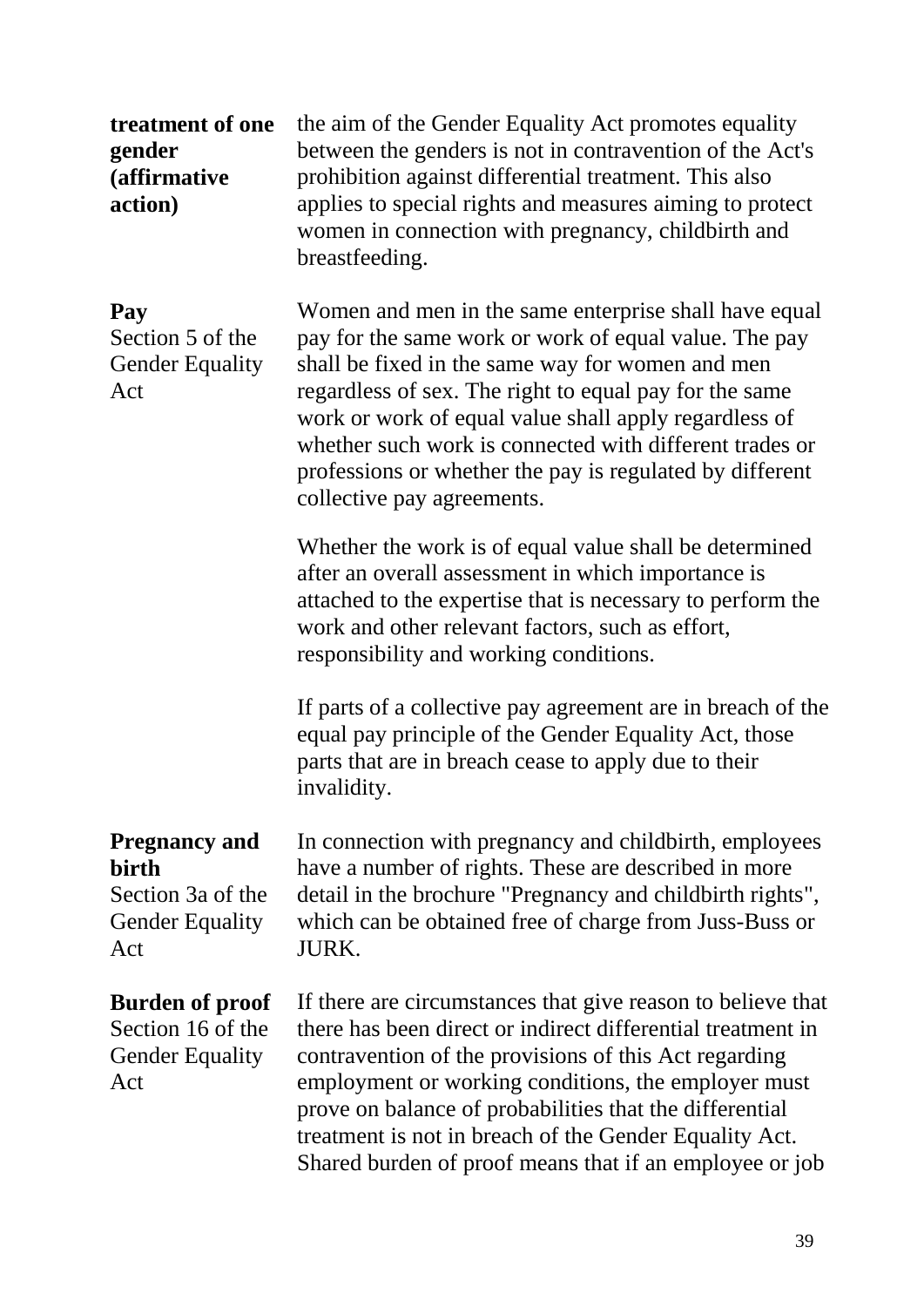**treatment of one gender (affirmative action)** the aim of the Gender Equality Act promotes equality between the genders is not in contravention of the Act's prohibition against differential treatment. This also applies to special rights and measures aiming to protect women in connection with pregnancy, childbirth and breastfeeding. **Pay** Section 5 of the Gender Equality Act Women and men in the same enterprise shall have equal pay for the same work or work of equal value. The pay shall be fixed in the same way for women and men regardless of sex. The right to equal pay for the same work or work of equal value shall apply regardless of whether such work is connected with different trades or professions or whether the pay is regulated by different collective pay agreements. Whether the work is of equal value shall be determined after an overall assessment in which importance is attached to the expertise that is necessary to perform the work and other relevant factors, such as effort, responsibility and working conditions. If parts of a collective pay agreement are in breach of the equal pay principle of the Gender Equality Act, those parts that are in breach cease to apply due to their invalidity. **Pregnancy and birth** Section 3a of the Gender Equality Act In connection with pregnancy and childbirth, employees have a number of rights. These are described in more detail in the brochure "Pregnancy and childbirth rights", which can be obtained free of charge from Juss-Buss or JURK. **Burden of proof**  Section 16 of the Gender Equality Act If there are circumstances that give reason to believe that there has been direct or indirect differential treatment in contravention of the provisions of this Act regarding employment or working conditions, the employer must prove on balance of probabilities that the differential treatment is not in breach of the Gender Equality Act. Shared burden of proof means that if an employee or job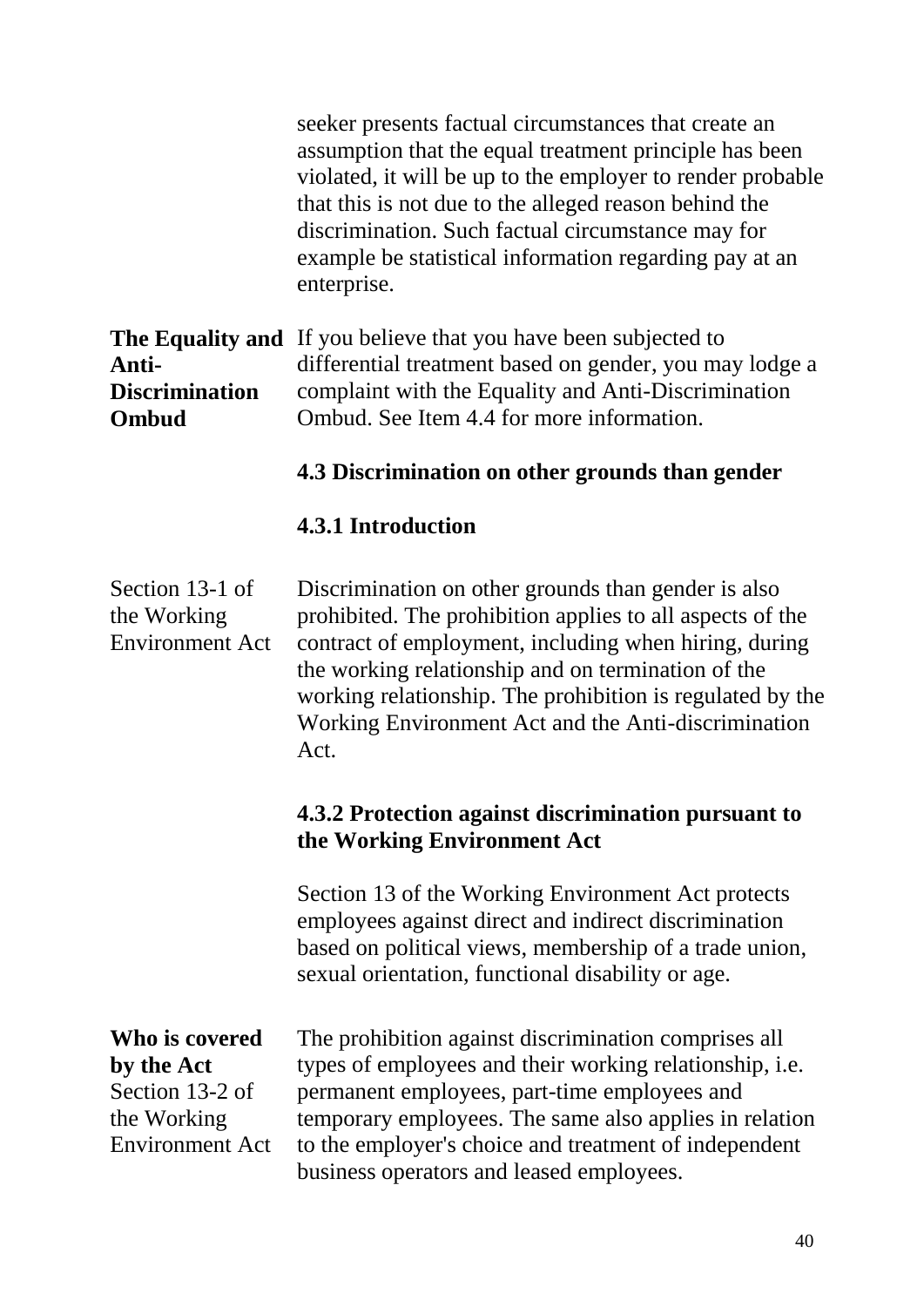seeker presents factual circumstances that create an assumption that the equal treatment principle has been violated, it will be up to the employer to render probable that this is not due to the alleged reason behind the discrimination. Such factual circumstance may for example be statistical information regarding pay at an enterprise.

|                       | <b>The Equality and</b> If you believe that you have been subjected to |
|-----------------------|------------------------------------------------------------------------|
| Anti-                 | differential treatment based on gender, you may lodge a                |
| <b>Discrimination</b> | complaint with the Equality and Anti-Discrimination                    |
| <b>Ombud</b>          | Ombud. See Item 4.4 for more information.                              |
|                       |                                                                        |

#### **4.3 Discrimination on other grounds than gender**

#### **4.3.1 Introduction**

Section 13-1 of the Working Environment Act Discrimination on other grounds than gender is also prohibited. The prohibition applies to all aspects of the contract of employment, including when hiring, during the working relationship and on termination of the working relationship. The prohibition is regulated by the Working Environment Act and the Anti-discrimination Act.

#### **4.3.2 Protection against discrimination pursuant to the Working Environment Act**

Section 13 of the Working Environment Act protects employees against direct and indirect discrimination based on political views, membership of a trade union, sexual orientation, functional disability or age.

**Who is covered by the Act**  Section 13-2 of the Working Environment Act

The prohibition against discrimination comprises all types of employees and their working relationship, i.e. permanent employees, part-time employees and temporary employees. The same also applies in relation to the employer's choice and treatment of independent business operators and leased employees.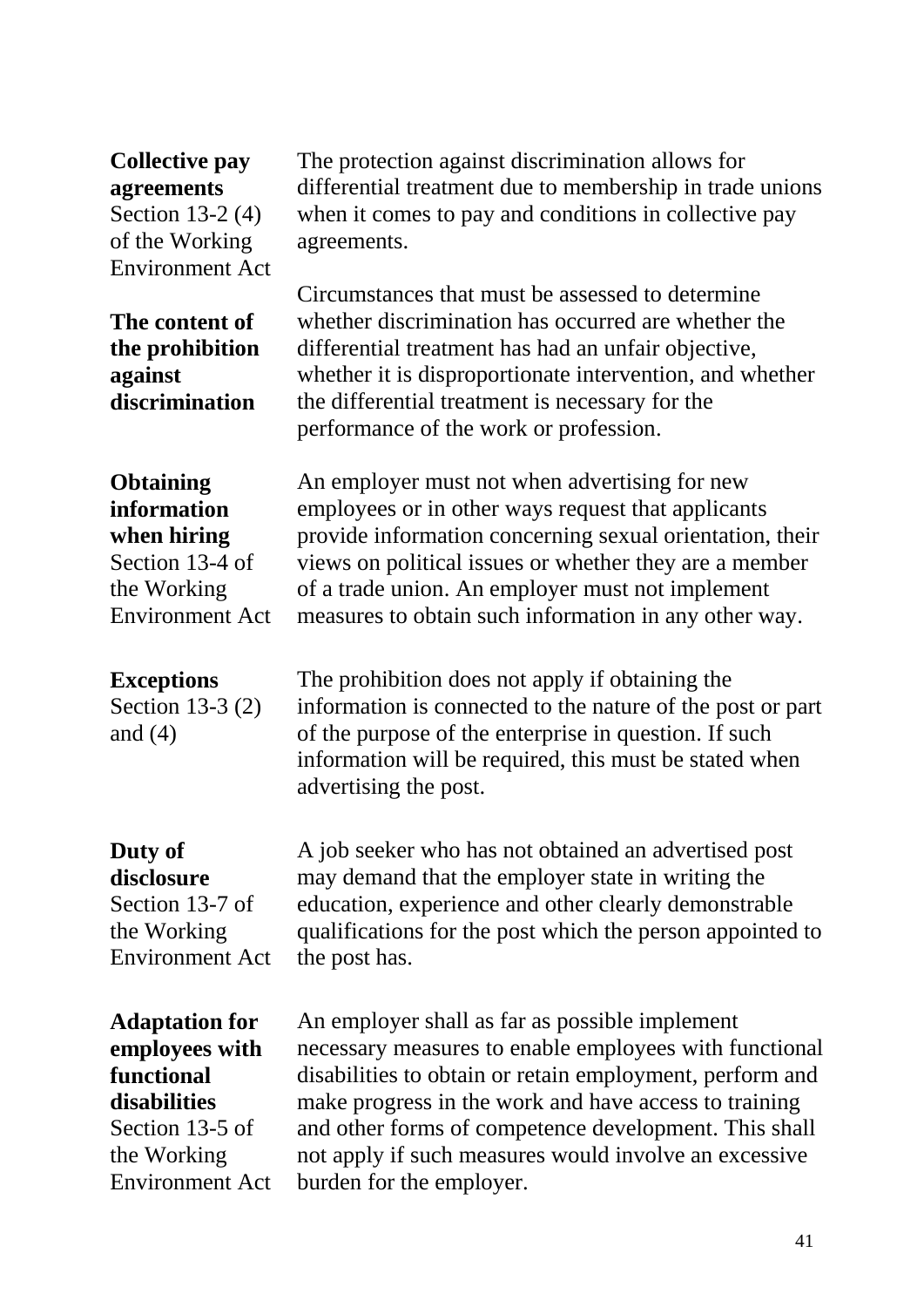#### **Collective pay agreements**

Section 13-2 (4) of the Working Environment Act

**The content of the prohibition against discrimination**

when it comes to pay and conditions in collective pay agreements. Circumstances that must be assessed to determine whether discrimination has occurred are whether the

differential treatment due to membership in trade unions

The protection against discrimination allows for

differential treatment has had an unfair objective, whether it is disproportionate intervention, and whether the differential treatment is necessary for the performance of the work or profession.

provide information concerning sexual orientation, their views on political issues or whether they are a member

An employer must not when advertising for new employees or in other ways request that applicants

of a trade union. An employer must not implement

of the purpose of the enterprise in question. If such information will be required, this must be stated when

The prohibition does not apply if obtaining the

advertising the post.

measures to obtain such information in any other way.

information is connected to the nature of the post or part

#### **Obtaining information when hiring**

Section 13-4 of the Working Environment Act

### **Exceptions**

Section 13-3 (2) and (4)

## **Duty of**

**disclosure** Section 13-7 of the Working Environment Act

A job seeker who has not obtained an advertised post may demand that the employer state in writing the education, experience and other clearly demonstrable qualifications for the post which the person appointed to the post has.

**Adaptation for employees with functional disabilities** Section 13-5 of the Working

Environment Act

An employer shall as far as possible implement necessary measures to enable employees with functional disabilities to obtain or retain employment, perform and make progress in the work and have access to training and other forms of competence development. This shall not apply if such measures would involve an excessive burden for the employer.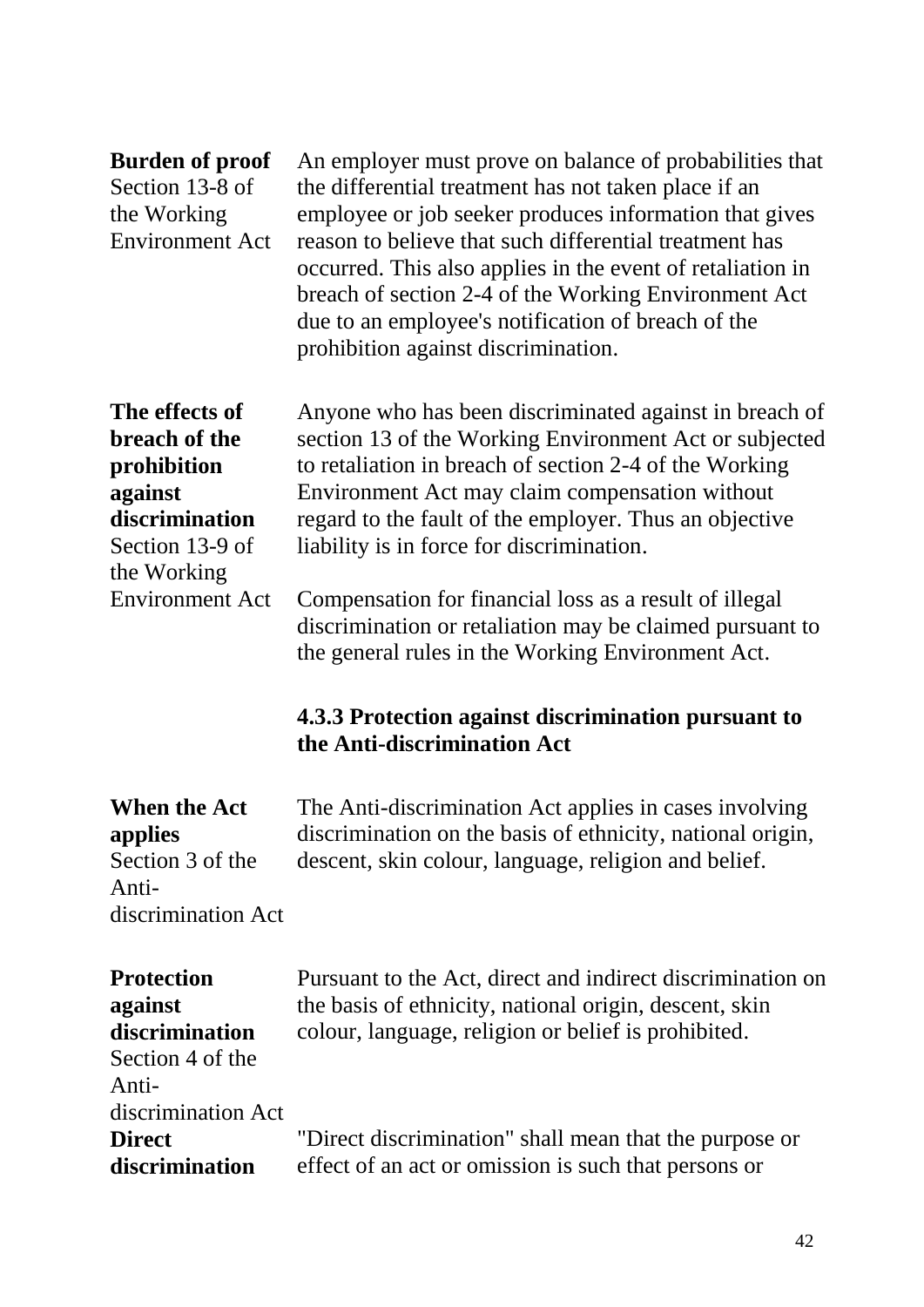| <b>Burden of proof</b><br>Section 13-8 of<br>the Working<br><b>Environment Act</b>                            | An employer must prove on balance of probabilities that<br>the differential treatment has not taken place if an<br>employee or job seeker produces information that gives<br>reason to believe that such differential treatment has<br>occurred. This also applies in the event of retaliation in<br>breach of section 2-4 of the Working Environment Act<br>due to an employee's notification of breach of the<br>prohibition against discrimination. |
|---------------------------------------------------------------------------------------------------------------|--------------------------------------------------------------------------------------------------------------------------------------------------------------------------------------------------------------------------------------------------------------------------------------------------------------------------------------------------------------------------------------------------------------------------------------------------------|
| The effects of<br>breach of the<br>prohibition<br>against<br>discrimination<br>Section 13-9 of<br>the Working | Anyone who has been discriminated against in breach of<br>section 13 of the Working Environment Act or subjected<br>to retaliation in breach of section 2-4 of the Working<br>Environment Act may claim compensation without<br>regard to the fault of the employer. Thus an objective<br>liability is in force for discrimination.                                                                                                                    |
| <b>Environment Act</b>                                                                                        | Compensation for financial loss as a result of illegal<br>discrimination or retaliation may be claimed pursuant to<br>the general rules in the Working Environment Act.<br>4.3.3 Protection against discrimination pursuant to                                                                                                                                                                                                                         |
|                                                                                                               | the Anti-discrimination Act                                                                                                                                                                                                                                                                                                                                                                                                                            |
| <b>When the Act</b><br>applies<br>Section 3 of the<br>Anti-<br>discrimination Act                             | The Anti-discrimination Act applies in cases involving<br>discrimination on the basis of ethnicity, national origin,<br>descent, skin colour, language, religion and belief.                                                                                                                                                                                                                                                                           |
| <b>Protection</b><br>against<br>discrimination<br>Section 4 of the<br>Anti-<br>discrimination Act             | Pursuant to the Act, direct and indirect discrimination on<br>the basis of ethnicity, national origin, descent, skin<br>colour, language, religion or belief is prohibited.                                                                                                                                                                                                                                                                            |
| <b>Direct</b><br>discrimination                                                                               | "Direct discrimination" shall mean that the purpose or<br>effect of an act or omission is such that persons or                                                                                                                                                                                                                                                                                                                                         |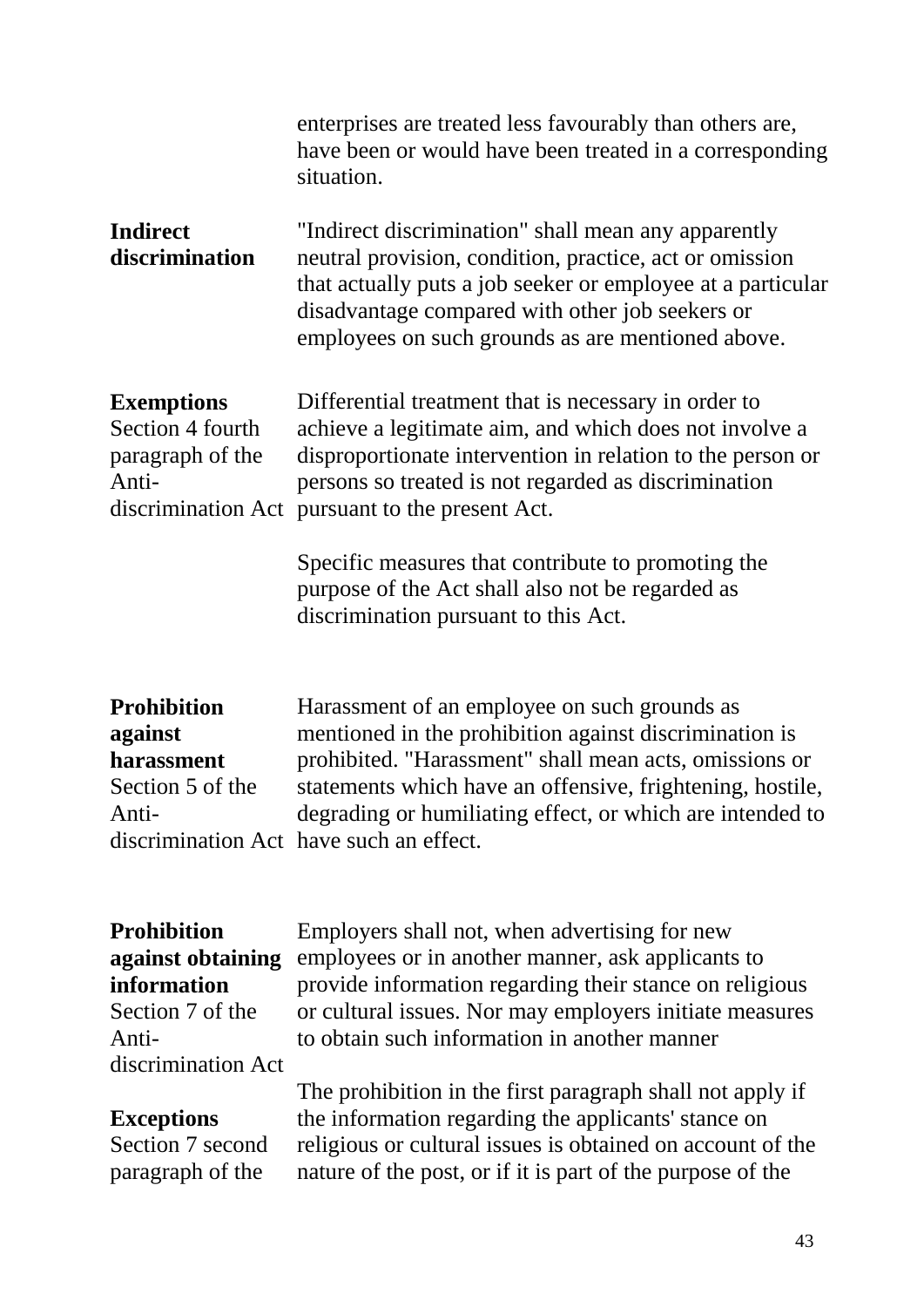|                                                                    | enterprises are treated less favourably than others are,<br>have been or would have been treated in a corresponding<br>situation.                                                                                                                                                       |
|--------------------------------------------------------------------|-----------------------------------------------------------------------------------------------------------------------------------------------------------------------------------------------------------------------------------------------------------------------------------------|
| <b>Indirect</b><br>discrimination                                  | "Indirect discrimination" shall mean any apparently<br>neutral provision, condition, practice, act or omission<br>that actually puts a job seeker or employee at a particular<br>disadvantage compared with other job seekers or<br>employees on such grounds as are mentioned above.   |
| <b>Exemptions</b><br>Section 4 fourth<br>paragraph of the<br>Anti- | Differential treatment that is necessary in order to<br>achieve a legitimate aim, and which does not involve a<br>disproportionate intervention in relation to the person or<br>persons so treated is not regarded as discrimination<br>discrimination Act pursuant to the present Act. |
|                                                                    | Specific measures that contribute to promoting the<br>purpose of the Act shall also not be regarded as                                                                                                                                                                                  |

**Prohibition against harassment** Section 5 of the Antidiscrimination Act have such an effect. Harassment of an employee on such grounds as mentioned in the prohibition against discrimination is prohibited. "Harassment" shall mean acts, omissions or statements which have an offensive, frightening, hostile, degrading or humiliating effect, or which are intended to

discrimination pursuant to this Act.

**Prohibition against obtaining information** Section 7 of the Antidiscrimination Act

#### **Exceptions**

Section 7 second paragraph of the

Employers shall not, when advertising for new employees or in another manner, ask applicants to provide information regarding their stance on religious or cultural issues. Nor may employers initiate measures to obtain such information in another manner

The prohibition in the first paragraph shall not apply if the information regarding the applicants' stance on religious or cultural issues is obtained on account of the nature of the post, or if it is part of the purpose of the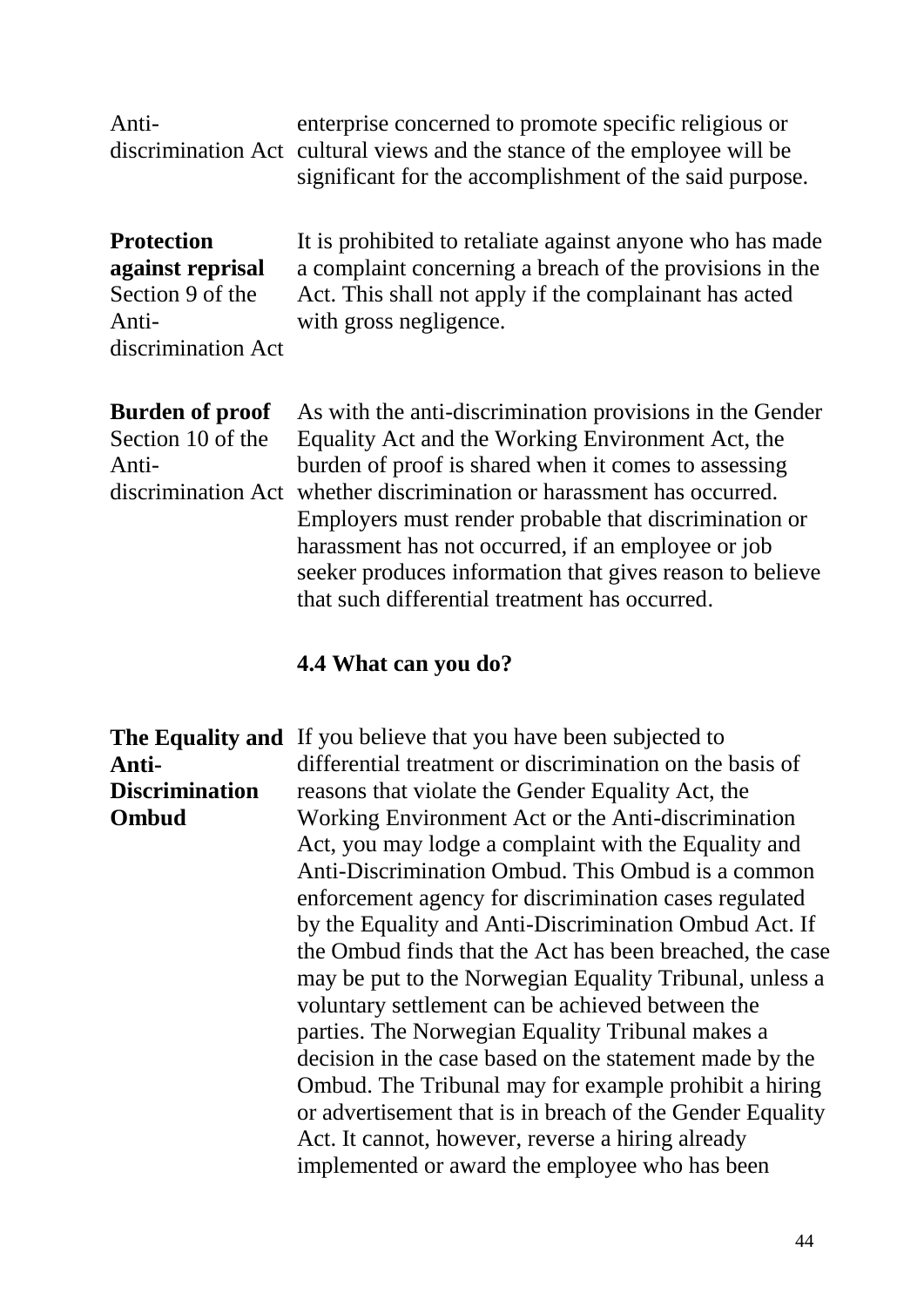| Anti-                                                                                    | enterprise concerned to promote specific religious or<br>discrimination Act cultural views and the stance of the employee will be<br>significant for the accomplishment of the said purpose.                                                                                                                                                                                                                                                             |
|------------------------------------------------------------------------------------------|----------------------------------------------------------------------------------------------------------------------------------------------------------------------------------------------------------------------------------------------------------------------------------------------------------------------------------------------------------------------------------------------------------------------------------------------------------|
| <b>Protection</b><br>against reprisal<br>Section 9 of the<br>Anti-<br>discrimination Act | It is prohibited to retaliate against anyone who has made<br>a complaint concerning a breach of the provisions in the<br>Act. This shall not apply if the complainant has acted<br>with gross negligence.                                                                                                                                                                                                                                                |
| <b>Burden of proof</b><br>Section 10 of the<br>Anti-<br>discrimination Act               | As with the anti-discrimination provisions in the Gender<br>Equality Act and the Working Environment Act, the<br>burden of proof is shared when it comes to assessing<br>whether discrimination or harassment has occurred.<br>Employers must render probable that discrimination or<br>harassment has not occurred, if an employee or job<br>seeker produces information that gives reason to believe<br>that such differential treatment has occurred. |

#### **4.4 What can you do?**

**The Equality and**  If you believe that you have been subjected to **Anti-Discrimination Ombud** differential treatment or discrimination on the basis of reasons that violate the Gender Equality Act, the Working Environment Act or the Anti-discrimination Act, you may lodge a complaint with the Equality and Anti-Discrimination Ombud. This Ombud is a common enforcement agency for discrimination cases regulated by the Equality and Anti-Discrimination Ombud Act. If the Ombud finds that the Act has been breached, the case may be put to the Norwegian Equality Tribunal, unless a voluntary settlement can be achieved between the parties. The Norwegian Equality Tribunal makes a decision in the case based on the statement made by the Ombud. The Tribunal may for example prohibit a hiring or advertisement that is in breach of the Gender Equality Act. It cannot, however, reverse a hiring already implemented or award the employee who has been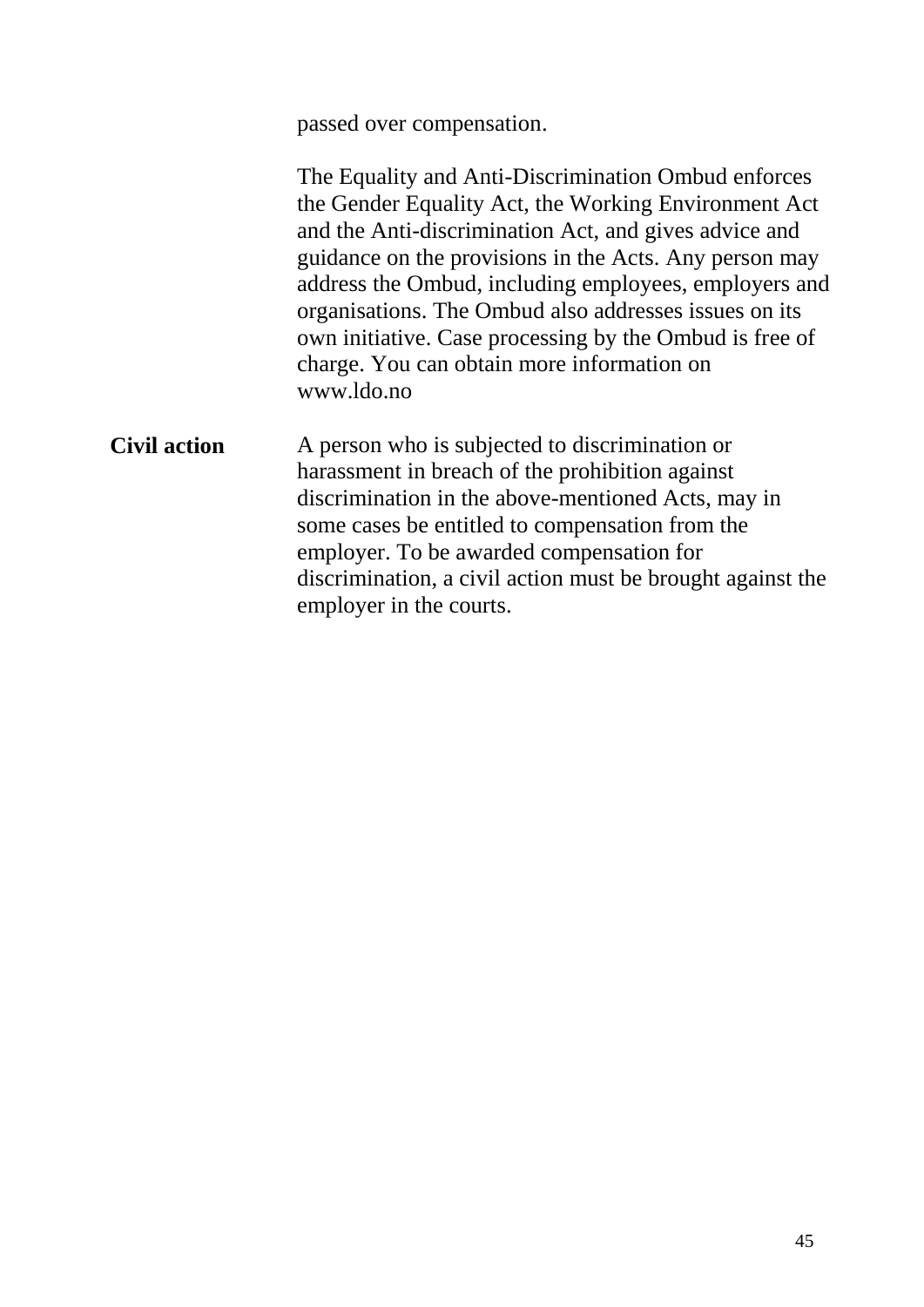passed over compensation.

|                     | The Equality and Anti-Discrimination Ombud enforces<br>the Gender Equality Act, the Working Environment Act<br>and the Anti-discrimination Act, and gives advice and<br>guidance on the provisions in the Acts. Any person may<br>address the Ombud, including employees, employers and<br>organisations. The Ombud also addresses issues on its<br>own initiative. Case processing by the Ombud is free of<br>charge. You can obtain more information on<br>www.ldo.no |
|---------------------|-------------------------------------------------------------------------------------------------------------------------------------------------------------------------------------------------------------------------------------------------------------------------------------------------------------------------------------------------------------------------------------------------------------------------------------------------------------------------|
| <b>Civil action</b> | A person who is subjected to discrimination or<br>harassment in breach of the prohibition against<br>discrimination in the above-mentioned Acts, may in<br>some cases be entitled to compensation from the<br>employer. To be awarded compensation for<br>discrimination, a civil action must be brought against the<br>employer in the courts.                                                                                                                         |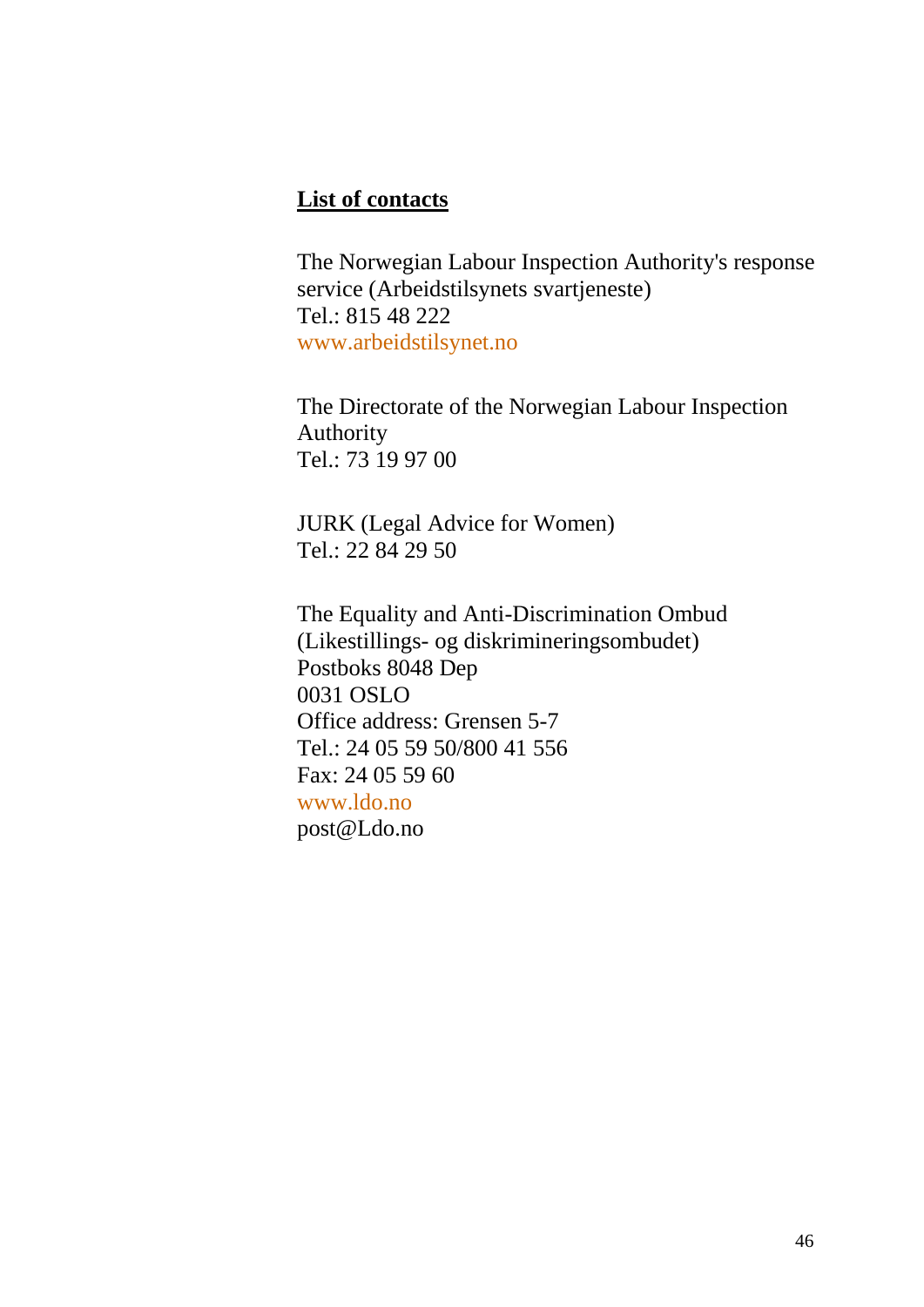#### **List of contacts**

The Norwegian Labour Inspection Authority's response service (Arbeidstilsynets svartjeneste) Tel.: 815 48 222 [www.arbeidstilsynet.no](http://www.arbeidstilsynet.no/)

The Directorate of the Norwegian Labour Inspection Authority Tel.: 73 19 97 00

JURK (Legal Advice for Women) Tel.: 22 84 29 50

The Equality and Anti-Discrimination Ombud (Likestillings- og diskrimineringsombudet) Postboks 8048 Dep 0031 OSLO Office address: Grensen 5-7 Tel.: 24 05 59 50/800 41 556 Fax: 24 05 59 60 [www.ldo.no](http://www.ldo.no/) [post@Ldo.no](mailto:post@Ldo.no)